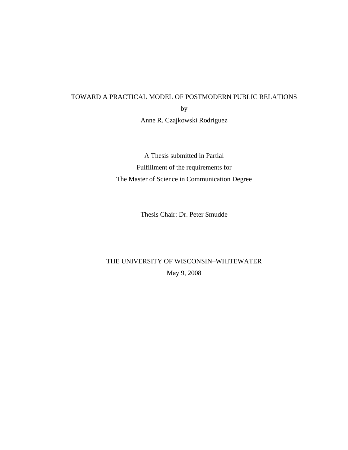# TOWARD A PRACTICAL MODEL OF POSTMODERN PUBLIC RELATIONS by

Anne R. Czajkowski Rodriguez

A Thesis submitted in Partial Fulfillment of the requirements for The Master of Science in Communication Degree

Thesis Chair: Dr. Peter Smudde

# THE UNIVERSITY OF WISCONSIN–WHITEWATER May 9, 2008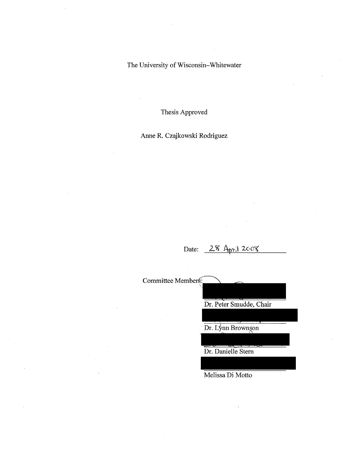The University of Wisconsin-Whitewater

Thesis Approved

Anne R. Czajkowski Rodriguez

Date: 28 April 2008

Committee Members: Dr. Peter Smudde, Chair Dr. Lynn Brownson Dr. Danielle Stern

Melissa Di Motto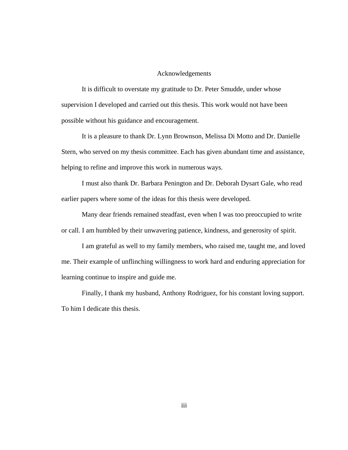#### Acknowledgements

It is difficult to overstate my gratitude to Dr. Peter Smudde, under whose supervision I developed and carried out this thesis. This work would not have been possible without his guidance and encouragement.

It is a pleasure to thank Dr. Lynn Brownson, Melissa Di Motto and Dr. Danielle Stern, who served on my thesis committee. Each has given abundant time and assistance, helping to refine and improve this work in numerous ways.

I must also thank Dr. Barbara Penington and Dr. Deborah Dysart Gale, who read earlier papers where some of the ideas for this thesis were developed.

Many dear friends remained steadfast, even when I was too preoccupied to write or call. I am humbled by their unwavering patience, kindness, and generosity of spirit.

I am grateful as well to my family members, who raised me, taught me, and loved me. Their example of unflinching willingness to work hard and enduring appreciation for learning continue to inspire and guide me.

Finally, I thank my husband, Anthony Rodriguez, for his constant loving support. To him I dedicate this thesis.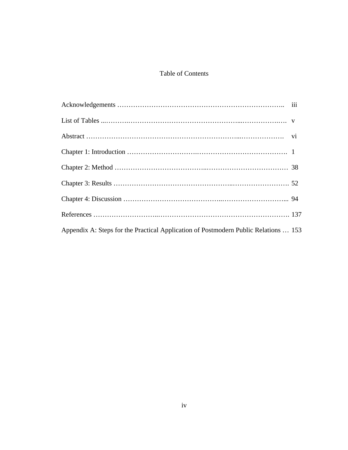### Table of Contents

| Appendix A: Steps for the Practical Application of Postmodern Public Relations  153 |  |
|-------------------------------------------------------------------------------------|--|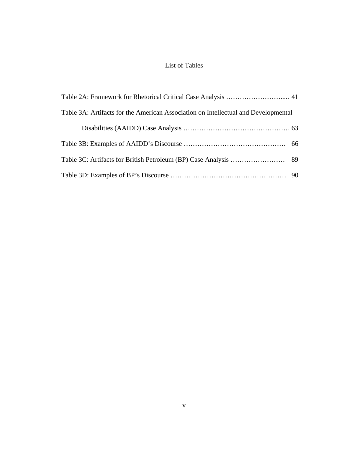## List of Tables

| Table 3A: Artifacts for the American Association on Intellectual and Developmental |  |
|------------------------------------------------------------------------------------|--|
|                                                                                    |  |
|                                                                                    |  |
|                                                                                    |  |
|                                                                                    |  |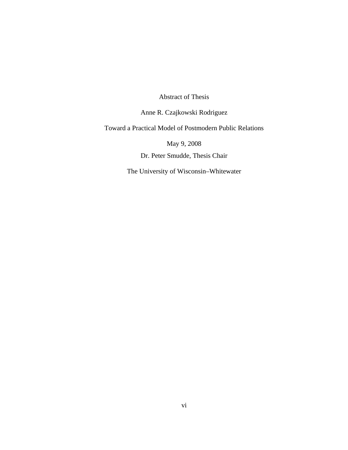Abstract of Thesis

Anne R. Czajkowski Rodriguez

Toward a Practical Model of Postmodern Public Relations

May 9, 2008

Dr. Peter Smudde, Thesis Chair

The University of Wisconsin–Whitewater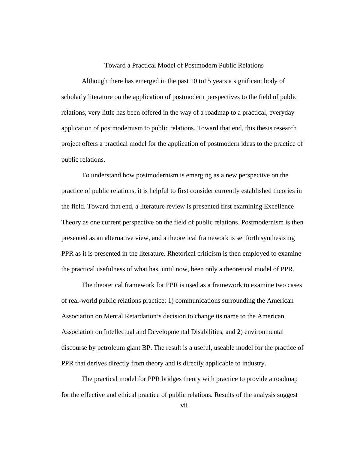#### Toward a Practical Model of Postmodern Public Relations

Although there has emerged in the past 10 to15 years a significant body of scholarly literature on the application of postmodern perspectives to the field of public relations, very little has been offered in the way of a roadmap to a practical, everyday application of postmodernism to public relations. Toward that end, this thesis research project offers a practical model for the application of postmodern ideas to the practice of public relations.

To understand how postmodernism is emerging as a new perspective on the practice of public relations, it is helpful to first consider currently established theories in the field. Toward that end, a literature review is presented first examining Excellence Theory as one current perspective on the field of public relations. Postmodernism is then presented as an alternative view, and a theoretical framework is set forth synthesizing PPR as it is presented in the literature. Rhetorical criticism is then employed to examine the practical usefulness of what has, until now, been only a theoretical model of PPR.

The theoretical framework for PPR is used as a framework to examine two cases of real-world public relations practice: 1) communications surrounding the American Association on Mental Retardation's decision to change its name to the American Association on Intellectual and Developmental Disabilities, and 2) environmental discourse by petroleum giant BP. The result is a useful, useable model for the practice of PPR that derives directly from theory and is directly applicable to industry.

The practical model for PPR bridges theory with practice to provide a roadmap for the effective and ethical practice of public relations. Results of the analysis suggest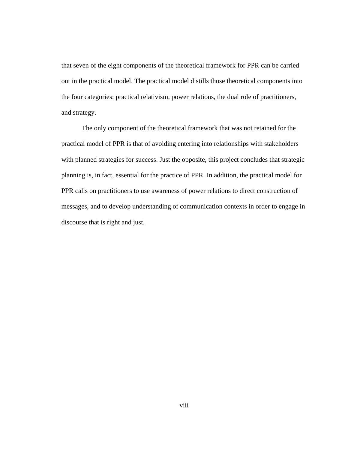that seven of the eight components of the theoretical framework for PPR can be carried out in the practical model. The practical model distills those theoretical components into the four categories: practical relativism, power relations, the dual role of practitioners, and strategy.

The only component of the theoretical framework that was not retained for the practical model of PPR is that of avoiding entering into relationships with stakeholders with planned strategies for success. Just the opposite, this project concludes that strategic planning is, in fact, essential for the practice of PPR. In addition, the practical model for PPR calls on practitioners to use awareness of power relations to direct construction of messages, and to develop understanding of communication contexts in order to engage in discourse that is right and just.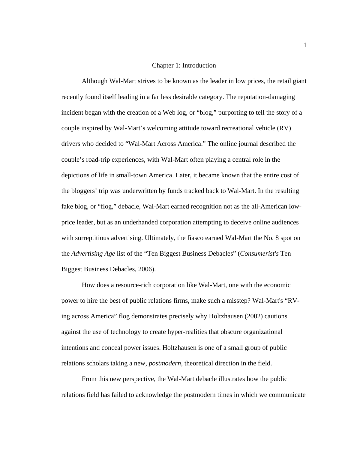#### Chapter 1: Introduction

Although Wal-Mart strives to be known as the leader in low prices, the retail giant recently found itself leading in a far less desirable category. The reputation-damaging incident began with the creation of a Web log, or "blog," purporting to tell the story of a couple inspired by Wal-Mart's welcoming attitude toward recreational vehicle (RV) drivers who decided to "Wal-Mart Across America." The online journal described the couple's road-trip experiences, with Wal-Mart often playing a central role in the depictions of life in small-town America. Later, it became known that the entire cost of the bloggers' trip was underwritten by funds tracked back to Wal-Mart. In the resulting fake blog, or "flog," debacle, Wal-Mart earned recognition not as the all-American lowprice leader, but as an underhanded corporation attempting to deceive online audiences with surreptitious advertising. Ultimately, the fiasco earned Wal-Mart the No. 8 spot on the *Advertising Age* list of the "Ten Biggest Business Debacles" (*Consumerist's* Ten Biggest Business Debacles, 2006).

How does a resource-rich corporation like Wal-Mart, one with the economic power to hire the best of public relations firms, make such a misstep? Wal-Mart's "RVing across America" flog demonstrates precisely why Holtzhausen (2002) cautions against the use of technology to create hyper-realities that obscure organizational intentions and conceal power issues. Holtzhausen is one of a small group of public relations scholars taking a new, *postmodern,* theoretical direction in the field.

From this new perspective, the Wal-Mart debacle illustrates how the public relations field has failed to acknowledge the postmodern times in which we communicate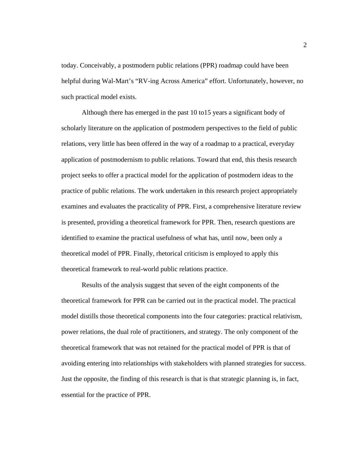today. Conceivably, a postmodern public relations (PPR) roadmap could have been helpful during Wal-Mart's "RV-ing Across America" effort. Unfortunately, however, no such practical model exists.

Although there has emerged in the past 10 to15 years a significant body of scholarly literature on the application of postmodern perspectives to the field of public relations, very little has been offered in the way of a roadmap to a practical, everyday application of postmodernism to public relations. Toward that end, this thesis research project seeks to offer a practical model for the application of postmodern ideas to the practice of public relations. The work undertaken in this research project appropriately examines and evaluates the practicality of PPR. First, a comprehensive literature review is presented, providing a theoretical framework for PPR. Then, research questions are identified to examine the practical usefulness of what has, until now, been only a theoretical model of PPR. Finally, rhetorical criticism is employed to apply this theoretical framework to real-world public relations practice.

Results of the analysis suggest that seven of the eight components of the theoretical framework for PPR can be carried out in the practical model. The practical model distills those theoretical components into the four categories: practical relativism, power relations, the dual role of practitioners, and strategy. The only component of the theoretical framework that was not retained for the practical model of PPR is that of avoiding entering into relationships with stakeholders with planned strategies for success. Just the opposite, the finding of this research is that is that strategic planning is, in fact, essential for the practice of PPR.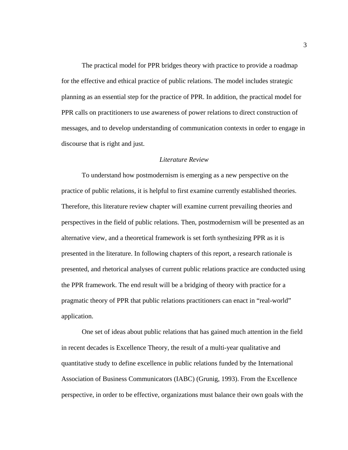The practical model for PPR bridges theory with practice to provide a roadmap for the effective and ethical practice of public relations. The model includes strategic planning as an essential step for the practice of PPR. In addition, the practical model for PPR calls on practitioners to use awareness of power relations to direct construction of messages, and to develop understanding of communication contexts in order to engage in discourse that is right and just.

#### *Literature Review*

To understand how postmodernism is emerging as a new perspective on the practice of public relations, it is helpful to first examine currently established theories. Therefore, this literature review chapter will examine current prevailing theories and perspectives in the field of public relations. Then, postmodernism will be presented as an alternative view, and a theoretical framework is set forth synthesizing PPR as it is presented in the literature. In following chapters of this report, a research rationale is presented, and rhetorical analyses of current public relations practice are conducted using the PPR framework. The end result will be a bridging of theory with practice for a pragmatic theory of PPR that public relations practitioners can enact in "real-world" application.

One set of ideas about public relations that has gained much attention in the field in recent decades is Excellence Theory, the result of a multi-year qualitative and quantitative study to define excellence in public relations funded by the International Association of Business Communicators (IABC) (Grunig, 1993). From the Excellence perspective, in order to be effective, organizations must balance their own goals with the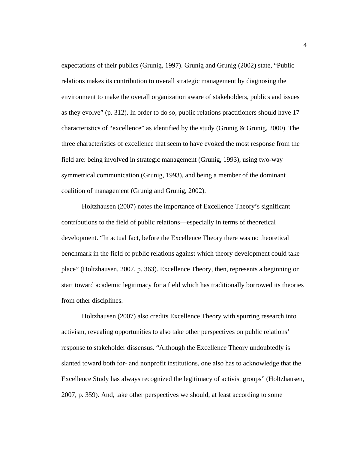expectations of their publics (Grunig, 1997). Grunig and Grunig (2002) state, "Public relations makes its contribution to overall strategic management by diagnosing the environment to make the overall organization aware of stakeholders, publics and issues as they evolve" (p. 312). In order to do so, public relations practitioners should have 17 characteristics of "excellence" as identified by the study (Grunig & Grunig, 2000). The three characteristics of excellence that seem to have evoked the most response from the field are: being involved in strategic management (Grunig, 1993), using two-way symmetrical communication (Grunig, 1993), and being a member of the dominant coalition of management (Grunig and Grunig, 2002).

Holtzhausen (2007) notes the importance of Excellence Theory's significant contributions to the field of public relations—especially in terms of theoretical development. "In actual fact, before the Excellence Theory there was no theoretical benchmark in the field of public relations against which theory development could take place" (Holtzhausen, 2007, p. 363). Excellence Theory, then, represents a beginning or start toward academic legitimacy for a field which has traditionally borrowed its theories from other disciplines.

Holtzhausen (2007) also credits Excellence Theory with spurring research into activism, revealing opportunities to also take other perspectives on public relations' response to stakeholder dissensus. "Although the Excellence Theory undoubtedly is slanted toward both for- and nonprofit institutions, one also has to acknowledge that the Excellence Study has always recognized the legitimacy of activist groups" (Holtzhausen, 2007, p. 359). And, take other perspectives we should, at least according to some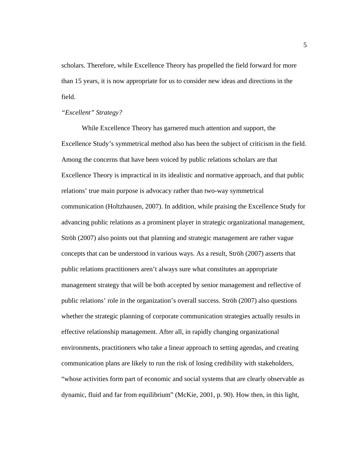scholars. Therefore, while Excellence Theory has propelled the field forward for more than 15 years, it is now appropriate for us to consider new ideas and directions in the field.

#### *"Excellent" Strategy?*

While Excellence Theory has garnered much attention and support, the Excellence Study's symmetrical method also has been the subject of criticism in the field. Among the concerns that have been voiced by public relations scholars are that Excellence Theory is impractical in its idealistic and normative approach, and that public relations' true main purpose is advocacy rather than two-way symmetrical communication (Holtzhausen, 2007). In addition, while praising the Excellence Study for advancing public relations as a prominent player in strategic organizational management, Ströh (2007) also points out that planning and strategic management are rather vague concepts that can be understood in various ways. As a result, Ströh (2007) asserts that public relations practitioners aren't always sure what constitutes an appropriate management strategy that will be both accepted by senior management and reflective of public relations' role in the organization's overall success. Ströh (2007) also questions whether the strategic planning of corporate communication strategies actually results in effective relationship management. After all, in rapidly changing organizational environments, practitioners who take a linear approach to setting agendas, and creating communication plans are likely to run the risk of losing credibility with stakeholders, "whose activities form part of economic and social systems that are clearly observable as dynamic, fluid and far from equilibrium" (McKie, 2001, p. 90). How then, in this light,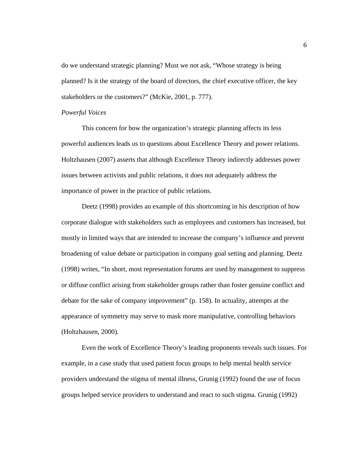do we understand strategic planning? Must we not ask, "Whose strategy is being planned? Is it the strategy of the board of directors, the chief executive officer, the key stakeholders or the customers?" (McKie, 2001, p. 777).

#### *Powerful Voices*

This concern for how the organization's strategic planning affects its less powerful audiences leads us to questions about Excellence Theory and power relations. Holtzhausen (2007) asserts that although Excellence Theory indirectly addresses power issues between activists and public relations, it does not adequately address the importance of power in the practice of public relations.

Deetz (1998) provides an example of this shortcoming in his description of how corporate dialogue with stakeholders such as employees and customers has increased, but mostly in limited ways that are intended to increase the company's influence and prevent broadening of value debate or participation in company goal setting and planning. Deetz (1998) writes, "In short, most representation forums are used by management to suppress or diffuse conflict arising from stakeholder groups rather than foster genuine conflict and debate for the sake of company improvement" (p. 158). In actuality, attempts at the appearance of symmetry may serve to mask more manipulative, controlling behaviors (Holtzhausen, 2000).

Even the work of Excellence Theory's leading proponents reveals such issues. For example, in a case study that used patient focus groups to help mental health service providers understand the stigma of mental illness, Grunig (1992) found the use of focus groups helped service providers to understand and react to such stigma. Grunig (1992)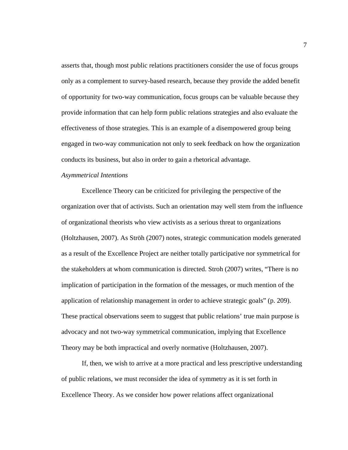asserts that, though most public relations practitioners consider the use of focus groups only as a complement to survey-based research, because they provide the added benefit of opportunity for two-way communication, focus groups can be valuable because they provide information that can help form public relations strategies and also evaluate the effectiveness of those strategies. This is an example of a disempowered group being engaged in two-way communication not only to seek feedback on how the organization conducts its business, but also in order to gain a rhetorical advantage.

#### *Asymmetrical Intentions*

Excellence Theory can be criticized for privileging the perspective of the organization over that of activists. Such an orientation may well stem from the influence of organizational theorists who view activists as a serious threat to organizations (Holtzhausen, 2007). As Ströh (2007) notes, strategic communication models generated as a result of the Excellence Project are neither totally participative nor symmetrical for the stakeholders at whom communication is directed. Stroh (2007) writes, "There is no implication of participation in the formation of the messages, or much mention of the application of relationship management in order to achieve strategic goals" (p. 209). These practical observations seem to suggest that public relations' true main purpose is advocacy and not two-way symmetrical communication, implying that Excellence Theory may be both impractical and overly normative (Holtzhausen, 2007).

If, then, we wish to arrive at a more practical and less prescriptive understanding of public relations, we must reconsider the idea of symmetry as it is set forth in Excellence Theory. As we consider how power relations affect organizational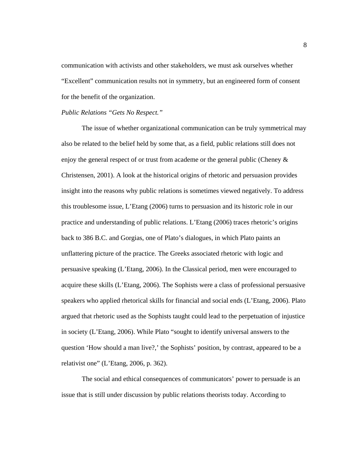communication with activists and other stakeholders, we must ask ourselves whether "Excellent" communication results not in symmetry, but an engineered form of consent for the benefit of the organization.

#### *Public Relations "Gets No Respect."*

The issue of whether organizational communication can be truly symmetrical may also be related to the belief held by some that, as a field, public relations still does not enjoy the general respect of or trust from academe or the general public (Cheney & Christensen, 2001). A look at the historical origins of rhetoric and persuasion provides insight into the reasons why public relations is sometimes viewed negatively. To address this troublesome issue, L'Etang (2006) turns to persuasion and its historic role in our practice and understanding of public relations. L'Etang (2006) traces rhetoric's origins back to 386 B.C. and Gorgias, one of Plato's dialogues, in which Plato paints an unflattering picture of the practice. The Greeks associated rhetoric with logic and persuasive speaking (L'Etang, 2006). In the Classical period, men were encouraged to acquire these skills (L'Etang, 2006). The Sophists were a class of professional persuasive speakers who applied rhetorical skills for financial and social ends (L'Etang, 2006). Plato argued that rhetoric used as the Sophists taught could lead to the perpetuation of injustice in society (L'Etang, 2006). While Plato "sought to identify universal answers to the question 'How should a man live?,' the Sophists' position, by contrast, appeared to be a relativist one" (L'Etang, 2006, p. 362).

The social and ethical consequences of communicators' power to persuade is an issue that is still under discussion by public relations theorists today. According to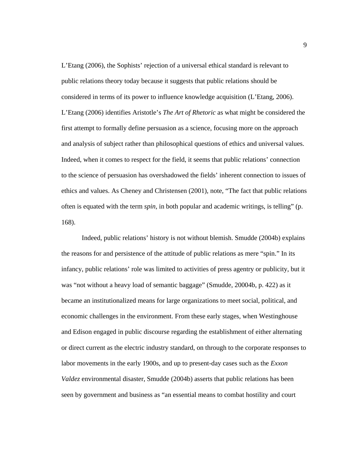L'Etang (2006), the Sophists' rejection of a universal ethical standard is relevant to public relations theory today because it suggests that public relations should be considered in terms of its power to influence knowledge acquisition (L'Etang, 2006). L'Etang (2006) identifies Aristotle's *The Art of Rhetoric* as what might be considered the first attempt to formally define persuasion as a science, focusing more on the approach and analysis of subject rather than philosophical questions of ethics and universal values. Indeed, when it comes to respect for the field, it seems that public relations' connection to the science of persuasion has overshadowed the fields' inherent connection to issues of ethics and values. As Cheney and Christensen (2001), note, "The fact that public relations often is equated with the term *spin,* in both popular and academic writings, is telling" (p. 168).

Indeed, public relations' history is not without blemish. Smudde (2004b) explains the reasons for and persistence of the attitude of public relations as mere "spin." In its infancy, public relations' role was limited to activities of press agentry or publicity, but it was "not without a heavy load of semantic baggage" (Smudde, 20004b, p. 422) as it became an institutionalized means for large organizations to meet social, political, and economic challenges in the environment. From these early stages, when Westinghouse and Edison engaged in public discourse regarding the establishment of either alternating or direct current as the electric industry standard, on through to the corporate responses to labor movements in the early 1900s, and up to present-day cases such as the *Exxon Valdez* environmental disaster, Smudde (2004b) asserts that public relations has been seen by government and business as "an essential means to combat hostility and court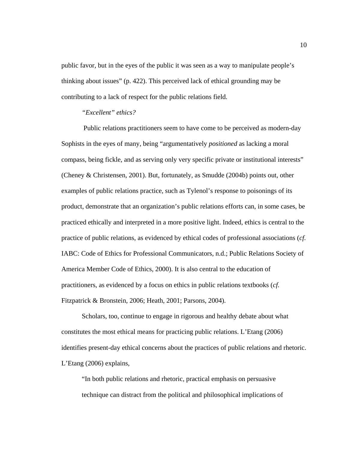public favor, but in the eyes of the public it was seen as a way to manipulate people's thinking about issues" (p. 422). This perceived lack of ethical grounding may be contributing to a lack of respect for the public relations field.

#### *"Excellent" ethics?*

 Public relations practitioners seem to have come to be perceived as modern-day Sophists in the eyes of many, being "argumentatively *positioned* as lacking a moral compass, being fickle, and as serving only very specific private or institutional interests" (Cheney & Christensen, 2001). But, fortunately, as Smudde (2004b) points out, other examples of public relations practice, such as Tylenol's response to poisonings of its product, demonstrate that an organization's public relations efforts can, in some cases, be practiced ethically and interpreted in a more positive light. Indeed, ethics is central to the practice of public relations, as evidenced by ethical codes of professional associations (*cf.* IABC: Code of Ethics for Professional Communicators, n.d.; Public Relations Society of America Member Code of Ethics, 2000). It is also central to the education of practitioners, as evidenced by a focus on ethics in public relations textbooks (*cf.* Fitzpatrick & Bronstein, 2006; Heath, 2001; Parsons, 2004).

Scholars, too, continue to engage in rigorous and healthy debate about what constitutes the most ethical means for practicing public relations. L'Etang (2006) identifies present-day ethical concerns about the practices of public relations and rhetoric. L'Etang (2006) explains,

"In both public relations and rhetoric, practical emphasis on persuasive technique can distract from the political and philosophical implications of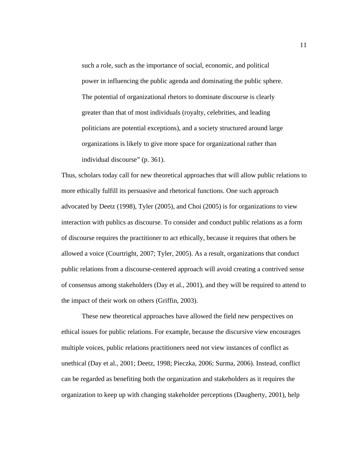such a role, such as the importance of social, economic, and political power in influencing the public agenda and dominating the public sphere. The potential of organizational rhetors to dominate discourse is clearly greater than that of most individuals (royalty, celebrities, and leading politicians are potential exceptions), and a society structured around large organizations is likely to give more space for organizational rather than individual discourse" (p. 361).

Thus, scholars today call for new theoretical approaches that will allow public relations to more ethically fulfill its persuasive and rhetorical functions. One such approach advocated by Deetz (1998), Tyler (2005), and Choi (2005) is for organizations to view interaction with publics as discourse. To consider and conduct public relations as a form of discourse requires the practitioner to act ethically, because it requires that others be allowed a voice (Courtright, 2007; Tyler, 2005). As a result, organizations that conduct public relations from a discourse-centered approach will avoid creating a contrived sense of consensus among stakeholders (Day et al*.*, 2001), and they will be required to attend to the impact of their work on others (Griffin, 2003).

These new theoretical approaches have allowed the field new perspectives on ethical issues for public relations. For example, because the discursive view encourages multiple voices, public relations practitioners need not view instances of conflict as unethical (Day et al*.*, 2001; Deetz, 1998; Pieczka, 2006; Surma, 2006). Instead, conflict can be regarded as benefiting both the organization and stakeholders as it requires the organization to keep up with changing stakeholder perceptions (Daugherty, 2001), help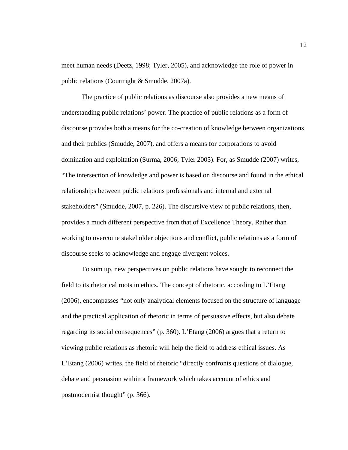meet human needs (Deetz, 1998; Tyler, 2005), and acknowledge the role of power in public relations (Courtright & Smudde, 2007a).

The practice of public relations as discourse also provides a new means of understanding public relations' power. The practice of public relations as a form of discourse provides both a means for the co-creation of knowledge between organizations and their publics (Smudde, 2007), and offers a means for corporations to avoid domination and exploitation (Surma, 2006; Tyler 2005). For, as Smudde (2007) writes, "The intersection of knowledge and power is based on discourse and found in the ethical relationships between public relations professionals and internal and external stakeholders" (Smudde, 2007, p. 226). The discursive view of public relations, then, provides a much different perspective from that of Excellence Theory. Rather than working to overcome stakeholder objections and conflict, public relations as a form of discourse seeks to acknowledge and engage divergent voices.

To sum up, new perspectives on public relations have sought to reconnect the field to its rhetorical roots in ethics. The concept of rhetoric, according to L'Etang (2006), encompasses "not only analytical elements focused on the structure of language and the practical application of rhetoric in terms of persuasive effects, but also debate regarding its social consequences" (p. 360). L'Etang (2006) argues that a return to viewing public relations as rhetoric will help the field to address ethical issues. As L'Etang (2006) writes, the field of rhetoric "directly confronts questions of dialogue, debate and persuasion within a framework which takes account of ethics and postmodernist thought" (p. 366).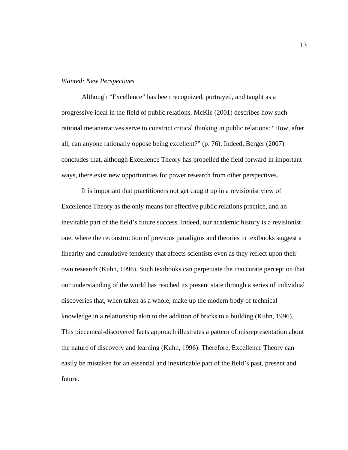#### *Wanted: New Perspectives*

Although "Excellence" has been recognized, portrayed, and taught as a progressive ideal in the field of public relations, McKie (2001) describes how such rational metanarratives serve to constrict critical thinking in public relations: "How, after all, can anyone rationally oppose being excellent?" (p. 76). Indeed, Berger (2007) concludes that, although Excellence Theory has propelled the field forward in important ways, there exist new opportunities for power research from other perspectives.

It is important that practitioners not get caught up in a revisionist view of Excellence Theory as the only means for effective public relations practice, and an inevitable part of the field's future success. Indeed, our academic history is a revisionist one, where the reconstruction of previous paradigms and theories in textbooks suggest a linearity and cumulative tendency that affects scientists even as they reflect upon their own research (Kuhn, 1996). Such textbooks can perpetuate the inaccurate perception that our understanding of the world has reached its present state through a series of individual discoveries that, when taken as a whole, make up the modern body of technical knowledge in a relationship akin to the addition of bricks to a building (Kuhn, 1996). This piecemeal-discovered facts approach illustrates a pattern of misrepresentation about the nature of discovery and learning (Kuhn, 1996). Therefore, Excellence Theory can easily be mistaken for an essential and inextricable part of the field's past, present and future.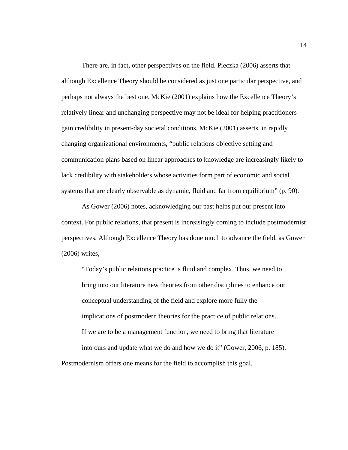There are, in fact, other perspectives on the field. Pieczka (2006) asserts that although Excellence Theory should be considered as just one particular perspective, and perhaps not always the best one. McKie (2001) explains how the Excellence Theory's relatively linear and unchanging perspective may not be ideal for helping practitioners gain credibility in present-day societal conditions. McKie (2001) asserts, in rapidly changing organizational environments, "public relations objective setting and communication plans based on linear approaches to knowledge are increasingly likely to lack credibility with stakeholders whose activities form part of economic and social systems that are clearly observable as dynamic, fluid and far from equilibrium" (p. 90).

As Gower (2006) notes, acknowledging our past helps put our present into context. For public relations, that present is increasingly coming to include postmodernist perspectives. Although Excellence Theory has done much to advance the field, as Gower (2006) writes,

"Today's public relations practice is fluid and complex. Thus, we need to bring into our literature new theories from other disciplines to enhance our conceptual understanding of the field and explore more fully the implications of postmodern theories for the practice of public relations… If we are to be a management function, we need to bring that literature into ours and update what we do and how we do it" (Gower, 2006, p. 185). Postmodernism offers one means for the field to accomplish this goal.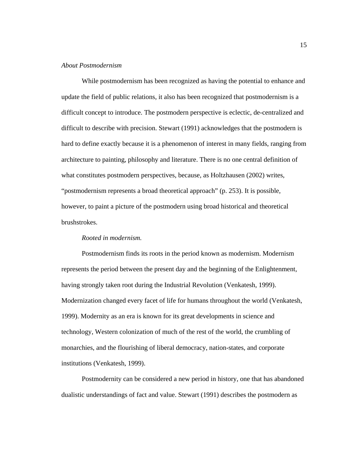#### *About Postmodernism*

While postmodernism has been recognized as having the potential to enhance and update the field of public relations, it also has been recognized that postmodernism is a difficult concept to introduce. The postmodern perspective is eclectic, de-centralized and difficult to describe with precision. Stewart (1991) acknowledges that the postmodern is hard to define exactly because it is a phenomenon of interest in many fields, ranging from architecture to painting, philosophy and literature. There is no one central definition of what constitutes postmodern perspectives, because, as Holtzhausen (2002) writes, "postmodernism represents a broad theoretical approach" (p. 253). It is possible, however, to paint a picture of the postmodern using broad historical and theoretical brushstrokes.

#### *Rooted in modernism.*

Postmodernism finds its roots in the period known as modernism. Modernism represents the period between the present day and the beginning of the Enlightenment, having strongly taken root during the Industrial Revolution (Venkatesh, 1999). Modernization changed every facet of life for humans throughout the world (Venkatesh, 1999). Modernity as an era is known for its great developments in science and technology, Western colonization of much of the rest of the world, the crumbling of monarchies, and the flourishing of liberal democracy, nation-states, and corporate institutions (Venkatesh, 1999).

Postmodernity can be considered a new period in history, one that has abandoned dualistic understandings of fact and value. Stewart (1991) describes the postmodern as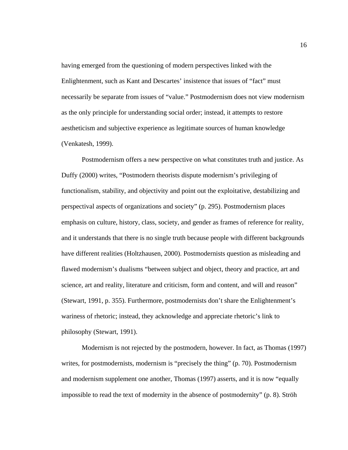having emerged from the questioning of modern perspectives linked with the Enlightenment, such as Kant and Descartes' insistence that issues of "fact" must necessarily be separate from issues of "value." Postmodernism does not view modernism as the only principle for understanding social order; instead, it attempts to restore aestheticism and subjective experience as legitimate sources of human knowledge (Venkatesh, 1999).

Postmodernism offers a new perspective on what constitutes truth and justice. As Duffy (2000) writes, "Postmodern theorists dispute modernism's privileging of functionalism, stability, and objectivity and point out the exploitative, destabilizing and perspectival aspects of organizations and society" (p. 295). Postmodernism places emphasis on culture, history, class, society, and gender as frames of reference for reality, and it understands that there is no single truth because people with different backgrounds have different realities (Holtzhausen, 2000). Postmodernists question as misleading and flawed modernism's dualisms "between subject and object, theory and practice, art and science, art and reality, literature and criticism, form and content, and will and reason" (Stewart, 1991, p. 355). Furthermore, postmodernists don't share the Enlightenment's wariness of rhetoric; instead, they acknowledge and appreciate rhetoric's link to philosophy (Stewart, 1991).

Modernism is not rejected by the postmodern, however. In fact, as Thomas (1997) writes, for postmodernists, modernism is "precisely the thing" (p. 70). Postmodernism and modernism supplement one another, Thomas (1997) asserts, and it is now "equally impossible to read the text of modernity in the absence of postmodernity" (p. 8). Ströh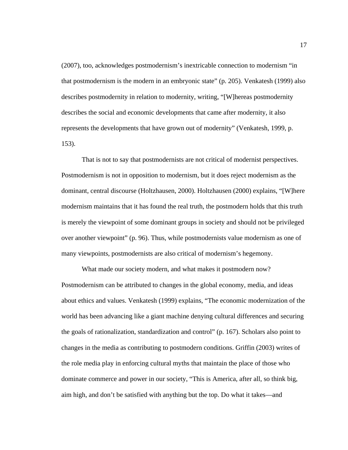(2007), too, acknowledges postmodernism's inextricable connection to modernism "in that postmodernism is the modern in an embryonic state" (p. 205). Venkatesh (1999) also describes postmodernity in relation to modernity, writing, "[W]hereas postmodernity describes the social and economic developments that came after modernity, it also represents the developments that have grown out of modernity" (Venkatesh, 1999, p. 153).

That is not to say that postmodernists are not critical of modernist perspectives. Postmodernism is not in opposition to modernism, but it does reject modernism as the dominant, central discourse (Holtzhausen, 2000). Holtzhausen (2000) explains, "[W]here modernism maintains that it has found the real truth, the postmodern holds that this truth is merely the viewpoint of some dominant groups in society and should not be privileged over another viewpoint" (p. 96). Thus, while postmodernists value modernism as one of many viewpoints, postmodernists are also critical of modernism's hegemony.

 What made our society modern, and what makes it postmodern now? Postmodernism can be attributed to changes in the global economy, media, and ideas about ethics and values. Venkatesh (1999) explains, "The economic modernization of the world has been advancing like a giant machine denying cultural differences and securing the goals of rationalization, standardization and control" (p. 167). Scholars also point to changes in the media as contributing to postmodern conditions. Griffin (2003) writes of the role media play in enforcing cultural myths that maintain the place of those who dominate commerce and power in our society, "This is America, after all, so think big, aim high, and don't be satisfied with anything but the top. Do what it takes—and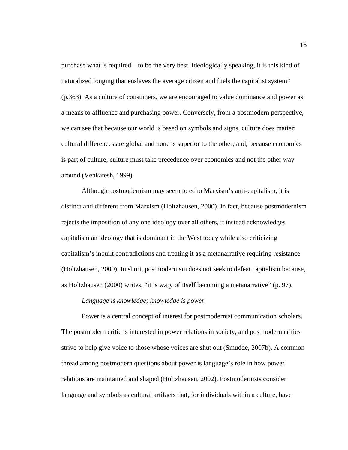purchase what is required—to be the very best. Ideologically speaking, it is this kind of naturalized longing that enslaves the average citizen and fuels the capitalist system" (p.363). As a culture of consumers, we are encouraged to value dominance and power as a means to affluence and purchasing power. Conversely, from a postmodern perspective, we can see that because our world is based on symbols and signs, culture does matter; cultural differences are global and none is superior to the other; and, because economics is part of culture, culture must take precedence over economics and not the other way around (Venkatesh, 1999).

Although postmodernism may seem to echo Marxism's anti-capitalism, it is distinct and different from Marxism (Holtzhausen, 2000). In fact, because postmodernism rejects the imposition of any one ideology over all others, it instead acknowledges capitalism an ideology that is dominant in the West today while also criticizing capitalism's inbuilt contradictions and treating it as a metanarrative requiring resistance (Holtzhausen, 2000). In short, postmodernism does not seek to defeat capitalism because, as Holtzhausen (2000) writes, "it is wary of itself becoming a metanarrative" (p. 97).

#### *Language is knowledge; knowledge is power.*

Power is a central concept of interest for postmodernist communication scholars. The postmodern critic is interested in power relations in society, and postmodern critics strive to help give voice to those whose voices are shut out (Smudde, 2007b). A common thread among postmodern questions about power is language's role in how power relations are maintained and shaped (Holtzhausen, 2002). Postmodernists consider language and symbols as cultural artifacts that, for individuals within a culture, have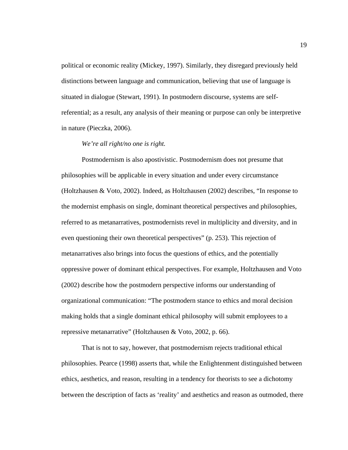political or economic reality (Mickey, 1997). Similarly, they disregard previously held distinctions between language and communication, believing that use of language is situated in dialogue (Stewart, 1991). In postmodern discourse, systems are selfreferential; as a result, any analysis of their meaning or purpose can only be interpretive in nature (Pieczka, 2006).

#### *We're all right/no one is right.*

Postmodernism is also apostivistic. Postmodernism does not presume that philosophies will be applicable in every situation and under every circumstance (Holtzhausen & Voto, 2002). Indeed, as Holtzhausen (2002) describes, "In response to the modernist emphasis on single, dominant theoretical perspectives and philosophies, referred to as metanarratives, postmodernists revel in multiplicity and diversity, and in even questioning their own theoretical perspectives" (p. 253). This rejection of metanarratives also brings into focus the questions of ethics, and the potentially oppressive power of dominant ethical perspectives. For example, Holtzhausen and Voto (2002) describe how the postmodern perspective informs our understanding of organizational communication: "The postmodern stance to ethics and moral decision making holds that a single dominant ethical philosophy will submit employees to a repressive metanarrative" (Holtzhausen & Voto, 2002, p. 66).

That is not to say, however, that postmodernism rejects traditional ethical philosophies. Pearce (1998) asserts that, while the Enlightenment distinguished between ethics, aesthetics, and reason, resulting in a tendency for theorists to see a dichotomy between the description of facts as 'reality' and aesthetics and reason as outmoded, there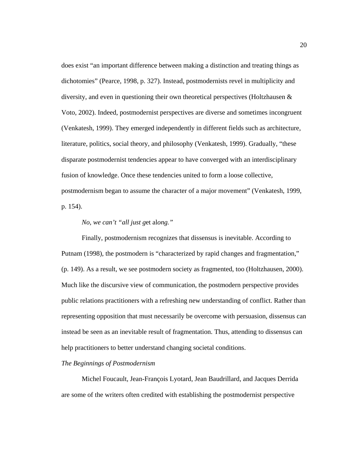does exist "an important difference between making a distinction and treating things as dichotomies" (Pearce, 1998, p. 327). Instead, postmodernists revel in multiplicity and diversity, and even in questioning their own theoretical perspectives (Holtzhausen & Voto, 2002). Indeed, postmodernist perspectives are diverse and sometimes incongruent (Venkatesh, 1999). They emerged independently in different fields such as architecture, literature, politics, social theory, and philosophy (Venkatesh, 1999). Gradually, "these disparate postmodernist tendencies appear to have converged with an interdisciplinary fusion of knowledge. Once these tendencies united to form a loose collective, postmodernism began to assume the character of a major movement" (Venkatesh, 1999, p. 154).

#### *No, we can't "all just g*et al*ong."*

Finally, postmodernism recognizes that dissensus is inevitable. According to Putnam (1998), the postmodern is "characterized by rapid changes and fragmentation," (p. 149). As a result, we see postmodern society as fragmented, too (Holtzhausen, 2000). Much like the discursive view of communication, the postmodern perspective provides public relations practitioners with a refreshing new understanding of conflict. Rather than representing opposition that must necessarily be overcome with persuasion, dissensus can instead be seen as an inevitable result of fragmentation. Thus, attending to dissensus can help practitioners to better understand changing societal conditions.

#### *The Beginnings of Postmodernism*

 Michel Foucault, Jean-François Lyotard, Jean Baudrillard, and Jacques Derrida are some of the writers often credited with establishing the postmodernist perspective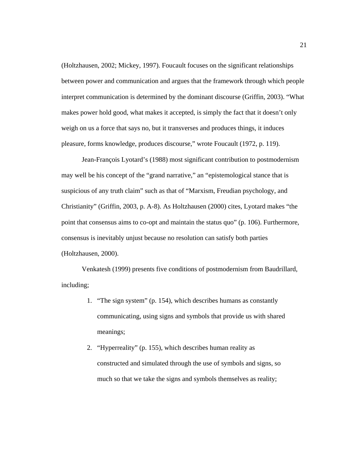(Holtzhausen, 2002; Mickey, 1997). Foucault focuses on the significant relationships between power and communication and argues that the framework through which people interpret communication is determined by the dominant discourse (Griffin, 2003). "What makes power hold good, what makes it accepted, is simply the fact that it doesn't only weigh on us a force that says no, but it transverses and produces things, it induces pleasure, forms knowledge, produces discourse," wrote Foucault (1972, p. 119).

Jean-François Lyotard's (1988) most significant contribution to postmodernism may well be his concept of the "grand narrative," an "epistemological stance that is suspicious of any truth claim" such as that of "Marxism, Freudian psychology, and Christianity" (Griffin, 2003, p. A-8). As Holtzhausen (2000) cites, Lyotard makes "the point that consensus aims to co-opt and maintain the status quo" (p. 106). Furthermore, consensus is inevitably unjust because no resolution can satisfy both parties (Holtzhausen, 2000).

Venkatesh (1999) presents five conditions of postmodernism from Baudrillard, including;

- 1. "The sign system" (p. 154), which describes humans as constantly communicating, using signs and symbols that provide us with shared meanings;
- 2. "Hyperreality" (p. 155), which describes human reality as constructed and simulated through the use of symbols and signs, so much so that we take the signs and symbols themselves as reality;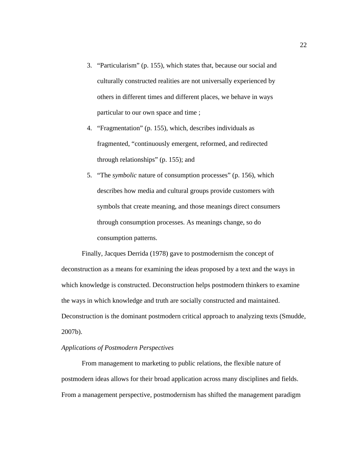- 3. "Particularism" (p. 155), which states that, because our social and culturally constructed realities are not universally experienced by others in different times and different places, we behave in ways particular to our own space and time ;
- 4. "Fragmentation" (p. 155), which, describes individuals as fragmented, "continuously emergent, reformed, and redirected through relationships" (p. 155); and
- 5. "The *symbolic* nature of consumption processes" (p. 156), which describes how media and cultural groups provide customers with symbols that create meaning, and those meanings direct consumers through consumption processes. As meanings change, so do consumption patterns.

Finally, Jacques Derrida (1978) gave to postmodernism the concept of deconstruction as a means for examining the ideas proposed by a text and the ways in which knowledge is constructed. Deconstruction helps postmodern thinkers to examine the ways in which knowledge and truth are socially constructed and maintained. Deconstruction is the dominant postmodern critical approach to analyzing texts (Smudde, 2007b).

#### *Applications of Postmodern Perspectives*

From management to marketing to public relations, the flexible nature of postmodern ideas allows for their broad application across many disciplines and fields. From a management perspective, postmodernism has shifted the management paradigm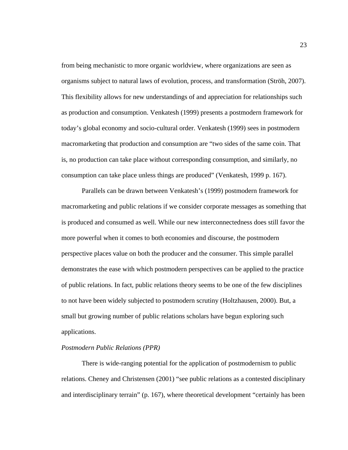from being mechanistic to more organic worldview, where organizations are seen as organisms subject to natural laws of evolution, process, and transformation (Ströh, 2007). This flexibility allows for new understandings of and appreciation for relationships such as production and consumption. Venkatesh (1999) presents a postmodern framework for today's global economy and socio-cultural order. Venkatesh (1999) sees in postmodern macromarketing that production and consumption are "two sides of the same coin. That is, no production can take place without corresponding consumption, and similarly, no consumption can take place unless things are produced" (Venkatesh, 1999 p. 167).

Parallels can be drawn between Venkatesh's (1999) postmodern framework for macromarketing and public relations if we consider corporate messages as something that is produced and consumed as well. While our new interconnectedness does still favor the more powerful when it comes to both economies and discourse, the postmodern perspective places value on both the producer and the consumer. This simple parallel demonstrates the ease with which postmodern perspectives can be applied to the practice of public relations. In fact, public relations theory seems to be one of the few disciplines to not have been widely subjected to postmodern scrutiny (Holtzhausen, 2000). But, a small but growing number of public relations scholars have begun exploring such applications.

#### *Postmodern Public Relations (PPR)*

There is wide-ranging potential for the application of postmodernism to public relations. Cheney and Christensen (2001) "see public relations as a contested disciplinary and interdisciplinary terrain" (p. 167), where theoretical development "certainly has been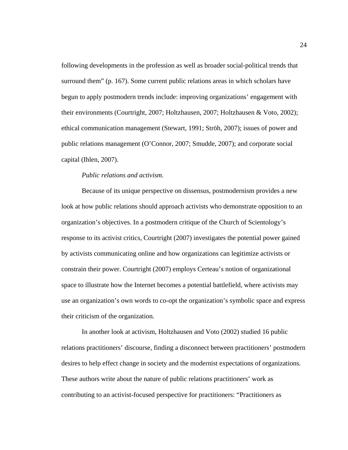following developments in the profession as well as broader social-political trends that surround them" (p. 167). Some current public relations areas in which scholars have begun to apply postmodern trends include: improving organizations' engagement with their environments (Courtright, 2007; Holtzhausen, 2007; Holtzhausen & Voto, 2002); ethical communication management (Stewart, 1991; Ströh, 2007); issues of power and public relations management (O'Connor, 2007; Smudde, 2007); and corporate social capital (Ihlen, 2007).

#### *Public relations and activism.*

Because of its unique perspective on dissensus, postmodernism provides a new look at how public relations should approach activists who demonstrate opposition to an organization's objectives. In a postmodern critique of the Church of Scientology's response to its activist critics, Courtright (2007) investigates the potential power gained by activists communicating online and how organizations can legitimize activists or constrain their power. Courtright (2007) employs Certeau's notion of organizational space to illustrate how the Internet becomes a potential battlefield, where activists may use an organization's own words to co-opt the organization's symbolic space and express their criticism of the organization*.*

In another look at activism, Holtzhausen and Voto (2002) studied 16 public relations practitioners' discourse, finding a disconnect between practitioners' postmodern desires to help effect change in society and the modernist expectations of organizations. These authors write about the nature of public relations practitioners' work as contributing to an activist-focused perspective for practitioners: "Practitioners as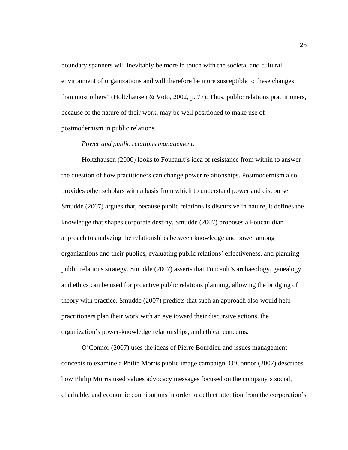boundary spanners will inevitably be more in touch with the societal and cultural environment of organizations and will therefore be more susceptible to these changes than most others" (Holtzhausen & Voto, 2002, p. 77). Thus, public relations practitioners, because of the nature of their work, may be well positioned to make use of postmodernism in public relations.

#### *Power and public relations management.*

Holtzhausen (2000) looks to Foucault's idea of resistance from within to answer the question of how practitioners can change power relationships. Postmodernism also provides other scholars with a basis from which to understand power and discourse. Smudde (2007) argues that, because public relations is discursive in nature, it defines the knowledge that shapes corporate destiny. Smudde (2007) proposes a Foucauldian approach to analyzing the relationships between knowledge and power among organizations and their publics, evaluating public relations' effectiveness, and planning public relations strategy. Smudde (2007) asserts that Foucault's archaeology, genealogy, and ethics can be used for proactive public relations planning, allowing the bridging of theory with practice. Smudde (2007) predicts that such an approach also would help practitioners plan their work with an eye toward their discursive actions, the organization's power-knowledge relationships, and ethical concerns.

O'Connor (2007) uses the ideas of Pierre Bourdieu and issues management concepts to examine a Philip Morris public image campaign. O'Connor (2007) describes how Philip Morris used values advocacy messages focused on the company's social, charitable, and economic contributions in order to deflect attention from the corporation's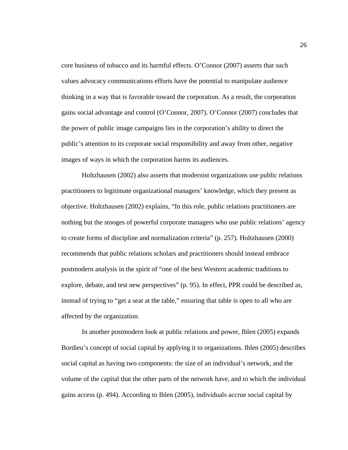core business of tobacco and its harmful effects. O'Connor (2007) asserts that such values advocacy communications efforts have the potential to manipulate audience thinking in a way that is favorable toward the corporation. As a result, the corporation gains social advantage and control (O'Connor, 2007). O'Connor (2007) concludes that the power of public image campaigns lies in the corporation's ability to direct the public's attention to its corporate social responsibility and away from other, negative images of ways in which the corporation harms its audiences.

Holtzhausen (2002) also asserts that modernist organizations use public relations practitioners to legitimate organizational managers' knowledge, which they present as objective. Holtzhausen (2002) explains, "In this role, public relations practitioners are nothing but the stooges of powerful corporate managers who use public relations' agency to create forms of discipline and normalization criteria" (p. 257). Holtzhausen (2000) recommends that public relations scholars and practitioners should instead embrace postmodern analysis in the spirit of "one of the best Western academic traditions to explore, debate, and test new perspectives" (p. 95). In effect, PPR could be described as, instead of trying to "get a seat at the table," ensuring that table is open to all who are affected by the organization.

In another postmodern look at public relations and power, Ihlen (2005) expands Bordieu's concept of social capital by applying it to organizations. Ihlen (2005) describes social capital as having two components: the size of an individual's network, and the volume of the capital that the other parts of the network have, and to which the individual gains access (p. 494). According to Ihlen (2005), individuals accrue social capital by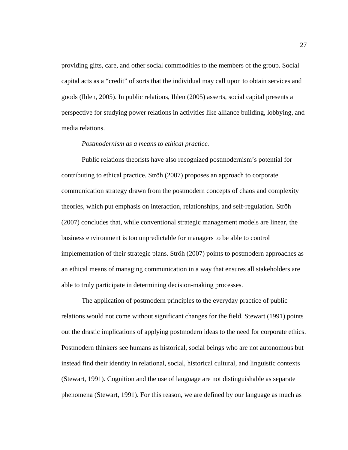providing gifts, care, and other social commodities to the members of the group. Social capital acts as a "credit" of sorts that the individual may call upon to obtain services and goods (Ihlen, 2005). In public relations, Ihlen (2005) asserts, social capital presents a perspective for studying power relations in activities like alliance building, lobbying, and media relations.

#### *Postmodernism as a means to ethical practice.*

Public relations theorists have also recognized postmodernism's potential for contributing to ethical practice. Ströh (2007) proposes an approach to corporate communication strategy drawn from the postmodern concepts of chaos and complexity theories, which put emphasis on interaction, relationships, and self-regulation. Ströh (2007) concludes that, while conventional strategic management models are linear, the business environment is too unpredictable for managers to be able to control implementation of their strategic plans. Ströh (2007) points to postmodern approaches as an ethical means of managing communication in a way that ensures all stakeholders are able to truly participate in determining decision-making processes.

The application of postmodern principles to the everyday practice of public relations would not come without significant changes for the field. Stewart (1991) points out the drastic implications of applying postmodern ideas to the need for corporate ethics. Postmodern thinkers see humans as historical, social beings who are not autonomous but instead find their identity in relational, social, historical cultural, and linguistic contexts (Stewart, 1991). Cognition and the use of language are not distinguishable as separate phenomena (Stewart, 1991). For this reason, we are defined by our language as much as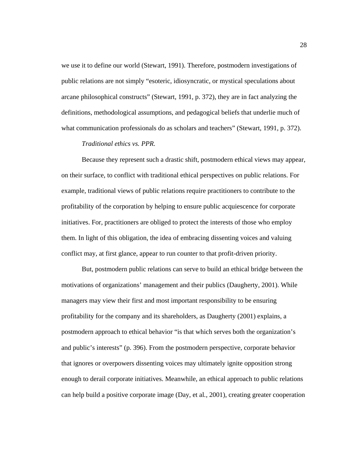we use it to define our world (Stewart, 1991). Therefore, postmodern investigations of public relations are not simply "esoteric, idiosyncratic, or mystical speculations about arcane philosophical constructs" (Stewart, 1991, p. 372), they are in fact analyzing the definitions, methodological assumptions, and pedagogical beliefs that underlie much of what communication professionals do as scholars and teachers" (Stewart, 1991, p. 372).

#### *Traditional ethics vs. PPR.*

Because they represent such a drastic shift, postmodern ethical views may appear, on their surface, to conflict with traditional ethical perspectives on public relations. For example, traditional views of public relations require practitioners to contribute to the profitability of the corporation by helping to ensure public acquiescence for corporate initiatives. For, practitioners are obliged to protect the interests of those who employ them. In light of this obligation, the idea of embracing dissenting voices and valuing conflict may, at first glance, appear to run counter to that profit-driven priority.

But, postmodern public relations can serve to build an ethical bridge between the motivations of organizations' management and their publics (Daugherty, 2001). While managers may view their first and most important responsibility to be ensuring profitability for the company and its shareholders, as Daugherty (2001) explains, a postmodern approach to ethical behavior "is that which serves both the organization's and public's interests" (p. 396). From the postmodern perspective, corporate behavior that ignores or overpowers dissenting voices may ultimately ignite opposition strong enough to derail corporate initiatives. Meanwhile, an ethical approach to public relations can help build a positive corporate image (Day, et al*.*, 2001), creating greater cooperation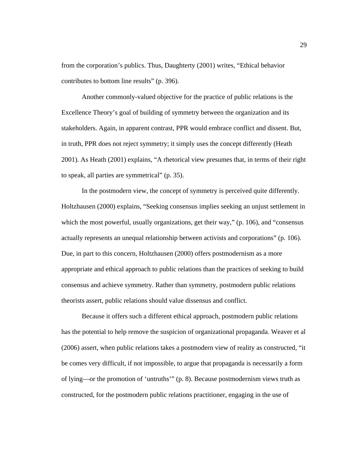from the corporation's publics. Thus, Daughterty (2001) writes, "Ethical behavior contributes to bottom line results" (p. 396).

Another commonly-valued objective for the practice of public relations is the Excellence Theory's goal of building of symmetry between the organization and its stakeholders. Again, in apparent contrast, PPR would embrace conflict and dissent. But, in truth, PPR does not reject symmetry; it simply uses the concept differently (Heath 2001). As Heath (2001) explains, "A rhetorical view presumes that, in terms of their right to speak, all parties are symmetrical" (p. 35).

In the postmodern view, the concept of symmetry is perceived quite differently. Holtzhausen (2000) explains, "Seeking consensus implies seeking an unjust settlement in which the most powerful, usually organizations, get their way," (p. 106), and "consensus actually represents an unequal relationship between activists and corporations" (p. 106). Due, in part to this concern, Holtzhausen (2000) offers postmodernism as a more appropriate and ethical approach to public relations than the practices of seeking to build consensus and achieve symmetry. Rather than symmetry, postmodern public relations theorists assert, public relations should value dissensus and conflict.

Because it offers such a different ethical approach, postmodern public relations has the potential to help remove the suspicion of organizational propaganda. Weaver et al (2006) assert, when public relations takes a postmodern view of reality as constructed, "it be comes very difficult, if not impossible, to argue that propaganda is necessarily a form of lying—or the promotion of 'untruths'" (p. 8). Because postmodernism views truth as constructed, for the postmodern public relations practitioner, engaging in the use of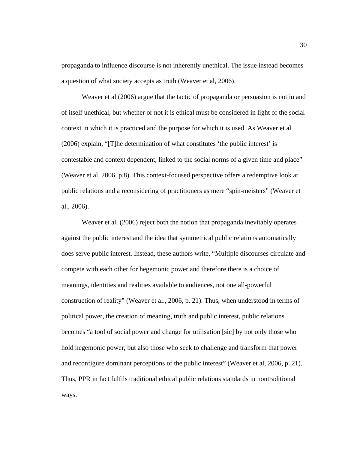propaganda to influence discourse is not inherently unethical. The issue instead becomes a question of what society accepts as truth (Weaver et al, 2006).

Weaver et al (2006) argue that the tactic of propaganda or persuasion is not in and of itself unethical, but whether or not it is ethical must be considered in light of the social context in which it is practiced and the purpose for which it is used. As Weaver et al (2006) explain, "[T]he determination of what constitutes 'the public interest' is contestable and context dependent, linked to the social norms of a given time and place" (Weaver et al, 2006, p.8). This context-focused perspective offers a redemptive look at public relations and a reconsidering of practitioners as mere "spin-meisters" (Weaver et al., 2006).

Weaver et al. (2006) reject both the notion that propaganda inevitably operates against the public interest and the idea that symmetrical public relations automatically does serve public interest. Instead, these authors write, "Multiple discourses circulate and compete with each other for hegemonic power and therefore there is a choice of meanings, identities and realities available to audiences, not one all-powerful construction of reality" (Weaver et al., 2006, p. 21). Thus, when understood in terms of political power, the creation of meaning, truth and public interest, public relations becomes "a tool of social power and change for utilisation [sic] by not only those who hold hegemonic power, but also those who seek to challenge and transform that power and reconfigure dominant perceptions of the public interest" (Weaver et al, 2006, p. 21). Thus, PPR in fact fulfils traditional ethical public relations standards in nontraditional ways.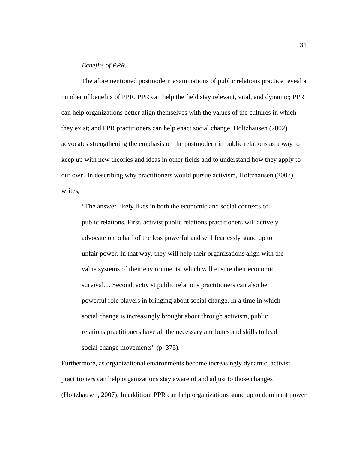## *Benefits of PPR.*

The aforementioned postmodern examinations of public relations practice reveal a number of benefits of PPR. PPR can help the field stay relevant, vital, and dynamic; PPR can help organizations better align themselves with the values of the cultures in which they exist; and PPR practitioners can help enact social change. Holtzhausen (2002) advocates strengthening the emphasis on the postmodern in public relations as a way to keep up with new theories and ideas in other fields and to understand how they apply to our own. In describing why practitioners would pursue activism, Holtzhausen (2007) writes,

"The answer likely likes in both the economic and social contexts of public relations. First, activist public relations practitioners will actively advocate on behalf of the less powerful and will fearlessly stand up to unfair power. In that way, they will help their organizations align with the value systems of their environments, which will ensure their economic survival… Second, activist public relations practitioners can also be powerful role players in bringing about social change. In a time in which social change is increasingly brought about through activism, public relations practitioners have all the necessary attributes and skills to lead social change movements" (p. 375).

Furthermore, as organizational environments become increasingly dynamic, activist practitioners can help organizations stay aware of and adjust to those changes (Holtzhausen, 2007). In addition, PPR can help organizations stand up to dominant power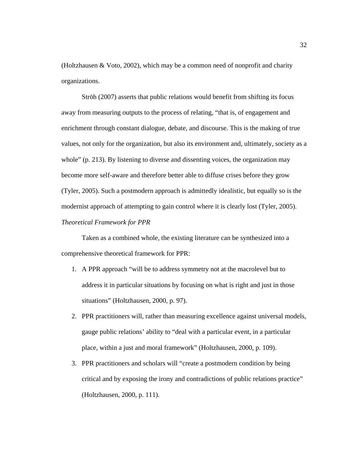(Holtzhausen & Voto, 2002), which may be a common need of nonprofit and charity organizations.

Ströh (2007) asserts that public relations would benefit from shifting its focus away from measuring outputs to the process of relating, "that is, of engagement and enrichment through constant dialogue, debate, and discourse. This is the making of true values, not only for the organization, but also its environment and, ultimately, society as a whole" (p. 213). By listening to diverse and dissenting voices, the organization may become more self-aware and therefore better able to diffuse crises before they grow (Tyler, 2005). Such a postmodern approach is admittedly idealistic, but equally so is the modernist approach of attempting to gain control where it is clearly lost (Tyler, 2005). *Theoretical Framework for PPR* 

Taken as a combined whole, the existing literature can be synthesized into a comprehensive theoretical framework for PPR:

- 1. A PPR approach "will be to address symmetry not at the macrolevel but to address it in particular situations by focusing on what is right and just in those situations" (Holtzhausen, 2000, p. 97).
- 2. PPR practitioners will, rather than measuring excellence against universal models, gauge public relations' ability to "deal with a particular event, in a particular place, within a just and moral framework" (Holtzhausen, 2000, p. 109).
- 3. PPR practitioners and scholars will "create a postmodern condition by being critical and by exposing the irony and contradictions of public relations practice" (Holtzhausen, 2000, p. 111).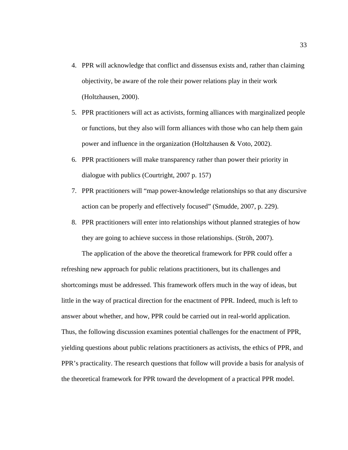- 4. PPR will acknowledge that conflict and dissensus exists and, rather than claiming objectivity, be aware of the role their power relations play in their work (Holtzhausen, 2000).
- 5. PPR practitioners will act as activists, forming alliances with marginalized people or functions, but they also will form alliances with those who can help them gain power and influence in the organization (Holtzhausen & Voto, 2002).
- 6. PPR practitioners will make transparency rather than power their priority in dialogue with publics (Courtright, 2007 p. 157)
- 7. PPR practitioners will "map power-knowledge relationships so that any discursive action can be properly and effectively focused" (Smudde, 2007, p. 229).
- 8. PPR practitioners will enter into relationships without planned strategies of how they are going to achieve success in those relationships. (Ströh, 2007).

The application of the above the theoretical framework for PPR could offer a

refreshing new approach for public relations practitioners, but its challenges and shortcomings must be addressed. This framework offers much in the way of ideas, but little in the way of practical direction for the enactment of PPR. Indeed, much is left to answer about whether, and how, PPR could be carried out in real-world application. Thus, the following discussion examines potential challenges for the enactment of PPR, yielding questions about public relations practitioners as activists, the ethics of PPR, and PPR's practicality. The research questions that follow will provide a basis for analysis of the theoretical framework for PPR toward the development of a practical PPR model.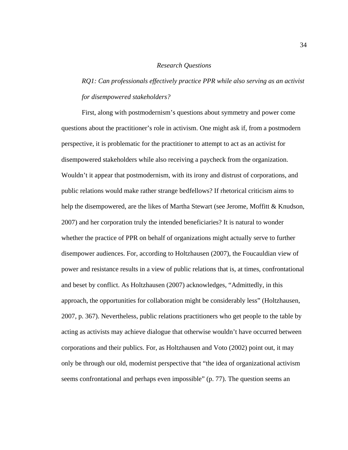#### *Research Questions*

# *RQ1: Can professionals effectively practice PPR while also serving as an activist for disempowered stakeholders?*

First, along with postmodernism's questions about symmetry and power come questions about the practitioner's role in activism. One might ask if, from a postmodern perspective, it is problematic for the practitioner to attempt to act as an activist for disempowered stakeholders while also receiving a paycheck from the organization. Wouldn't it appear that postmodernism, with its irony and distrust of corporations, and public relations would make rather strange bedfellows? If rhetorical criticism aims to help the disempowered, are the likes of Martha Stewart (see Jerome, Moffitt & Knudson, 2007) and her corporation truly the intended beneficiaries? It is natural to wonder whether the practice of PPR on behalf of organizations might actually serve to further disempower audiences. For, according to Holtzhausen (2007), the Foucauldian view of power and resistance results in a view of public relations that is, at times, confrontational and beset by conflict. As Holtzhausen (2007) acknowledges, "Admittedly, in this approach, the opportunities for collaboration might be considerably less" (Holtzhausen, 2007, p. 367). Nevertheless, public relations practitioners who get people to the table by acting as activists may achieve dialogue that otherwise wouldn't have occurred between corporations and their publics. For, as Holtzhausen and Voto (2002) point out, it may only be through our old, modernist perspective that "the idea of organizational activism seems confrontational and perhaps even impossible" (p. 77). The question seems an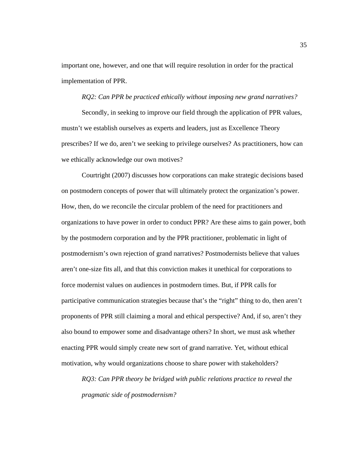important one, however, and one that will require resolution in order for the practical implementation of PPR.

## *RQ2: Can PPR be practiced ethically without imposing new grand narratives?*

Secondly, in seeking to improve our field through the application of PPR values, mustn't we establish ourselves as experts and leaders, just as Excellence Theory prescribes? If we do, aren't we seeking to privilege ourselves? As practitioners, how can we ethically acknowledge our own motives?

Courtright (2007) discusses how corporations can make strategic decisions based on postmodern concepts of power that will ultimately protect the organization's power. How, then, do we reconcile the circular problem of the need for practitioners and organizations to have power in order to conduct PPR? Are these aims to gain power, both by the postmodern corporation and by the PPR practitioner, problematic in light of postmodernism's own rejection of grand narratives? Postmodernists believe that values aren't one-size fits all, and that this conviction makes it unethical for corporations to force modernist values on audiences in postmodern times. But, if PPR calls for participative communication strategies because that's the "right" thing to do, then aren't proponents of PPR still claiming a moral and ethical perspective? And, if so, aren't they also bound to empower some and disadvantage others? In short, we must ask whether enacting PPR would simply create new sort of grand narrative. Yet, without ethical motivation, why would organizations choose to share power with stakeholders?

*RQ3: Can PPR theory be bridged with public relations practice to reveal the pragmatic side of postmodernism?*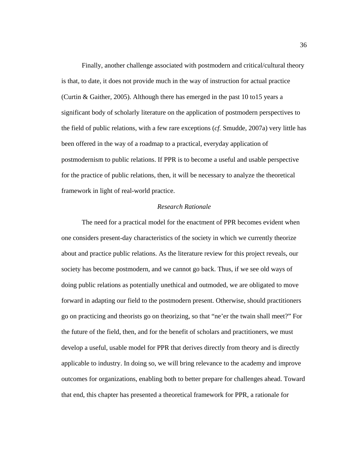Finally, another challenge associated with postmodern and critical/cultural theory is that, to date, it does not provide much in the way of instruction for actual practice (Curtin & Gaither, 2005). Although there has emerged in the past 10 to15 years a significant body of scholarly literature on the application of postmodern perspectives to the field of public relations, with a few rare exceptions (*cf.* Smudde, 2007a) very little has been offered in the way of a roadmap to a practical, everyday application of postmodernism to public relations. If PPR is to become a useful and usable perspective for the practice of public relations, then, it will be necessary to analyze the theoretical framework in light of real-world practice.

# *Research Rationale*

The need for a practical model for the enactment of PPR becomes evident when one considers present-day characteristics of the society in which we currently theorize about and practice public relations. As the literature review for this project reveals, our society has become postmodern, and we cannot go back. Thus, if we see old ways of doing public relations as potentially unethical and outmoded, we are obligated to move forward in adapting our field to the postmodern present. Otherwise, should practitioners go on practicing and theorists go on theorizing, so that "ne'er the twain shall meet?" For the future of the field, then, and for the benefit of scholars and practitioners, we must develop a useful, usable model for PPR that derives directly from theory and is directly applicable to industry. In doing so, we will bring relevance to the academy and improve outcomes for organizations, enabling both to better prepare for challenges ahead. Toward that end, this chapter has presented a theoretical framework for PPR, a rationale for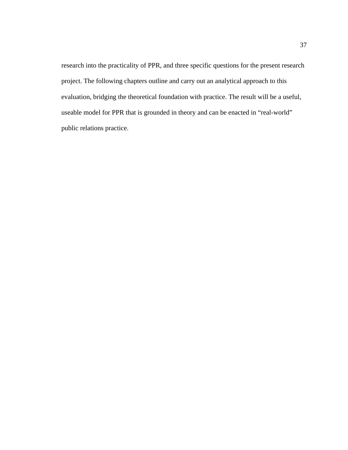research into the practicality of PPR, and three specific questions for the present research project. The following chapters outline and carry out an analytical approach to this evaluation, bridging the theoretical foundation with practice. The result will be a useful, useable model for PPR that is grounded in theory and can be enacted in "real-world" public relations practice.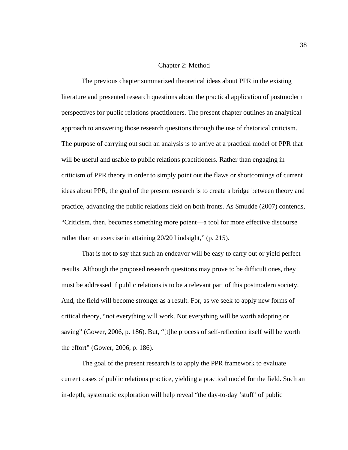## Chapter 2: Method

The previous chapter summarized theoretical ideas about PPR in the existing literature and presented research questions about the practical application of postmodern perspectives for public relations practitioners. The present chapter outlines an analytical approach to answering those research questions through the use of rhetorical criticism. The purpose of carrying out such an analysis is to arrive at a practical model of PPR that will be useful and usable to public relations practitioners. Rather than engaging in criticism of PPR theory in order to simply point out the flaws or shortcomings of current ideas about PPR, the goal of the present research is to create a bridge between theory and practice, advancing the public relations field on both fronts. As Smudde (2007) contends, "Criticism, then, becomes something more potent—a tool for more effective discourse rather than an exercise in attaining 20/20 hindsight," (p. 215).

That is not to say that such an endeavor will be easy to carry out or yield perfect results. Although the proposed research questions may prove to be difficult ones, they must be addressed if public relations is to be a relevant part of this postmodern society. And, the field will become stronger as a result. For, as we seek to apply new forms of critical theory, "not everything will work. Not everything will be worth adopting or saving" (Gower, 2006, p. 186). But, "[t]he process of self-reflection itself will be worth the effort" (Gower, 2006, p. 186).

The goal of the present research is to apply the PPR framework to evaluate current cases of public relations practice, yielding a practical model for the field. Such an in-depth, systematic exploration will help reveal "the day-to-day 'stuff' of public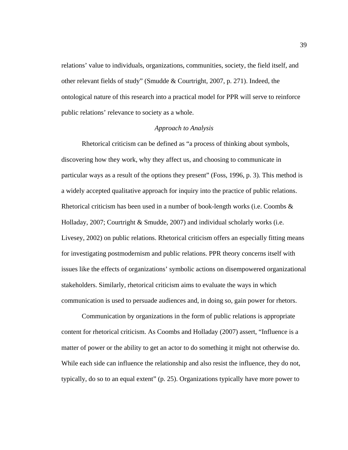relations' value to individuals, organizations, communities, society, the field itself, and other relevant fields of study" (Smudde & Courtright, 2007, p. 271). Indeed, the ontological nature of this research into a practical model for PPR will serve to reinforce public relations' relevance to society as a whole.

# *Approach to Analysis*

Rhetorical criticism can be defined as "a process of thinking about symbols, discovering how they work, why they affect us, and choosing to communicate in particular ways as a result of the options they present" (Foss, 1996, p. 3). This method is a widely accepted qualitative approach for inquiry into the practice of public relations. Rhetorical criticism has been used in a number of book-length works (i.e. Coombs  $\&$ Holladay, 2007; Courtright & Smudde, 2007) and individual scholarly works (i.e. Livesey, 2002) on public relations. Rhetorical criticism offers an especially fitting means for investigating postmodernism and public relations. PPR theory concerns itself with issues like the effects of organizations' symbolic actions on disempowered organizational stakeholders. Similarly, rhetorical criticism aims to evaluate the ways in which communication is used to persuade audiences and, in doing so, gain power for rhetors.

Communication by organizations in the form of public relations is appropriate content for rhetorical criticism. As Coombs and Holladay (2007) assert, "Influence is a matter of power or the ability to get an actor to do something it might not otherwise do. While each side can influence the relationship and also resist the influence, they do not, typically, do so to an equal extent" (p. 25). Organizations typically have more power to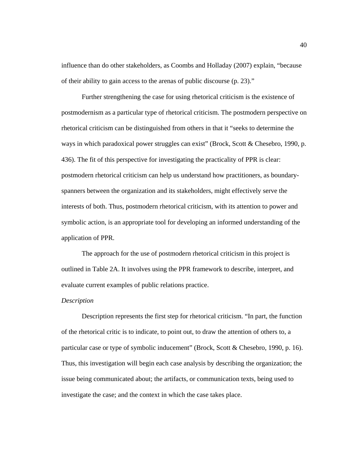influence than do other stakeholders, as Coombs and Holladay (2007) explain, "because of their ability to gain access to the arenas of public discourse (p. 23)."

Further strengthening the case for using rhetorical criticism is the existence of postmodernism as a particular type of rhetorical criticism. The postmodern perspective on rhetorical criticism can be distinguished from others in that it "seeks to determine the ways in which paradoxical power struggles can exist" (Brock, Scott & Chesebro, 1990, p. 436). The fit of this perspective for investigating the practicality of PPR is clear: postmodern rhetorical criticism can help us understand how practitioners, as boundaryspanners between the organization and its stakeholders, might effectively serve the interests of both. Thus, postmodern rhetorical criticism, with its attention to power and symbolic action, is an appropriate tool for developing an informed understanding of the application of PPR.

The approach for the use of postmodern rhetorical criticism in this project is outlined in Table 2A. It involves using the PPR framework to describe, interpret, and evaluate current examples of public relations practice.

## *Description*

Description represents the first step for rhetorical criticism. "In part, the function of the rhetorical critic is to indicate, to point out, to draw the attention of others to, a particular case or type of symbolic inducement" (Brock, Scott & Chesebro, 1990, p. 16). Thus, this investigation will begin each case analysis by describing the organization; the issue being communicated about; the artifacts, or communication texts, being used to investigate the case; and the context in which the case takes place.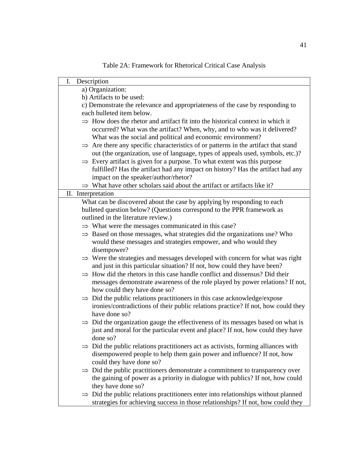| I.<br>Description                                                                                                                                                                |  |  |  |
|----------------------------------------------------------------------------------------------------------------------------------------------------------------------------------|--|--|--|
| a) Organization:                                                                                                                                                                 |  |  |  |
| b) Artifacts to be used:                                                                                                                                                         |  |  |  |
| c) Demonstrate the relevance and appropriateness of the case by responding to                                                                                                    |  |  |  |
| each bulleted item below.                                                                                                                                                        |  |  |  |
| $\Rightarrow$ How does the rhetor and artifact fit into the historical context in which it                                                                                       |  |  |  |
| occurred? What was the artifact? When, why, and to who was it delivered?                                                                                                         |  |  |  |
| What was the social and political and economic environment?                                                                                                                      |  |  |  |
| $\Rightarrow$ Are there any specific characteristics of or patterns in the artifact that stand<br>out (the organization, use of language, types of appeals used, symbols, etc.)? |  |  |  |
| $\Rightarrow$ Every artifact is given for a purpose. To what extent was this purpose                                                                                             |  |  |  |
| fulfilled? Has the artifact had any impact on history? Has the artifact had any                                                                                                  |  |  |  |
| impact on the speaker/author/rhetor?                                                                                                                                             |  |  |  |
| $\Rightarrow$ What have other scholars said about the artifact or artifacts like it?                                                                                             |  |  |  |
| II. Interpretation                                                                                                                                                               |  |  |  |
| What can be discovered about the case by applying by responding to each                                                                                                          |  |  |  |
| bulleted question below? (Questions correspond to the PPR framework as                                                                                                           |  |  |  |
| outlined in the literature review.)                                                                                                                                              |  |  |  |
| $\Rightarrow$ What were the messages communicated in this case?                                                                                                                  |  |  |  |
| $\Rightarrow$ Based on those messages, what strategies did the organizations use? Who                                                                                            |  |  |  |
| would these messages and strategies empower, and who would they                                                                                                                  |  |  |  |
| disempower?                                                                                                                                                                      |  |  |  |
| $\Rightarrow$ Were the strategies and messages developed with concern for what was right                                                                                         |  |  |  |
| and just in this particular situation? If not, how could they have been?                                                                                                         |  |  |  |
| $\Rightarrow$ How did the rhetors in this case handle conflict and dissensus? Did their                                                                                          |  |  |  |
| messages demonstrate awareness of the role played by power relations? If not,                                                                                                    |  |  |  |
| how could they have done so?                                                                                                                                                     |  |  |  |
| $\Rightarrow$ Did the public relations practitioners in this case acknowledge/expose                                                                                             |  |  |  |
| ironies/contradictions of their public relations practice? If not, how could they                                                                                                |  |  |  |
| have done so?                                                                                                                                                                    |  |  |  |
| $\Rightarrow$ Did the organization gauge the effectiveness of its messages based on what is                                                                                      |  |  |  |
| just and moral for the particular event and place? If not, how could they have                                                                                                   |  |  |  |
| done so?                                                                                                                                                                         |  |  |  |
| $\Rightarrow$ Did the public relations practitioners act as activists, forming alliances with                                                                                    |  |  |  |
| disempowered people to help them gain power and influence? If not, how                                                                                                           |  |  |  |
| could they have done so?                                                                                                                                                         |  |  |  |
| $\Rightarrow$ Did the public practitioners demonstrate a commitment to transparency over                                                                                         |  |  |  |
| the gaining of power as a priority in dialogue with publics? If not, how could                                                                                                   |  |  |  |
| they have done so?                                                                                                                                                               |  |  |  |
| $\Rightarrow$ Did the public relations practitioners enter into relationships without planned                                                                                    |  |  |  |
| strategies for achieving success in those relationships? If not, how could they                                                                                                  |  |  |  |

Table 2A: Framework for Rhetorical Critical Case Analysis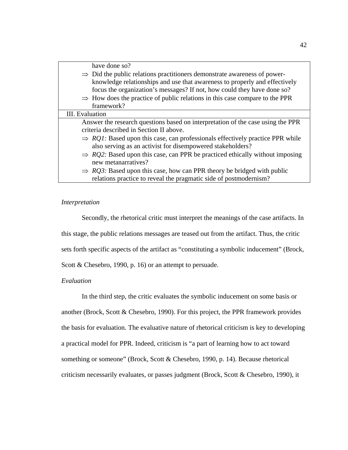| have done so?                                                                             |  |  |  |
|-------------------------------------------------------------------------------------------|--|--|--|
| $\Rightarrow$ Did the public relations practitioners demonstrate awareness of power-      |  |  |  |
| knowledge relationships and use that awareness to properly and effectively                |  |  |  |
| focus the organization's messages? If not, how could they have done so?                   |  |  |  |
| $\Rightarrow$ How does the practice of public relations in this case compare to the PPR   |  |  |  |
| framework?                                                                                |  |  |  |
| III. Evaluation                                                                           |  |  |  |
| Answer the research questions based on interpretation of the case using the PPR           |  |  |  |
| criteria described in Section II above.                                                   |  |  |  |
| $\Rightarrow$ RQ1: Based upon this case, can professionals effectively practice PPR while |  |  |  |
| also serving as an activist for disempowered stakeholders?                                |  |  |  |
| $\Rightarrow$ RQ2: Based upon this case, can PPR be practiced ethically without imposing  |  |  |  |
| new metanarratives?                                                                       |  |  |  |
| $\Rightarrow$ RQ3: Based upon this case, how can PPR theory be bridged with public        |  |  |  |
| relations practice to reveal the pragmatic side of postmodernism?                         |  |  |  |

#### *Interpretation*

Secondly, the rhetorical critic must interpret the meanings of the case artifacts. In this stage, the public relations messages are teased out from the artifact. Thus, the critic sets forth specific aspects of the artifact as "constituting a symbolic inducement" (Brock, Scott & Chesebro, 1990, p. 16) or an attempt to persuade.

## *Evaluation*

In the third step, the critic evaluates the symbolic inducement on some basis or another (Brock, Scott & Chesebro, 1990). For this project, the PPR framework provides the basis for evaluation. The evaluative nature of rhetorical criticism is key to developing a practical model for PPR. Indeed, criticism is "a part of learning how to act toward something or someone" (Brock, Scott & Chesebro, 1990, p. 14). Because rhetorical criticism necessarily evaluates, or passes judgment (Brock, Scott & Chesebro, 1990), it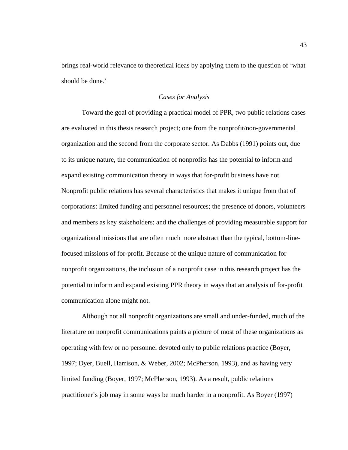brings real-world relevance to theoretical ideas by applying them to the question of 'what should be done.'

# *Cases for Analysis*

Toward the goal of providing a practical model of PPR, two public relations cases are evaluated in this thesis research project; one from the nonprofit/non-governmental organization and the second from the corporate sector. As Dabbs (1991) points out, due to its unique nature, the communication of nonprofits has the potential to inform and expand existing communication theory in ways that for-profit business have not. Nonprofit public relations has several characteristics that makes it unique from that of corporations: limited funding and personnel resources; the presence of donors, volunteers and members as key stakeholders; and the challenges of providing measurable support for organizational missions that are often much more abstract than the typical, bottom-linefocused missions of for-profit. Because of the unique nature of communication for nonprofit organizations, the inclusion of a nonprofit case in this research project has the potential to inform and expand existing PPR theory in ways that an analysis of for-profit communication alone might not.

Although not all nonprofit organizations are small and under-funded, much of the literature on nonprofit communications paints a picture of most of these organizations as operating with few or no personnel devoted only to public relations practice (Boyer, 1997; Dyer, Buell, Harrison, & Weber, 2002; McPherson, 1993), and as having very limited funding (Boyer, 1997; McPherson, 1993). As a result, public relations practitioner's job may in some ways be much harder in a nonprofit. As Boyer (1997)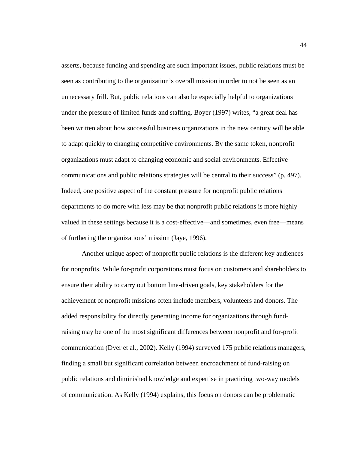asserts, because funding and spending are such important issues, public relations must be seen as contributing to the organization's overall mission in order to not be seen as an unnecessary frill. But, public relations can also be especially helpful to organizations under the pressure of limited funds and staffing. Boyer (1997) writes, "a great deal has been written about how successful business organizations in the new century will be able to adapt quickly to changing competitive environments. By the same token, nonprofit organizations must adapt to changing economic and social environments. Effective communications and public relations strategies will be central to their success" (p. 497). Indeed, one positive aspect of the constant pressure for nonprofit public relations departments to do more with less may be that nonprofit public relations is more highly valued in these settings because it is a cost-effective—and sometimes, even free—means of furthering the organizations' mission (Jaye, 1996).

Another unique aspect of nonprofit public relations is the different key audiences for nonprofits. While for-profit corporations must focus on customers and shareholders to ensure their ability to carry out bottom line-driven goals, key stakeholders for the achievement of nonprofit missions often include members, volunteers and donors. The added responsibility for directly generating income for organizations through fundraising may be one of the most significant differences between nonprofit and for-profit communication (Dyer et al*.*, 2002). Kelly (1994) surveyed 175 public relations managers, finding a small but significant correlation between encroachment of fund-raising on public relations and diminished knowledge and expertise in practicing two-way models of communication. As Kelly (1994) explains, this focus on donors can be problematic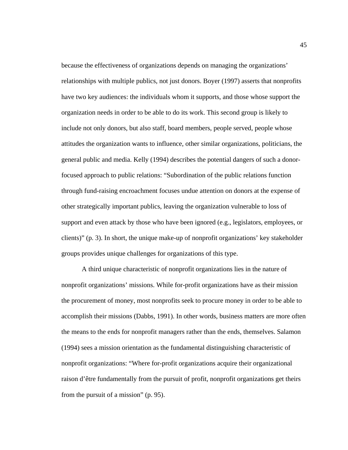because the effectiveness of organizations depends on managing the organizations' relationships with multiple publics, not just donors. Boyer (1997) asserts that nonprofits have two key audiences: the individuals whom it supports, and those whose support the organization needs in order to be able to do its work. This second group is likely to include not only donors, but also staff, board members, people served, people whose attitudes the organization wants to influence, other similar organizations, politicians, the general public and media. Kelly (1994) describes the potential dangers of such a donorfocused approach to public relations: "Subordination of the public relations function through fund-raising encroachment focuses undue attention on donors at the expense of other strategically important publics, leaving the organization vulnerable to loss of support and even attack by those who have been ignored (e.g., legislators, employees, or clients)" (p. 3). In short, the unique make-up of nonprofit organizations' key stakeholder groups provides unique challenges for organizations of this type.

A third unique characteristic of nonprofit organizations lies in the nature of nonprofit organizations' missions. While for-profit organizations have as their mission the procurement of money, most nonprofits seek to procure money in order to be able to accomplish their missions (Dabbs, 1991). In other words, business matters are more often the means to the ends for nonprofit managers rather than the ends, themselves. Salamon (1994) sees a mission orientation as the fundamental distinguishing characteristic of nonprofit organizations: "Where for-profit organizations acquire their organizational raison d'être fundamentally from the pursuit of profit, nonprofit organizations get theirs from the pursuit of a mission" (p. 95).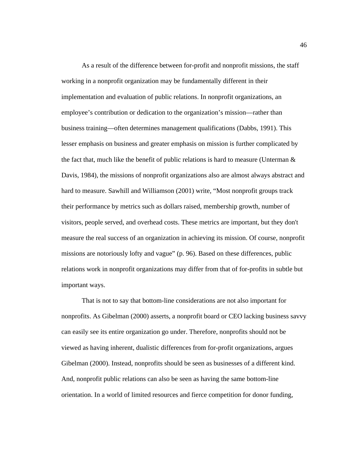As a result of the difference between for-profit and nonprofit missions, the staff working in a nonprofit organization may be fundamentally different in their implementation and evaluation of public relations. In nonprofit organizations, an employee's contribution or dedication to the organization's mission—rather than business training—often determines management qualifications (Dabbs, 1991). This lesser emphasis on business and greater emphasis on mission is further complicated by the fact that, much like the benefit of public relations is hard to measure (Unterman  $\&$ Davis, 1984), the missions of nonprofit organizations also are almost always abstract and hard to measure. Sawhill and Williamson (2001) write, "Most nonprofit groups track their performance by metrics such as dollars raised, membership growth, number of visitors, people served, and overhead costs. These metrics are important, but they don't measure the real success of an organization in achieving its mission. Of course, nonprofit missions are notoriously lofty and vague" (p. 96). Based on these differences, public relations work in nonprofit organizations may differ from that of for-profits in subtle but important ways.

 That is not to say that bottom-line considerations are not also important for nonprofits. As Gibelman (2000) asserts, a nonprofit board or CEO lacking business savvy can easily see its entire organization go under. Therefore, nonprofits should not be viewed as having inherent, dualistic differences from for-profit organizations, argues Gibelman (2000). Instead, nonprofits should be seen as businesses of a different kind. And, nonprofit public relations can also be seen as having the same bottom-line orientation. In a world of limited resources and fierce competition for donor funding,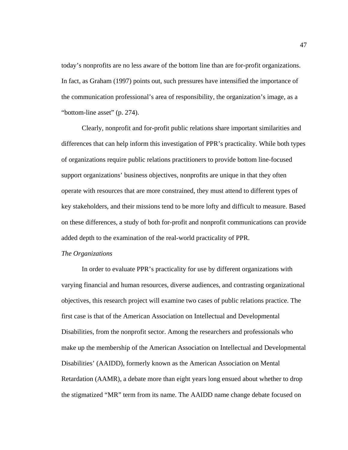today's nonprofits are no less aware of the bottom line than are for-profit organizations. In fact, as Graham (1997) points out, such pressures have intensified the importance of the communication professional's area of responsibility, the organization's image, as a "bottom-line asset" (p. 274).

 Clearly, nonprofit and for-profit public relations share important similarities and differences that can help inform this investigation of PPR's practicality. While both types of organizations require public relations practitioners to provide bottom line-focused support organizations' business objectives, nonprofits are unique in that they often operate with resources that are more constrained, they must attend to different types of key stakeholders, and their missions tend to be more lofty and difficult to measure. Based on these differences, a study of both for-profit and nonprofit communications can provide added depth to the examination of the real-world practicality of PPR.

#### *The Organizations*

 In order to evaluate PPR's practicality for use by different organizations with varying financial and human resources, diverse audiences, and contrasting organizational objectives, this research project will examine two cases of public relations practice. The first case is that of the American Association on Intellectual and Developmental Disabilities, from the nonprofit sector. Among the researchers and professionals who make up the membership of the American Association on Intellectual and Developmental Disabilities' (AAIDD), formerly known as the American Association on Mental Retardation (AAMR), a debate more than eight years long ensued about whether to drop the stigmatized "MR" term from its name. The AAIDD name change debate focused on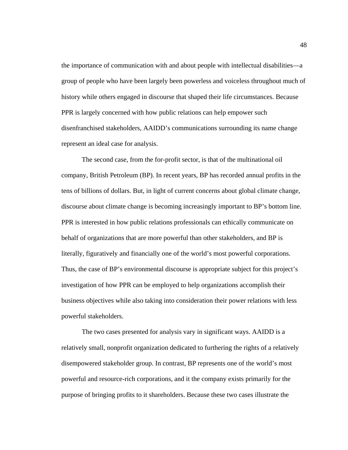the importance of communication with and about people with intellectual disabilities—a group of people who have been largely been powerless and voiceless throughout much of history while others engaged in discourse that shaped their life circumstances. Because PPR is largely concerned with how public relations can help empower such disenfranchised stakeholders, AAIDD's communications surrounding its name change represent an ideal case for analysis.

The second case, from the for-profit sector, is that of the multinational oil company, British Petroleum (BP). In recent years, BP has recorded annual profits in the tens of billions of dollars. But, in light of current concerns about global climate change, discourse about climate change is becoming increasingly important to BP's bottom line. PPR is interested in how public relations professionals can ethically communicate on behalf of organizations that are more powerful than other stakeholders, and BP is literally, figuratively and financially one of the world's most powerful corporations. Thus, the case of BP's environmental discourse is appropriate subject for this project's investigation of how PPR can be employed to help organizations accomplish their business objectives while also taking into consideration their power relations with less powerful stakeholders.

The two cases presented for analysis vary in significant ways. AAIDD is a relatively small, nonprofit organization dedicated to furthering the rights of a relatively disempowered stakeholder group. In contrast, BP represents one of the world's most powerful and resource-rich corporations, and it the company exists primarily for the purpose of bringing profits to it shareholders. Because these two cases illustrate the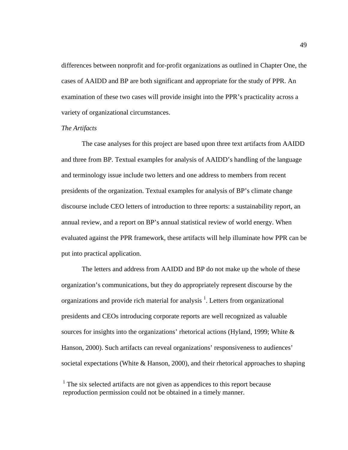differences between nonprofit and for-profit organizations as outlined in Chapter One, the cases of AAIDD and BP are both significant and appropriate for the study of PPR. An examination of these two cases will provide insight into the PPR's practicality across a variety of organizational circumstances.

## *The Artifacts*

 The case analyses for this project are based upon three text artifacts from AAIDD and three from BP. Textual examples for analysis of AAIDD's handling of the language and terminology issue include two letters and one address to members from recent presidents of the organization. Textual examples for analysis of BP's climate change discourse include CEO letters of introduction to three reports: a sustainability report, an annual review, and a report on BP's annual statistical review of world energy. When evaluated against the PPR framework, these artifacts will help illuminate how PPR can be put into practical application.

 The letters and address from AAIDD and BP do not make up the whole of these organization's communications, but they do appropriately represent discourse by the organizations and provide rich material for analysis  $<sup>1</sup>$ . Letters from organizational</sup> presidents and CEOs introducing corporate reports are well recognized as valuable sources for insights into the organizations' rhetorical actions (Hyland, 1999; White & Hanson, 2000). Such artifacts can reveal organizations' responsiveness to audiences' societal expectations (White & Hanson, 2000), and their rhetorical approaches to shaping

 $<sup>1</sup>$  The six selected artifacts are not given as appendices to this report because</sup> reproduction permission could not be obtained in a timely manner.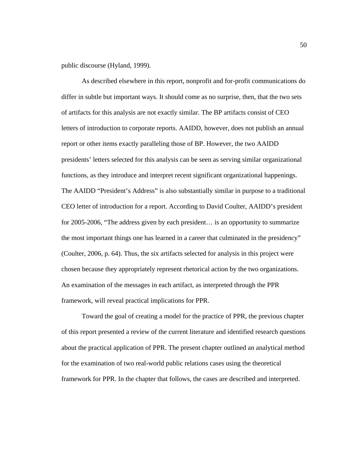public discourse (Hyland, 1999).

 As described elsewhere in this report, nonprofit and for-profit communications do differ in subtle but important ways. It should come as no surprise, then, that the two sets of artifacts for this analysis are not exactly similar. The BP artifacts consist of CEO letters of introduction to corporate reports. AAIDD, however, does not publish an annual report or other items exactly paralleling those of BP. However, the two AAIDD presidents' letters selected for this analysis can be seen as serving similar organizational functions, as they introduce and interpret recent significant organizational happenings. The AAIDD "President's Address" is also substantially similar in purpose to a traditional CEO letter of introduction for a report. According to David Coulter, AAIDD's president for 2005-2006, "The address given by each president… is an opportunity to summarize the most important things one has learned in a career that culminated in the presidency" (Coulter, 2006, p. 64). Thus, the six artifacts selected for analysis in this project were chosen because they appropriately represent rhetorical action by the two organizations. An examination of the messages in each artifact, as interpreted through the PPR framework, will reveal practical implications for PPR.

 Toward the goal of creating a model for the practice of PPR, the previous chapter of this report presented a review of the current literature and identified research questions about the practical application of PPR. The present chapter outlined an analytical method for the examination of two real-world public relations cases using the theoretical framework for PPR. In the chapter that follows, the cases are described and interpreted.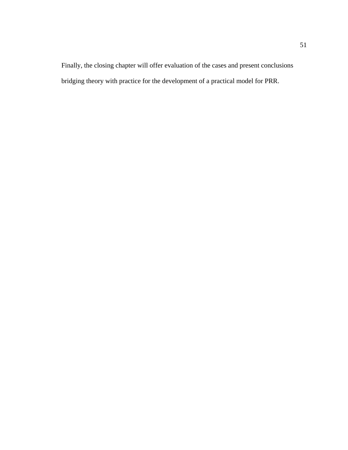Finally, the closing chapter will offer evaluation of the cases and present conclusions bridging theory with practice for the development of a practical model for PRR.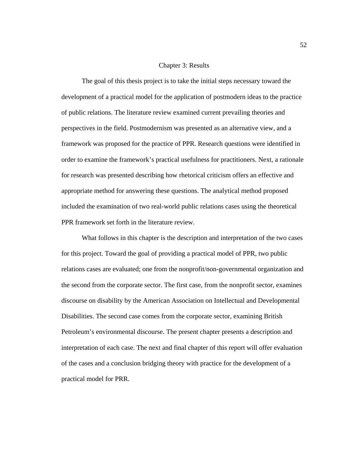## Chapter 3: Results

The goal of this thesis project is to take the initial steps necessary toward the development of a practical model for the application of postmodern ideas to the practice of public relations. The literature review examined current prevailing theories and perspectives in the field. Postmodernism was presented as an alternative view, and a framework was proposed for the practice of PPR. Research questions were identified in order to examine the framework's practical usefulness for practitioners. Next, a rationale for research was presented describing how rhetorical criticism offers an effective and appropriate method for answering these questions. The analytical method proposed included the examination of two real-world public relations cases using the theoretical PPR framework set forth in the literature review.

What follows in this chapter is the description and interpretation of the two cases for this project. Toward the goal of providing a practical model of PPR, two public relations cases are evaluated; one from the nonprofit/non-governmental organization and the second from the corporate sector. The first case, from the nonprofit sector, examines discourse on disability by the American Association on Intellectual and Developmental Disabilities. The second case comes from the corporate sector, examining British Petroleum's environmental discourse. The present chapter presents a description and interpretation of each case. The next and final chapter of this report will offer evaluation of the cases and a conclusion bridging theory with practice for the development of a practical model for PRR.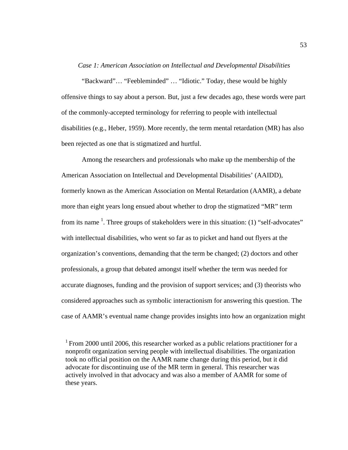#### *Case 1: American Association on Intellectual and Developmental Disabilities*

"Backward"… "Feebleminded" … "Idiotic." Today, these would be highly offensive things to say about a person. But, just a few decades ago, these words were part of the commonly-accepted terminology for referring to people with intellectual disabilities (e.g., Heber, 1959). More recently, the term mental retardation (MR) has also been rejected as one that is stigmatized and hurtful.

Among the researchers and professionals who make up the membership of the American Association on Intellectual and Developmental Disabilities' (AAIDD), formerly known as the American Association on Mental Retardation (AAMR), a debate more than eight years long ensued about whether to drop the stigmatized "MR" term from its name  $<sup>1</sup>$ . Three groups of stakeholders were in this situation: (1) "self-advocates"</sup> with intellectual disabilities, who went so far as to picket and hand out flyers at the organization's conventions, demanding that the term be changed; (2) doctors and other professionals, a group that debated amongst itself whether the term was needed for accurate diagnoses, funding and the provision of support services; and (3) theorists who considered approaches such as symbolic interactionism for answering this question. The case of AAMR's eventual name change provides insights into how an organization might

 $1$  From 2000 until 2006, this researcher worked as a public relations practitioner for a nonprofit organization serving people with intellectual disabilities. The organization took no official position on the AAMR name change during this period, but it did advocate for discontinuing use of the MR term in general. This researcher was actively involved in that advocacy and was also a member of AAMR for some of these years.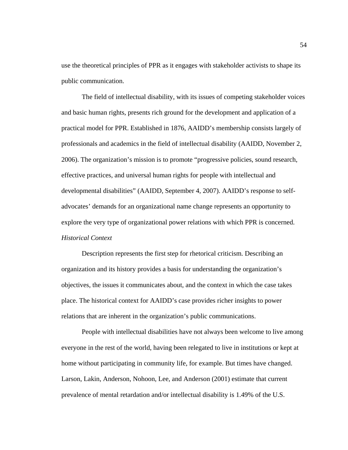use the theoretical principles of PPR as it engages with stakeholder activists to shape its public communication.

 The field of intellectual disability, with its issues of competing stakeholder voices and basic human rights, presents rich ground for the development and application of a practical model for PPR. Established in 1876, AAIDD's membership consists largely of professionals and academics in the field of intellectual disability (AAIDD, November 2, 2006). The organization's mission is to promote "progressive policies, sound research, effective practices, and universal human rights for people with intellectual and developmental disabilities" (AAIDD, September 4, 2007). AAIDD's response to selfadvocates' demands for an organizational name change represents an opportunity to explore the very type of organizational power relations with which PPR is concerned. *Historical Context* 

Description represents the first step for rhetorical criticism. Describing an organization and its history provides a basis for understanding the organization's objectives, the issues it communicates about, and the context in which the case takes place. The historical context for AAIDD's case provides richer insights to power relations that are inherent in the organization's public communications.

People with intellectual disabilities have not always been welcome to live among everyone in the rest of the world, having been relegated to live in institutions or kept at home without participating in community life, for example. But times have changed. Larson, Lakin, Anderson, Nohoon, Lee, and Anderson (2001) estimate that current prevalence of mental retardation and/or intellectual disability is 1.49% of the U.S.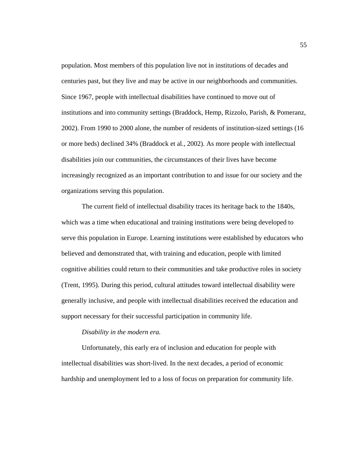population. Most members of this population live not in institutions of decades and centuries past, but they live and may be active in our neighborhoods and communities. Since 1967, people with intellectual disabilities have continued to move out of institutions and into community settings (Braddock, Hemp, Rizzolo, Parish, & Pomeranz, 2002). From 1990 to 2000 alone, the number of residents of institution-sized settings (16 or more beds) declined 34% (Braddock et al*.*, 2002). As more people with intellectual disabilities join our communities, the circumstances of their lives have become increasingly recognized as an important contribution to and issue for our society and the organizations serving this population.

The current field of intellectual disability traces its heritage back to the 1840s, which was a time when educational and training institutions were being developed to serve this population in Europe. Learning institutions were established by educators who believed and demonstrated that, with training and education, people with limited cognitive abilities could return to their communities and take productive roles in society (Trent, 1995). During this period, cultural attitudes toward intellectual disability were generally inclusive, and people with intellectual disabilities received the education and support necessary for their successful participation in community life.

#### *Disability in the modern era.*

Unfortunately, this early era of inclusion and education for people with intellectual disabilities was short-lived. In the next decades, a period of economic hardship and unemployment led to a loss of focus on preparation for community life.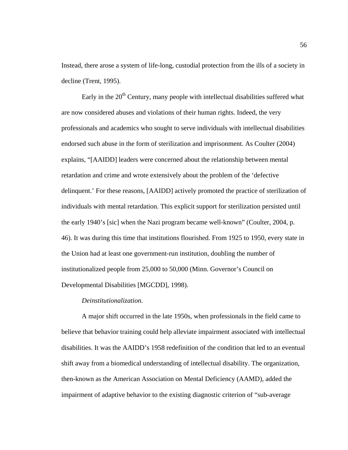Instead, there arose a system of life-long, custodial protection from the ills of a society in decline (Trent, 1995).

Early in the  $20<sup>th</sup>$  Century, many people with intellectual disabilities suffered what are now considered abuses and violations of their human rights. Indeed, the very professionals and academics who sought to serve individuals with intellectual disabilities endorsed such abuse in the form of sterilization and imprisonment. As Coulter (2004) explains, "[AAIDD] leaders were concerned about the relationship between mental retardation and crime and wrote extensively about the problem of the 'defective delinquent.' For these reasons, [AAIDD] actively promoted the practice of sterilization of individuals with mental retardation. This explicit support for sterilization persisted until the early 1940's [sic] when the Nazi program became well-known" (Coulter, 2004, p. 46). It was during this time that institutions flourished. From 1925 to 1950, every state in the Union had at least one government-run institution, doubling the number of institutionalized people from 25,000 to 50,000 (Minn. Governor's Council on Developmental Disabilities [MGCDD], 1998).

# *Deinstitutionalization.*

 A major shift occurred in the late 1950s, when professionals in the field came to believe that behavior training could help alleviate impairment associated with intellectual disabilities. It was the AAIDD's 1958 redefinition of the condition that led to an eventual shift away from a biomedical understanding of intellectual disability. The organization, then-known as the American Association on Mental Deficiency (AAMD), added the impairment of adaptive behavior to the existing diagnostic criterion of "sub-average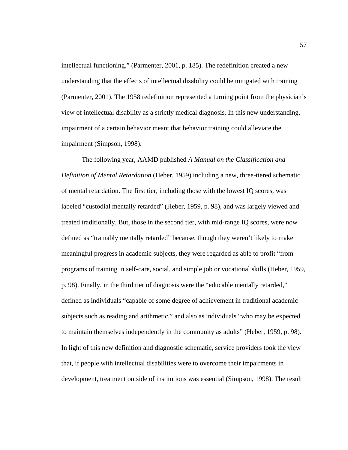intellectual functioning," (Parmenter, 2001, p. 185). The redefinition created a new understanding that the effects of intellectual disability could be mitigated with training (Parmenter, 2001). The 1958 redefinition represented a turning point from the physician's view of intellectual disability as a strictly medical diagnosis. In this new understanding, impairment of a certain behavior meant that behavior training could alleviate the impairment (Simpson, 1998).

 The following year, AAMD published *A Manual on the Classification and Definition of Mental Retardation* (Heber, 1959) including a new, three-tiered schematic of mental retardation. The first tier, including those with the lowest IQ scores, was labeled "custodial mentally retarded" (Heber, 1959, p. 98), and was largely viewed and treated traditionally. But, those in the second tier, with mid-range IQ scores, were now defined as "trainably mentally retarded" because, though they weren't likely to make meaningful progress in academic subjects, they were regarded as able to profit "from programs of training in self-care, social, and simple job or vocational skills (Heber, 1959, p. 98). Finally, in the third tier of diagnosis were the "educable mentally retarded," defined as individuals "capable of some degree of achievement in traditional academic subjects such as reading and arithmetic," and also as individuals "who may be expected to maintain themselves independently in the community as adults" (Heber, 1959, p. 98). In light of this new definition and diagnostic schematic, service providers took the view that, if people with intellectual disabilities were to overcome their impairments in development, treatment outside of institutions was essential (Simpson, 1998). The result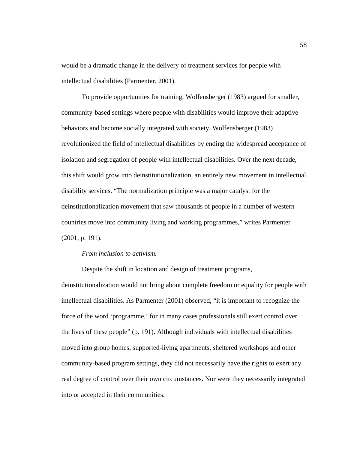would be a dramatic change in the delivery of treatment services for people with intellectual disabilities (Parmenter, 2001).

 To provide opportunities for training, Wolfensberger (1983) argued for smaller, community-based settings where people with disabilities would improve their adaptive behaviors and become socially integrated with society. Wolfensberger (1983) revolutionized the field of intellectual disabilities by ending the widespread acceptance of isolation and segregation of people with intellectual disabilities. Over the next decade, this shift would grow into deinstitutionalization, an entirely new movement in intellectual disability services. "The normalization principle was a major catalyst for the deinstitutionalization movement that saw thousands of people in a number of western countries move into community living and working programmes," writes Parmenter (2001, p. 191).

# *From inclusion to activism.*

 Despite the shift in location and design of treatment programs, deinstitutionalization would not bring about complete freedom or equality for people with intellectual disabilities. As Parmenter (2001) observed, "it is important to recognize the force of the word 'programme,' for in many cases professionals still exert control over the lives of these people" (p. 191). Although individuals with intellectual disabilities moved into group homes, supported-living apartments, sheltered workshops and other community-based program settings, they did not necessarily have the rights to exert any real degree of control over their own circumstances. Nor were they necessarily integrated into or accepted in their communities.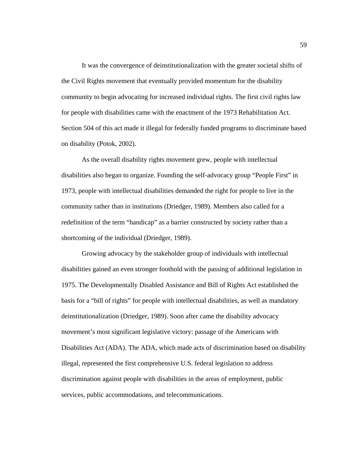It was the convergence of deinstitutionalization with the greater societal shifts of the Civil Rights movement that eventually provided momentum for the disability community to begin advocating for increased individual rights. The first civil rights law for people with disabilities came with the enactment of the 1973 Rehabilitation Act. Section 504 of this act made it illegal for federally funded programs to discriminate based on disability (Potok, 2002).

 As the overall disability rights movement grew, people with intellectual disabilities also began to organize. Founding the self-advocacy group "People First" in 1973, people with intellectual disabilities demanded the right for people to live in the community rather than in institutions (Driedger, 1989). Members also called for a redefinition of the term "handicap" as a barrier constructed by society rather than a shortcoming of the individual (Driedger, 1989).

 Growing advocacy by the stakeholder group of individuals with intellectual disabilities gained an even stronger foothold with the passing of additional legislation in 1975. The Developmentally Disabled Assistance and Bill of Rights Act established the basis for a "bill of rights" for people with intellectual disabilities, as well as mandatory deinstitutionalization (Driedger, 1989). Soon after came the disability advocacy movement's most significant legislative victory: passage of the Americans with Disabilities Act (ADA). The ADA, which made acts of discrimination based on disability illegal, represented the first comprehensive U.S. federal legislation to address discrimination against people with disabilities in the areas of employment, public services, public accommodations, and telecommunications.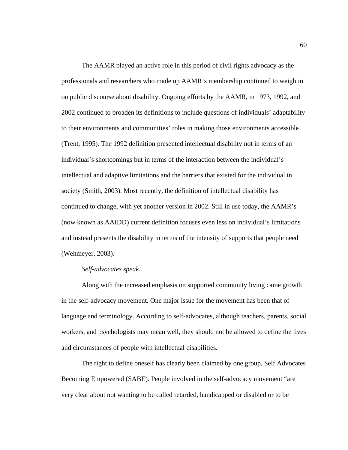The AAMR played an active role in this period of civil rights advocacy as the professionals and researchers who made up AAMR's membership continued to weigh in on public discourse about disability. Ongoing efforts by the AAMR, in 1973, 1992, and 2002 continued to broaden its definitions to include questions of individuals' adaptability to their environments and communities' roles in making those environments accessible (Trent, 1995). The 1992 definition presented intellectual disability not in terms of an individual's shortcomings but in terms of the interaction between the individual's intellectual and adaptive limitations and the barriers that existed for the individual in society (Smith, 2003). Most recently, the definition of intellectual disability has continued to change, with yet another version in 2002. Still in use today, the AAMR's (now known as AAIDD) current definition focuses even less on individual's limitations and instead presents the disability in terms of the intensity of supports that people need (Wehmeyer, 2003).

## *Self-advocates speak.*

 Along with the increased emphasis on supported community living came growth in the self-advocacy movement. One major issue for the movement has been that of language and terminology. According to self-advocates, although teachers, parents, social workers, and psychologists may mean well, they should not be allowed to define the lives and circumstances of people with intellectual disabilities.

 The right to define oneself has clearly been claimed by one group, Self Advocates Becoming Empowered (SABE). People involved in the self-advocacy movement "are very clear about not wanting to be called retarded, handicapped or disabled or to be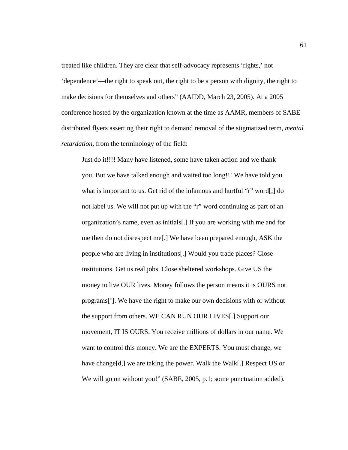treated like children. They are clear that self-advocacy represents 'rights,' not 'dependence'—the right to speak out, the right to be a person with dignity, the right to make decisions for themselves and others" (AAIDD, March 23, 2005). At a 2005 conference hosted by the organization known at the time as AAMR, members of SABE distributed flyers asserting their right to demand removal of the stigmatized term, *mental retardation,* from the terminology of the field:

Just do it!!!! Many have listened, some have taken action and we thank you. But we have talked enough and waited too long!!! We have told you what is important to us. Get rid of the infamous and hurtful "r" word[;] do not label us. We will not put up with the "r" word continuing as part of an organization's name, even as initials[.] If you are working with me and for me then do not disrespect me[.] We have been prepared enough, ASK the people who are living in institutions[.] Would you trade places? Close institutions. Get us real jobs. Close sheltered workshops. Give US the money to live OUR lives. Money follows the person means it is OURS not programs[']. We have the right to make our own decisions with or without the support from others. WE CAN RUN OUR LIVES[.] Support our movement, IT IS OURS. You receive millions of dollars in our name. We want to control this money. We are the EXPERTS. You must change, we have change[d,] we are taking the power. Walk the Walk[.] Respect US or We will go on without you!" (SABE, 2005, p.1; some punctuation added).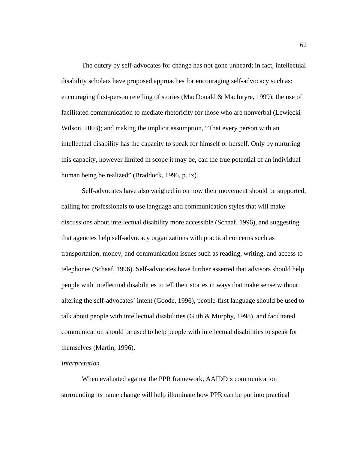The outcry by self-advocates for change has not gone unheard; in fact, intellectual disability scholars have proposed approaches for encouraging self-advocacy such as: encouraging first-person retelling of stories (MacDonald & MacIntyre, 1999); the use of facilitated communication to mediate rhetoricity for those who are nonverbal (Lewiecki-Wilson, 2003); and making the implicit assumption, "That every person with an intellectual disability has the capacity to speak for himself or herself. Only by nurturing this capacity, however limited in scope it may be, can the true potential of an individual human being be realized" (Braddock, 1996, p. ix).

 Self-advocates have also weighed in on how their movement should be supported, calling for professionals to use language and communication styles that will make discussions about intellectual disability more accessible (Schaaf, 1996), and suggesting that agencies help self-advocacy organizations with practical concerns such as transportation, money, and communication issues such as reading, writing, and access to telephones (Schaaf, 1996). Self-advocates have further asserted that advisors should help people with intellectual disabilities to tell their stories in ways that make sense without altering the self-advocates' intent (Goode, 1996), people-first language should be used to talk about people with intellectual disabilities (Guth & Murphy, 1998), and facilitated communication should be used to help people with intellectual disabilities to speak for themselves (Martin, 1996).

# *Interpretation*

 When evaluated against the PPR framework, AAIDD's communication surrounding its name change will help illuminate how PPR can be put into practical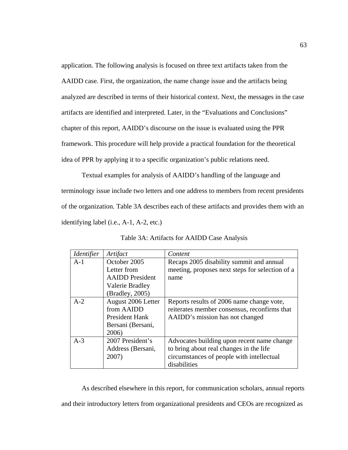application. The following analysis is focused on three text artifacts taken from the AAIDD case. First, the organization, the name change issue and the artifacts being analyzed are described in terms of their historical context. Next, the messages in the case artifacts are identified and interpreted. Later, in the "Evaluations and Conclusions" chapter of this report, AAIDD's discourse on the issue is evaluated using the PPR framework. This procedure will help provide a practical foundation for the theoretical idea of PPR by applying it to a specific organization's public relations need.

 Textual examples for analysis of AAIDD's handling of the language and terminology issue include two letters and one address to members from recent presidents of the organization. Table 3A describes each of these artifacts and provides them with an identifying label (i.e., A-1, A-2, etc.)

| <i><u><b>Identifier</b></u></i> | Artifact               | Content                                         |
|---------------------------------|------------------------|-------------------------------------------------|
| $A-1$                           | October 2005           | Recaps 2005 disability summit and annual        |
|                                 | Letter from            | meeting, proposes next steps for selection of a |
|                                 | <b>AAIDD</b> President | name                                            |
|                                 | Valerie Bradley        |                                                 |
|                                 | (Bradley, 2005)        |                                                 |
| $A-2$                           | August 2006 Letter     | Reports results of 2006 name change vote,       |
|                                 | from AAIDD             | reiterates member consensus, reconfirms that    |
|                                 | <b>President Hank</b>  | AAIDD's mission has not changed                 |
|                                 | Bersani (Bersani,      |                                                 |
|                                 | 2006)                  |                                                 |
| $A-3$                           | 2007 President's       | Advocates building upon recent name change      |
|                                 | Address (Bersani,      | to bring about real changes in the life         |
|                                 | 2007)                  | circumstances of people with intellectual       |
|                                 |                        | disabilities                                    |

Table 3A: Artifacts for AAIDD Case Analysis

 As described elsewhere in this report, for communication scholars, annual reports and their introductory letters from organizational presidents and CEOs are recognized as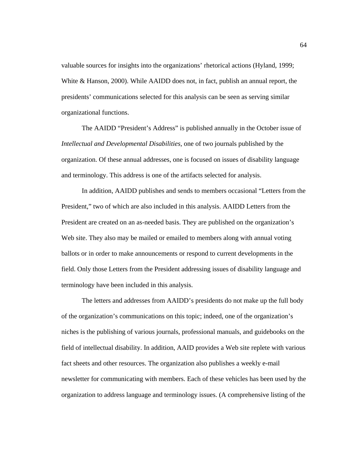valuable sources for insights into the organizations' rhetorical actions (Hyland, 1999; White & Hanson, 2000). While AAIDD does not, in fact, publish an annual report, the presidents' communications selected for this analysis can be seen as serving similar organizational functions.

 The AAIDD "President's Address" is published annually in the October issue of *Intellectual and Developmental Disabilities,* one of two journals published by the organization. Of these annual addresses, one is focused on issues of disability language and terminology. This address is one of the artifacts selected for analysis.

 In addition, AAIDD publishes and sends to members occasional "Letters from the President," two of which are also included in this analysis. AAIDD Letters from the President are created on an as-needed basis. They are published on the organization's Web site. They also may be mailed or emailed to members along with annual voting ballots or in order to make announcements or respond to current developments in the field. Only those Letters from the President addressing issues of disability language and terminology have been included in this analysis.

 The letters and addresses from AAIDD's presidents do not make up the full body of the organization's communications on this topic; indeed, one of the organization's niches is the publishing of various journals, professional manuals, and guidebooks on the field of intellectual disability. In addition, AAID provides a Web site replete with various fact sheets and other resources. The organization also publishes a weekly e-mail newsletter for communicating with members. Each of these vehicles has been used by the organization to address language and terminology issues. (A comprehensive listing of the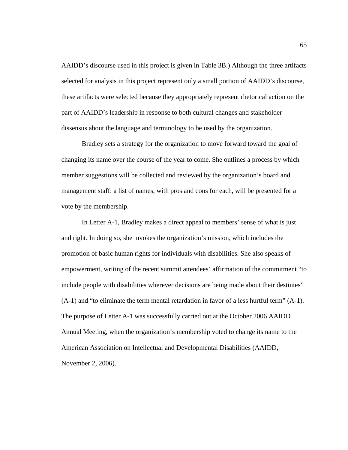AAIDD's discourse used in this project is given in Table 3B.) Although the three artifacts selected for analysis in this project represent only a small portion of AAIDD's discourse, these artifacts were selected because they appropriately represent rhetorical action on the part of AAIDD's leadership in response to both cultural changes and stakeholder dissensus about the language and terminology to be used by the organization.

 Bradley sets a strategy for the organization to move forward toward the goal of changing its name over the course of the year to come. She outlines a process by which member suggestions will be collected and reviewed by the organization's board and management staff: a list of names, with pros and cons for each, will be presented for a vote by the membership.

 In Letter A-1, Bradley makes a direct appeal to members' sense of what is just and right. In doing so, she invokes the organization's mission, which includes the promotion of basic human rights for individuals with disabilities. She also speaks of empowerment, writing of the recent summit attendees' affirmation of the commitment "to include people with disabilities wherever decisions are being made about their destinies" (A-1) and "to eliminate the term mental retardation in favor of a less hurtful term" (A-1). The purpose of Letter A-1 was successfully carried out at the October 2006 AAIDD Annual Meeting, when the organization's membership voted to change its name to the American Association on Intellectual and Developmental Disabilities (AAIDD, November 2, 2006).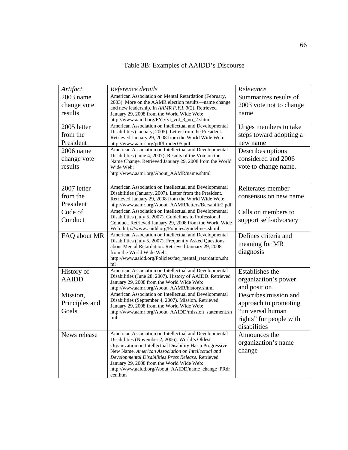| Table 3B: Examples of AAIDD's Discourse |
|-----------------------------------------|
|-----------------------------------------|

| Artifact                                          | Reference details                                                                                                                                                                                                                                                                                                                                                                                | Relevance                                                                                                     |
|---------------------------------------------------|--------------------------------------------------------------------------------------------------------------------------------------------------------------------------------------------------------------------------------------------------------------------------------------------------------------------------------------------------------------------------------------------------|---------------------------------------------------------------------------------------------------------------|
| 2003 name<br>change vote<br>results               | American Association on Mental Retardation (February,<br>2003). More on the AAMR election results—name change<br>and new leadership. In AAMR F.Y.I, 3(2). Retrieved<br>January 29, 2008 from the World Wide Web:<br>http://www.aaidd.org/FYI/fyi_vol_3_no_2.shtml                                                                                                                                | Summarizes results of<br>2003 vote not to change<br>name                                                      |
| 2005 letter<br>from the<br>President<br>2006 name | American Association on Intellectual and Developmental<br>Disabilities (January, 2005). Letter from the President.<br>Retrieved January 29, 2008 from the World Wide Web:<br>http://www.aamr.org/pdf/ltrodec05.pdf<br>American Association on Intellectual and Developmental                                                                                                                     | Urges members to take<br>steps toward adopting a<br>new name<br>Describes options                             |
| change vote<br>results                            | Disabilities (June 4, 2007). Results of the Vote on the<br>Name Change. Retrieved January 29, 2008 from the World<br>Wide Web:<br>http://www.aamr.org/About_AAMR/name.shtml                                                                                                                                                                                                                      | considered and 2006<br>vote to change name.                                                                   |
| 2007 letter<br>from the<br>President              | American Association on Intellectual and Developmental<br>Disabilities (January, 2007). Letter from the President.<br>Retrieved January 29, 2008 from the World Wide Web:<br>http://www.aamr.org/About_AAMR/letters/Bersaniltr2.pdf                                                                                                                                                              | Reiterates member<br>consensus on new name                                                                    |
| Code of<br>Conduct                                | American Association on Intellectual and Developmental<br>Disabilities (July 5, 2007). Guidelines to Professional<br>Conduct. Retrieved January 29, 2008 from the World Wide<br>Web: http://www.aaidd.org/Policies/guidelines.shtml                                                                                                                                                              | Calls on members to<br>support self-advocacy                                                                  |
| FAQ about MR                                      | American Association on Intellectual and Developmental<br>Disabilities (July 5, 2007). Frequently Asked Questions<br>about Mental Retardation. Retrieved January 29, 2008<br>from the World Wide Web:<br>http://www.aaidd.org/Policies/faq_mental_retardation.sht<br>ml                                                                                                                          | Defines criteria and<br>meaning for MR<br>diagnosis                                                           |
| History of<br><b>AAIDD</b>                        | American Association on Intellectual and Developmental<br>Disabilities (June 28, 2007). History of AAIDD. Retrieved<br>January 29, 2008 from the World Wide Web:<br>http://www.aamr.org/About_AAMR/history.shtml                                                                                                                                                                                 | <b>Establishes the</b><br>organization's power<br>and position                                                |
| Mission,<br>Principles and<br>Goals               | American Association on Intellectual and Developmental<br>Disabilities (September 4, 2007). Mission. Retrieved<br>January 29, 2008 from the World Wide Web:<br>http://www.aamr.org/About_AAIDD/mission_statement.sh<br>tml                                                                                                                                                                       | Describes mission and<br>approach to promoting<br>"universal human<br>rights" for people with<br>disabilities |
| News release                                      | American Association on Intellectual and Developmental<br>Disabilities (November 2, 2006). World's Oldest<br>Organization on Intellectual Disability Has a Progressive<br>New Name. American Association on Intellectual and<br>Developmental Disabilities Press Release. Retrieved<br>January 29, 2008 from the World Wide Web:<br>http://www.aaidd.org/About_AAIDD/name_change_PRdr<br>een.htm | Announces the<br>organization's name<br>change                                                                |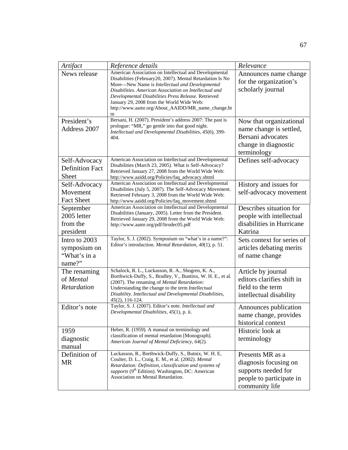| Artifact                                                | Reference details                                                                                                                                                                                                                                                                                                                                                                               | Relevance                                                                                                      |
|---------------------------------------------------------|-------------------------------------------------------------------------------------------------------------------------------------------------------------------------------------------------------------------------------------------------------------------------------------------------------------------------------------------------------------------------------------------------|----------------------------------------------------------------------------------------------------------------|
| News release                                            | American Association on Intellectual and Developmental<br>Disabilities (February 20, 2007). Mental Retardation Is No<br>More-New Name is Intellectual and Developmental<br>Disabilities. American Association on Intellectual and<br>Developmental Disabilities Press Release. Retrieved<br>January 29, 2008 from the World Wide Web:<br>http://www.aamr.org/About_AAIDD/MR_name_change.ht<br>m | Announces name change<br>for the organization's<br>scholarly journal                                           |
| President's<br>Address 2007                             | Bersani, H. (2007). President's address 2007: The past is<br>prologue: "MR," go gentle into that good night.<br>Intellectual and Developmental Disabilities, 45(6), 399-<br>404.                                                                                                                                                                                                                | Now that organizational<br>name change is settled,<br>Bersani advocates<br>change in diagnostic<br>terminology |
| Self-Advocacy<br><b>Definition Fact</b><br><b>Sheet</b> | American Association on Intellectual and Developmental<br>Disabilities (March 23, 2005). What is Self-Advocacy?<br>Retrieved January 27, 2008 from the World Wide Web:<br>http://www.aaidd.org/Policies/faq_advocacy.shtml                                                                                                                                                                      | Defines self-advocacy                                                                                          |
| Self-Advocacy<br>Movement<br><b>Fact Sheet</b>          | American Association on Intellectual and Developmental<br>Disabilities (July 5, 2007). The Self-Advocacy Movement.<br>Retrieved February 3, 2008 from the World Wide Web:<br>http://www.aaidd.org/Policies/faq_movement.shtml                                                                                                                                                                   | History and issues for<br>self-advocacy movement                                                               |
| September<br>2005 letter<br>from the<br>president       | American Association on Intellectual and Developmental<br>Disabilities (January, 2005). Letter from the President.<br>Retrieved January 29, 2008 from the World Wide Web:<br>http://www.aamr.org/pdf/ltrodec05.pdf                                                                                                                                                                              | Describes situation for<br>people with intellectual<br>disabilities in Hurricane<br>Katrina                    |
| Intro to 2003<br>symposium on<br>"What's in a<br>name?" | Taylor, S. J. (2002). Symposium on "what's in a name?":<br>Editor's introduction. Mental Retardation, 40(1), p. 51.                                                                                                                                                                                                                                                                             | Sets context for series of<br>articles debating merits<br>of name change                                       |
| The renaming<br>of Mental<br>Retardation                | Schalock, R. L., Luckasson, R. A., Shogren, K. A.,<br>Borthwick-Duffy, S., Bradley, V., Buntinx, W. H. E., et al.<br>(2007). The renaming of Mental Retardation:<br>Understanding the change to the term Intellectual<br>Disability. Intellectual and Developmental Disabilities,<br>45(2), 116-124.                                                                                            | Article by journal<br>editors clarifies shift in<br>field to the term<br>intellectual disability               |
| Editor's note                                           | Taylor, S. J. (2007). Editor's note. Intellectual and<br>Developmental Disabilities, 45(1), p. ii.                                                                                                                                                                                                                                                                                              | Announces publication<br>name change, provides<br>historical context                                           |
| 1959<br>diagnostic<br>manual                            | Heber, R. (1959). A manual on terminology and<br>classification of mental retardation [Monograph].<br>American Journal of Mental Deficiency, 64(2).                                                                                                                                                                                                                                             | Historic look at<br>terminology                                                                                |
| Definition of<br>MR                                     | Luckasson, R., Borthwick-Duffy, S., Butnix, W. H. E,<br>Coulter, D. L., Craig, E. M., et al. (2002). Mental<br>Retardation: Definition, classification and systems of<br>supports (9 <sup>th</sup> Edition). Washington, DC: American<br>Association on Mental Retardation.                                                                                                                     | Presents MR as a<br>diagnosis focusing on<br>supports needed for<br>people to participate in<br>community life |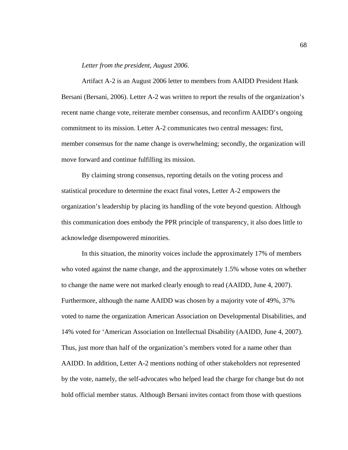### *Letter from the president, August 2006.*

 Artifact A-2 is an August 2006 letter to members from AAIDD President Hank Bersani (Bersani, 2006). Letter A-2 was written to report the results of the organization's recent name change vote, reiterate member consensus, and reconfirm AAIDD's ongoing commitment to its mission. Letter A-2 communicates two central messages: first, member consensus for the name change is overwhelming; secondly, the organization will move forward and continue fulfilling its mission.

 By claiming strong consensus, reporting details on the voting process and statistical procedure to determine the exact final votes, Letter A-2 empowers the organization's leadership by placing its handling of the vote beyond question. Although this communication does embody the PPR principle of transparency, it also does little to acknowledge disempowered minorities.

 In this situation, the minority voices include the approximately 17% of members who voted against the name change, and the approximately 1.5% whose votes on whether to change the name were not marked clearly enough to read (AAIDD, June 4, 2007). Furthermore, although the name AAIDD was chosen by a majority vote of 49%, 37% voted to name the organization American Association on Developmental Disabilities, and 14% voted for 'American Association on Intellectual Disability (AAIDD, June 4, 2007). Thus, just more than half of the organization's members voted for a name other than AAIDD. In addition, Letter A-2 mentions nothing of other stakeholders not represented by the vote, namely, the self-advocates who helped lead the charge for change but do not hold official member status. Although Bersani invites contact from those with questions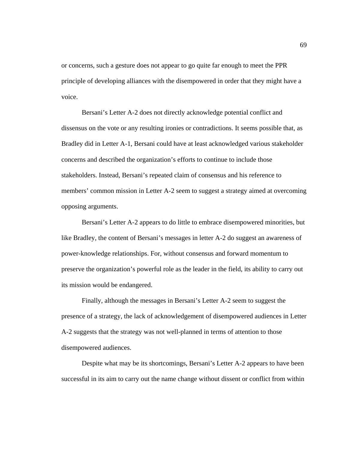or concerns, such a gesture does not appear to go quite far enough to meet the PPR principle of developing alliances with the disempowered in order that they might have a voice.

 Bersani's Letter A-2 does not directly acknowledge potential conflict and dissensus on the vote or any resulting ironies or contradictions. It seems possible that, as Bradley did in Letter A-1, Bersani could have at least acknowledged various stakeholder concerns and described the organization's efforts to continue to include those stakeholders. Instead, Bersani's repeated claim of consensus and his reference to members' common mission in Letter A-2 seem to suggest a strategy aimed at overcoming opposing arguments.

 Bersani's Letter A-2 appears to do little to embrace disempowered minorities, but like Bradley, the content of Bersani's messages in letter A-2 do suggest an awareness of power-knowledge relationships. For, without consensus and forward momentum to preserve the organization's powerful role as the leader in the field, its ability to carry out its mission would be endangered.

 Finally, although the messages in Bersani's Letter A-2 seem to suggest the presence of a strategy, the lack of acknowledgement of disempowered audiences in Letter A-2 suggests that the strategy was not well-planned in terms of attention to those disempowered audiences.

 Despite what may be its shortcomings, Bersani's Letter A-2 appears to have been successful in its aim to carry out the name change without dissent or conflict from within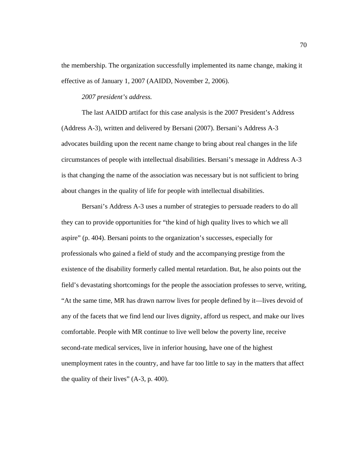the membership. The organization successfully implemented its name change, making it effective as of January 1, 2007 (AAIDD, November 2, 2006).

### *2007 president's address.*

 The last AAIDD artifact for this case analysis is the 2007 President's Address (Address A-3), written and delivered by Bersani (2007). Bersani's Address A-3 advocates building upon the recent name change to bring about real changes in the life circumstances of people with intellectual disabilities. Bersani's message in Address A-3 is that changing the name of the association was necessary but is not sufficient to bring about changes in the quality of life for people with intellectual disabilities.

 Bersani's Address A-3 uses a number of strategies to persuade readers to do all they can to provide opportunities for "the kind of high quality lives to which we all aspire" (p. 404). Bersani points to the organization's successes, especially for professionals who gained a field of study and the accompanying prestige from the existence of the disability formerly called mental retardation. But, he also points out the field's devastating shortcomings for the people the association professes to serve, writing, "At the same time, MR has drawn narrow lives for people defined by it—lives devoid of any of the facets that we find lend our lives dignity, afford us respect, and make our lives comfortable. People with MR continue to live well below the poverty line, receive second-rate medical services, live in inferior housing, have one of the highest unemployment rates in the country, and have far too little to say in the matters that affect the quality of their lives"  $(A-3, p. 400)$ .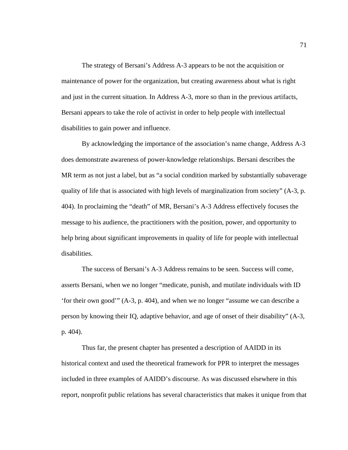The strategy of Bersani's Address A-3 appears to be not the acquisition or maintenance of power for the organization, but creating awareness about what is right and just in the current situation. In Address A-3, more so than in the previous artifacts, Bersani appears to take the role of activist in order to help people with intellectual disabilities to gain power and influence.

 By acknowledging the importance of the association's name change, Address A-3 does demonstrate awareness of power-knowledge relationships. Bersani describes the MR term as not just a label, but as "a social condition marked by substantially subaverage quality of life that is associated with high levels of marginalization from society" (A-3, p. 404). In proclaiming the "death" of MR, Bersani's A-3 Address effectively focuses the message to his audience, the practitioners with the position, power, and opportunity to help bring about significant improvements in quality of life for people with intellectual disabilities.

 The success of Bersani's A-3 Address remains to be seen. Success will come, asserts Bersani, when we no longer "medicate, punish, and mutilate individuals with ID 'for their own good'" (A-3, p. 404), and when we no longer "assume we can describe a person by knowing their IQ, adaptive behavior, and age of onset of their disability" (A-3, p. 404).

Thus far, the present chapter has presented a description of AAIDD in its historical context and used the theoretical framework for PPR to interpret the messages included in three examples of AAIDD's discourse. As was discussed elsewhere in this report, nonprofit public relations has several characteristics that makes it unique from that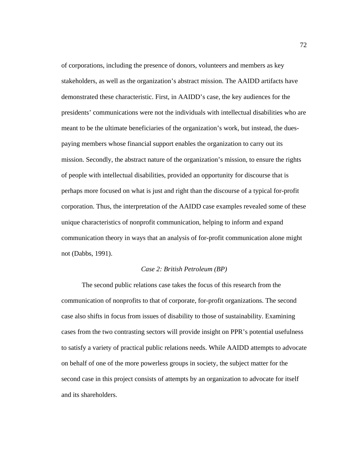of corporations, including the presence of donors, volunteers and members as key stakeholders, as well as the organization's abstract mission. The AAIDD artifacts have demonstrated these characteristic. First, in AAIDD's case, the key audiences for the presidents' communications were not the individuals with intellectual disabilities who are meant to be the ultimate beneficiaries of the organization's work, but instead, the duespaying members whose financial support enables the organization to carry out its mission. Secondly, the abstract nature of the organization's mission, to ensure the rights of people with intellectual disabilities, provided an opportunity for discourse that is perhaps more focused on what is just and right than the discourse of a typical for-profit corporation. Thus, the interpretation of the AAIDD case examples revealed some of these unique characteristics of nonprofit communication, helping to inform and expand communication theory in ways that an analysis of for-profit communication alone might not (Dabbs, 1991).

### *Case 2: British Petroleum (BP)*

 The second public relations case takes the focus of this research from the communication of nonprofits to that of corporate, for-profit organizations. The second case also shifts in focus from issues of disability to those of sustainability. Examining cases from the two contrasting sectors will provide insight on PPR's potential usefulness to satisfy a variety of practical public relations needs. While AAIDD attempts to advocate on behalf of one of the more powerless groups in society, the subject matter for the second case in this project consists of attempts by an organization to advocate for itself and its shareholders.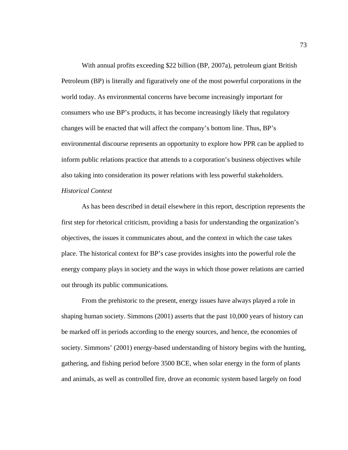With annual profits exceeding \$22 billion (BP, 2007a), petroleum giant British Petroleum (BP) is literally and figuratively one of the most powerful corporations in the world today. As environmental concerns have become increasingly important for consumers who use BP's products, it has become increasingly likely that regulatory changes will be enacted that will affect the company's bottom line. Thus, BP's environmental discourse represents an opportunity to explore how PPR can be applied to inform public relations practice that attends to a corporation's business objectives while also taking into consideration its power relations with less powerful stakeholders.

# *Historical Context*

As has been described in detail elsewhere in this report, description represents the first step for rhetorical criticism, providing a basis for understanding the organization's objectives, the issues it communicates about, and the context in which the case takes place. The historical context for BP's case provides insights into the powerful role the energy company plays in society and the ways in which those power relations are carried out through its public communications.

 From the prehistoric to the present, energy issues have always played a role in shaping human society. Simmons (2001) asserts that the past 10,000 years of history can be marked off in periods according to the energy sources, and hence, the economies of society. Simmons' (2001) energy-based understanding of history begins with the hunting, gathering, and fishing period before 3500 BCE, when solar energy in the form of plants and animals, as well as controlled fire, drove an economic system based largely on food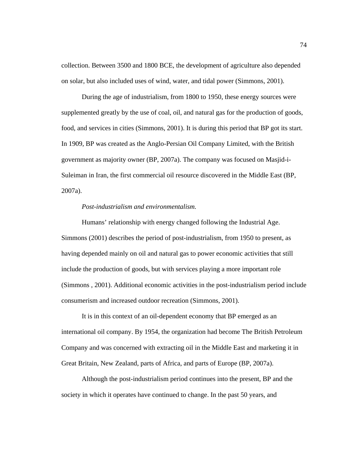collection. Between 3500 and 1800 BCE, the development of agriculture also depended on solar, but also included uses of wind, water, and tidal power (Simmons, 2001).

 During the age of industrialism, from 1800 to 1950, these energy sources were supplemented greatly by the use of coal, oil, and natural gas for the production of goods, food, and services in cities (Simmons, 2001). It is during this period that BP got its start. In 1909, BP was created as the Anglo-Persian Oil Company Limited, with the British government as majority owner (BP, 2007a). The company was focused on Masjid-i-Suleiman in Iran, the first commercial oil resource discovered in the Middle East (BP, 2007a).

# *Post-industrialism and environmentalism.*

 Humans' relationship with energy changed following the Industrial Age. Simmons (2001) describes the period of post-industrialism, from 1950 to present, as having depended mainly on oil and natural gas to power economic activities that still include the production of goods, but with services playing a more important role (Simmons , 2001). Additional economic activities in the post-industrialism period include consumerism and increased outdoor recreation (Simmons, 2001).

 It is in this context of an oil-dependent economy that BP emerged as an international oil company. By 1954, the organization had become The British Petroleum Company and was concerned with extracting oil in the Middle East and marketing it in Great Britain, New Zealand, parts of Africa, and parts of Europe (BP, 2007a).

 Although the post-industrialism period continues into the present, BP and the society in which it operates have continued to change. In the past 50 years, and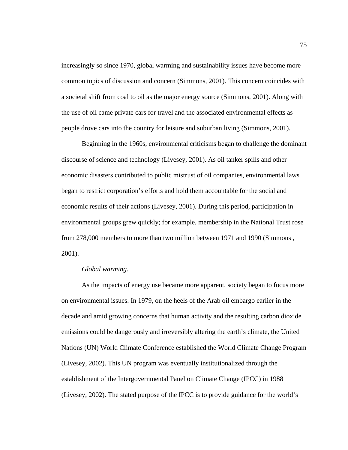increasingly so since 1970, global warming and sustainability issues have become more common topics of discussion and concern (Simmons, 2001). This concern coincides with a societal shift from coal to oil as the major energy source (Simmons, 2001). Along with the use of oil came private cars for travel and the associated environmental effects as people drove cars into the country for leisure and suburban living (Simmons, 2001).

 Beginning in the 1960s, environmental criticisms began to challenge the dominant discourse of science and technology (Livesey, 2001). As oil tanker spills and other economic disasters contributed to public mistrust of oil companies, environmental laws began to restrict corporation's efforts and hold them accountable for the social and economic results of their actions (Livesey, 2001). During this period, participation in environmental groups grew quickly; for example, membership in the National Trust rose from 278,000 members to more than two million between 1971 and 1990 (Simmons , 2001).

### *Global warming.*

 As the impacts of energy use became more apparent, society began to focus more on environmental issues. In 1979, on the heels of the Arab oil embargo earlier in the decade and amid growing concerns that human activity and the resulting carbon dioxide emissions could be dangerously and irreversibly altering the earth's climate, the United Nations (UN) World Climate Conference established the World Climate Change Program (Livesey, 2002). This UN program was eventually institutionalized through the establishment of the Intergovernmental Panel on Climate Change (IPCC) in 1988 (Livesey, 2002). The stated purpose of the IPCC is to provide guidance for the world's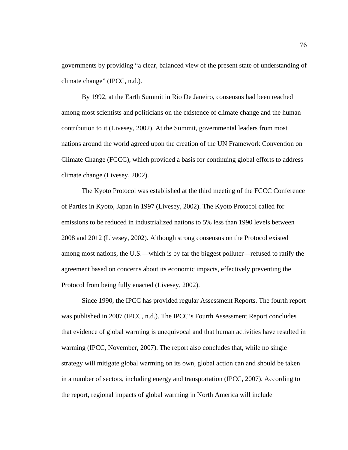governments by providing "a clear, balanced view of the present state of understanding of climate change" (IPCC, n.d.).

 By 1992, at the Earth Summit in Rio De Janeiro, consensus had been reached among most scientists and politicians on the existence of climate change and the human contribution to it (Livesey, 2002). At the Summit, governmental leaders from most nations around the world agreed upon the creation of the UN Framework Convention on Climate Change (FCCC), which provided a basis for continuing global efforts to address climate change (Livesey, 2002).

 The Kyoto Protocol was established at the third meeting of the FCCC Conference of Parties in Kyoto, Japan in 1997 (Livesey, 2002). The Kyoto Protocol called for emissions to be reduced in industrialized nations to 5% less than 1990 levels between 2008 and 2012 (Livesey, 2002). Although strong consensus on the Protocol existed among most nations, the U.S.—which is by far the biggest polluter—refused to ratify the agreement based on concerns about its economic impacts, effectively preventing the Protocol from being fully enacted (Livesey, 2002).

 Since 1990, the IPCC has provided regular Assessment Reports. The fourth report was published in 2007 (IPCC, n.d.). The IPCC's Fourth Assessment Report concludes that evidence of global warming is unequivocal and that human activities have resulted in warming (IPCC, November, 2007). The report also concludes that, while no single strategy will mitigate global warming on its own, global action can and should be taken in a number of sectors, including energy and transportation (IPCC, 2007). According to the report, regional impacts of global warming in North America will include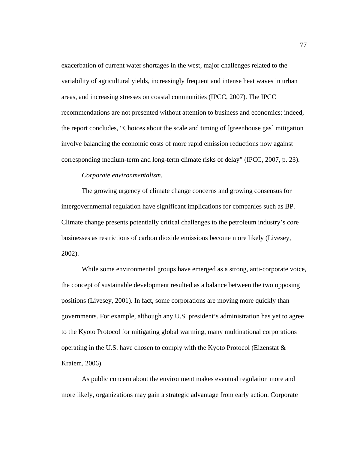exacerbation of current water shortages in the west, major challenges related to the variability of agricultural yields, increasingly frequent and intense heat waves in urban areas, and increasing stresses on coastal communities (IPCC, 2007). The IPCC recommendations are not presented without attention to business and economics; indeed, the report concludes, "Choices about the scale and timing of [greenhouse gas] mitigation involve balancing the economic costs of more rapid emission reductions now against corresponding medium-term and long-term climate risks of delay" (IPCC, 2007, p. 23).

### *Corporate environmentalism.*

 The growing urgency of climate change concerns and growing consensus for intergovernmental regulation have significant implications for companies such as BP. Climate change presents potentially critical challenges to the petroleum industry's core businesses as restrictions of carbon dioxide emissions become more likely (Livesey, 2002).

 While some environmental groups have emerged as a strong, anti-corporate voice, the concept of sustainable development resulted as a balance between the two opposing positions (Livesey, 2001). In fact, some corporations are moving more quickly than governments. For example, although any U.S. president's administration has yet to agree to the Kyoto Protocol for mitigating global warming, many multinational corporations operating in the U.S. have chosen to comply with the Kyoto Protocol (Eizenstat  $\&$ Kraiem, 2006).

 As public concern about the environment makes eventual regulation more and more likely, organizations may gain a strategic advantage from early action. Corporate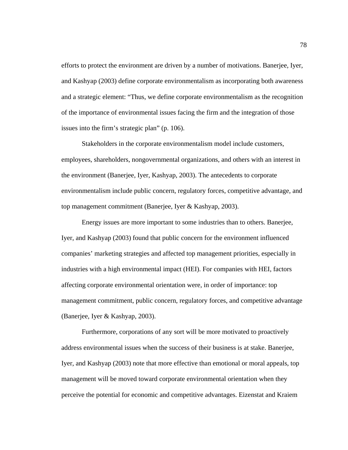efforts to protect the environment are driven by a number of motivations. Banerjee, Iyer, and Kashyap (2003) define corporate environmentalism as incorporating both awareness and a strategic element: "Thus, we define corporate environmentalism as the recognition of the importance of environmental issues facing the firm and the integration of those issues into the firm's strategic plan" (p. 106).

 Stakeholders in the corporate environmentalism model include customers, employees, shareholders, nongovernmental organizations, and others with an interest in the environment (Banerjee, Iyer, Kashyap, 2003). The antecedents to corporate environmentalism include public concern, regulatory forces, competitive advantage, and top management commitment (Banerjee, Iyer & Kashyap, 2003).

 Energy issues are more important to some industries than to others. Banerjee, Iyer, and Kashyap (2003) found that public concern for the environment influenced companies' marketing strategies and affected top management priorities, especially in industries with a high environmental impact (HEI). For companies with HEI, factors affecting corporate environmental orientation were, in order of importance: top management commitment, public concern, regulatory forces, and competitive advantage (Banerjee, Iyer & Kashyap, 2003).

 Furthermore, corporations of any sort will be more motivated to proactively address environmental issues when the success of their business is at stake. Banerjee, Iyer, and Kashyap (2003) note that more effective than emotional or moral appeals, top management will be moved toward corporate environmental orientation when they perceive the potential for economic and competitive advantages. Eizenstat and Kraiem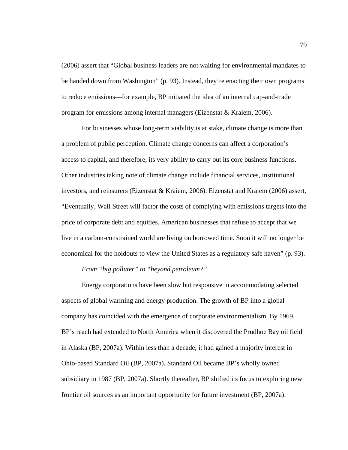(2006) assert that "Global business leaders are not waiting for environmental mandates to be handed down from Washington" (p. 93). Instead, they're enacting their own programs to reduce emissions—for example, BP initiated the idea of an internal cap-and-trade program for emissions among internal managers (Eizenstat & Kraiem, 2006).

 For businesses whose long-term viability is at stake, climate change is more than a problem of public perception. Climate change concerns can affect a corporation's access to capital, and therefore, its very ability to carry out its core business functions. Other industries taking note of climate change include financial services, institutional investors, and reinsurers (Eizenstat & Kraiem, 2006). Eizenstat and Kraiem (2006) assert, "Eventually, Wall Street will factor the costs of complying with emissions targets into the price of corporate debt and equities. American businesses that refuse to accept that we live in a carbon-constrained world are living on borrowed time. Soon it will no longer be economical for the holdouts to view the United States as a regulatory safe haven" (p. 93).

## *From "big polluter" to "beyond petroleum?"*

 Energy corporations have been slow but responsive in accommodating selected aspects of global warming and energy production. The growth of BP into a global company has coincided with the emergence of corporate environmentalism. By 1969, BP's reach had extended to North America when it discovered the Prudhoe Bay oil field in Alaska (BP, 2007a). Within less than a decade, it had gained a majority interest in Ohio-based Standard Oil (BP, 2007a). Standard Oil became BP's wholly owned subsidiary in 1987 (BP, 2007a). Shortly thereafter, BP shifted its focus to exploring new frontier oil sources as an important opportunity for future investment (BP, 2007a).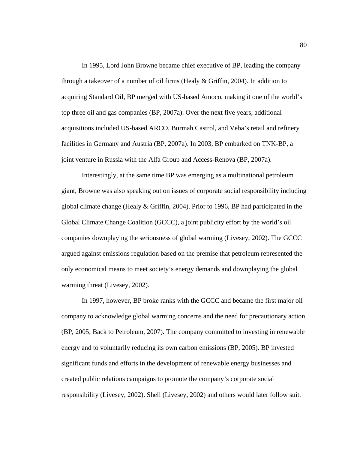In 1995, Lord John Browne became chief executive of BP, leading the company through a takeover of a number of oil firms (Healy & Griffin, 2004). In addition to acquiring Standard Oil, BP merged with US-based Amoco, making it one of the world's top three oil and gas companies (BP, 2007a). Over the next five years, additional acquisitions included US-based ARCO, Burmah Castrol, and Veba's retail and refinery facilities in Germany and Austria (BP, 2007a). In 2003, BP embarked on TNK-BP, a joint venture in Russia with the Alfa Group and Access-Renova (BP, 2007a).

 Interestingly, at the same time BP was emerging as a multinational petroleum giant, Browne was also speaking out on issues of corporate social responsibility including global climate change (Healy & Griffin, 2004). Prior to 1996, BP had participated in the Global Climate Change Coalition (GCCC), a joint publicity effort by the world's oil companies downplaying the seriousness of global warming (Livesey, 2002). The GCCC argued against emissions regulation based on the premise that petroleum represented the only economical means to meet society's energy demands and downplaying the global warming threat (Livesey, 2002).

 In 1997, however, BP broke ranks with the GCCC and became the first major oil company to acknowledge global warming concerns and the need for precautionary action (BP, 2005; Back to Petroleum, 2007). The company committed to investing in renewable energy and to voluntarily reducing its own carbon emissions (BP, 2005). BP invested significant funds and efforts in the development of renewable energy businesses and created public relations campaigns to promote the company's corporate social responsibility (Livesey, 2002). Shell (Livesey, 2002) and others would later follow suit.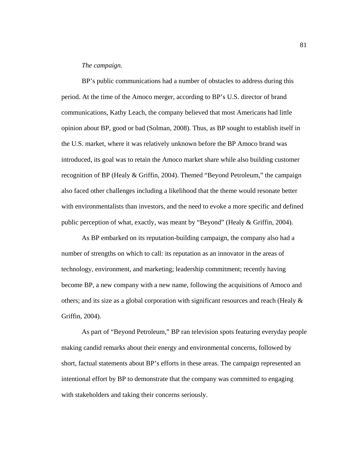### *The campaign.*

 BP's public communications had a number of obstacles to address during this period. At the time of the Amoco merger, according to BP's U.S. director of brand communications, Kathy Leach, the company believed that most Americans had little opinion about BP, good or bad (Solman, 2008). Thus, as BP sought to establish itself in the U.S. market, where it was relatively unknown before the BP Amoco brand was introduced, its goal was to retain the Amoco market share while also building customer recognition of BP (Healy & Griffin, 2004). Themed "Beyond Petroleum," the campaign also faced other challenges including a likelihood that the theme would resonate better with environmentalists than investors, and the need to evoke a more specific and defined public perception of what, exactly, was meant by "Beyond" (Healy & Griffin, 2004).

 As BP embarked on its reputation-building campaign, the company also had a number of strengths on which to call: its reputation as an innovator in the areas of technology, environment, and marketing; leadership commitment; recently having become BP, a new company with a new name, following the acquisitions of Amoco and others; and its size as a global corporation with significant resources and reach (Healy  $\&$ Griffin, 2004).

 As part of "Beyond Petroleum," BP ran television spots featuring everyday people making candid remarks about their energy and environmental concerns, followed by short, factual statements about BP's efforts in these areas. The campaign represented an intentional effort by BP to demonstrate that the company was committed to engaging with stakeholders and taking their concerns seriously.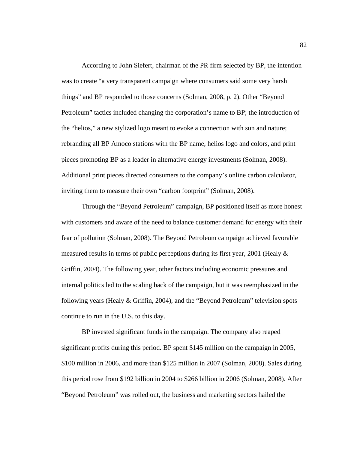According to John Siefert, chairman of the PR firm selected by BP, the intention was to create "a very transparent campaign where consumers said some very harsh things" and BP responded to those concerns (Solman, 2008, p. 2). Other "Beyond Petroleum" tactics included changing the corporation's name to BP; the introduction of the "helios," a new stylized logo meant to evoke a connection with sun and nature; rebranding all BP Amoco stations with the BP name, helios logo and colors, and print pieces promoting BP as a leader in alternative energy investments (Solman, 2008). Additional print pieces directed consumers to the company's online carbon calculator, inviting them to measure their own "carbon footprint" (Solman, 2008).

 Through the "Beyond Petroleum" campaign, BP positioned itself as more honest with customers and aware of the need to balance customer demand for energy with their fear of pollution (Solman, 2008). The Beyond Petroleum campaign achieved favorable measured results in terms of public perceptions during its first year, 2001 (Healy & Griffin, 2004). The following year, other factors including economic pressures and internal politics led to the scaling back of the campaign, but it was reemphasized in the following years (Healy & Griffin, 2004), and the "Beyond Petroleum" television spots continue to run in the U.S. to this day.

 BP invested significant funds in the campaign. The company also reaped significant profits during this period. BP spent \$145 million on the campaign in 2005, \$100 million in 2006, and more than \$125 million in 2007 (Solman, 2008). Sales during this period rose from \$192 billion in 2004 to \$266 billion in 2006 (Solman, 2008). After "Beyond Petroleum" was rolled out, the business and marketing sectors hailed the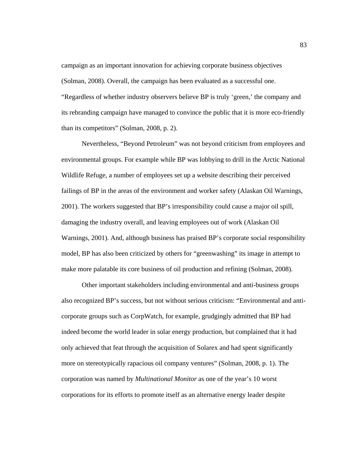campaign as an important innovation for achieving corporate business objectives (Solman, 2008). Overall, the campaign has been evaluated as a successful one. "Regardless of whether industry observers believe BP is truly 'green,' the company and its rebranding campaign have managed to convince the public that it is more eco-friendly than its competitors" (Solman, 2008, p. 2).

 Nevertheless, "Beyond Petroleum" was not beyond criticism from employees and environmental groups. For example while BP was lobbying to drill in the Arctic National Wildlife Refuge, a number of employees set up a website describing their perceived failings of BP in the areas of the environment and worker safety (Alaskan Oil Warnings, 2001). The workers suggested that BP's irresponsibility could cause a major oil spill, damaging the industry overall, and leaving employees out of work (Alaskan Oil Warnings, 2001). And, although business has praised BP's corporate social responsibility model, BP has also been criticized by others for "greenwashing" its image in attempt to make more palatable its core business of oil production and refining (Solman, 2008).

 Other important stakeholders including environmental and anti-business groups also recognized BP's success, but not without serious criticism: "Environmental and anticorporate groups such as CorpWatch, for example, grudgingly admitted that BP had indeed become the world leader in solar energy production, but complained that it had only achieved that feat through the acquisition of Solarex and had spent significantly more on stereotypically rapacious oil company ventures" (Solman, 2008, p. 1). The corporation was named by *Multinational Monitor* as one of the year's 10 worst corporations for its efforts to promote itself as an alternative energy leader despite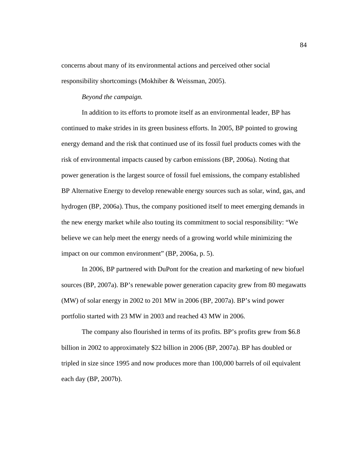concerns about many of its environmental actions and perceived other social responsibility shortcomings (Mokhiber & Weissman, 2005).

# *Beyond the campaign.*

 In addition to its efforts to promote itself as an environmental leader, BP has continued to make strides in its green business efforts. In 2005, BP pointed to growing energy demand and the risk that continued use of its fossil fuel products comes with the risk of environmental impacts caused by carbon emissions (BP, 2006a). Noting that power generation is the largest source of fossil fuel emissions, the company established BP Alternative Energy to develop renewable energy sources such as solar, wind, gas, and hydrogen (BP, 2006a). Thus, the company positioned itself to meet emerging demands in the new energy market while also touting its commitment to social responsibility: "We believe we can help meet the energy needs of a growing world while minimizing the impact on our common environment" (BP, 2006a, p. 5).

 In 2006, BP partnered with DuPont for the creation and marketing of new biofuel sources (BP, 2007a). BP's renewable power generation capacity grew from 80 megawatts (MW) of solar energy in 2002 to 201 MW in 2006 (BP, 2007a). BP's wind power portfolio started with 23 MW in 2003 and reached 43 MW in 2006.

 The company also flourished in terms of its profits. BP's profits grew from \$6.8 billion in 2002 to approximately \$22 billion in 2006 (BP, 2007a). BP has doubled or tripled in size since 1995 and now produces more than 100,000 barrels of oil equivalent each day (BP, 2007b).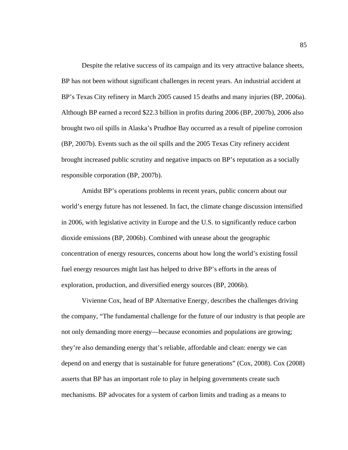Despite the relative success of its campaign and its very attractive balance sheets, BP has not been without significant challenges in recent years. An industrial accident at BP's Texas City refinery in March 2005 caused 15 deaths and many injuries (BP, 2006a). Although BP earned a record \$22.3 billion in profits during 2006 (BP, 2007b), 2006 also brought two oil spills in Alaska's Prudhoe Bay occurred as a result of pipeline corrosion (BP, 2007b). Events such as the oil spills and the 2005 Texas City refinery accident brought increased public scrutiny and negative impacts on BP's reputation as a socially responsible corporation (BP, 2007b).

 Amidst BP's operations problems in recent years, public concern about our world's energy future has not lessened. In fact, the climate change discussion intensified in 2006, with legislative activity in Europe and the U.S. to significantly reduce carbon dioxide emissions (BP, 2006b). Combined with unease about the geographic concentration of energy resources, concerns about how long the world's existing fossil fuel energy resources might last has helped to drive BP's efforts in the areas of exploration, production, and diversified energy sources (BP, 2006b).

 Vivienne Cox, head of BP Alternative Energy, describes the challenges driving the company, "The fundamental challenge for the future of our industry is that people are not only demanding more energy—because economies and populations are growing; they're also demanding energy that's reliable, affordable and clean: energy we can depend on and energy that is sustainable for future generations" (Cox, 2008). Cox (2008) asserts that BP has an important role to play in helping governments create such mechanisms. BP advocates for a system of carbon limits and trading as a means to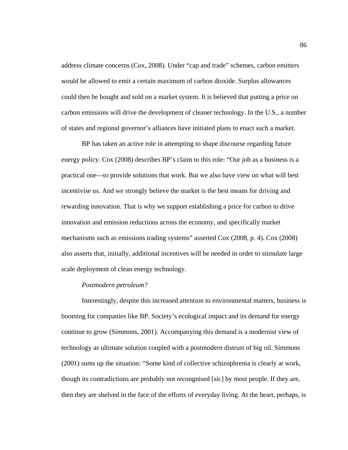address climate concerns (Cox, 2008). Under "cap and trade" schemes, carbon emitters would be allowed to emit a certain maximum of carbon dioxide. Surplus allowances could then be bought and sold on a market system. It is believed that putting a price on carbon emissions will drive the development of cleaner technology. In the U.S., a number of states and regional governor's alliances have initiated plans to enact such a market.

 BP has taken an active role in attempting to shape discourse regarding future energy policy. Cox (2008) describes BP's claim to this role: "Our job as a business is a practical one—to provide solutions that work. But we also have view on what will best incentivise us. And we strongly believe the market is the best means for driving and rewarding innovation. That is why we support establishing a price for carbon to drive innovation and emission reductions across the economy, and specifically market mechanisms such as emissions trading systems" asserted Cox (2008, p. 4). Cox (2008) also asserts that, initially, additional incentives will be needed in order to stimulate large scale deployment of clean energy technology.

### *Postmodern petroleum?*

 Interestingly, despite this increased attention to environmental matters, business is booming for companies like BP. Society's ecological impact and its demand for energy continue to grow (Simmons, 2001). Accompanying this demand is a modernist view of technology as ultimate solution coupled with a postmodern distrust of big oil. Simmons (2001) sums up the situation: "Some kind of collective schizophrenia is clearly at work, though its contradictions are probably not recongnised [sic] by most people. If they are, then they are shelved in the face of the efforts of everyday living. At the heart, perhaps, is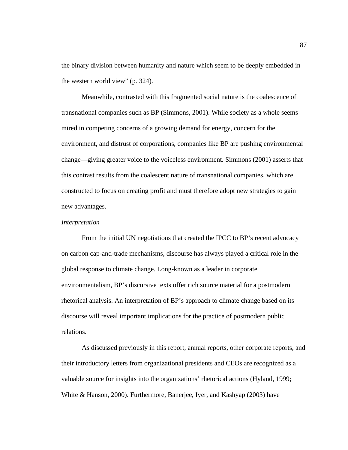the binary division between humanity and nature which seem to be deeply embedded in the western world view" (p. 324).

 Meanwhile, contrasted with this fragmented social nature is the coalescence of transnational companies such as BP (Simmons, 2001). While society as a whole seems mired in competing concerns of a growing demand for energy, concern for the environment, and distrust of corporations, companies like BP are pushing environmental change—giving greater voice to the voiceless environment. Simmons (2001) asserts that this contrast results from the coalescent nature of transnational companies, which are constructed to focus on creating profit and must therefore adopt new strategies to gain new advantages.

#### *Interpretation*

 From the initial UN negotiations that created the IPCC to BP's recent advocacy on carbon cap-and-trade mechanisms, discourse has always played a critical role in the global response to climate change. Long-known as a leader in corporate environmentalism, BP's discursive texts offer rich source material for a postmodern rhetorical analysis. An interpretation of BP's approach to climate change based on its discourse will reveal important implications for the practice of postmodern public relations.

 As discussed previously in this report, annual reports, other corporate reports, and their introductory letters from organizational presidents and CEOs are recognized as a valuable source for insights into the organizations' rhetorical actions (Hyland, 1999; White & Hanson, 2000). Furthermore, Banerjee, Iyer, and Kashyap (2003) have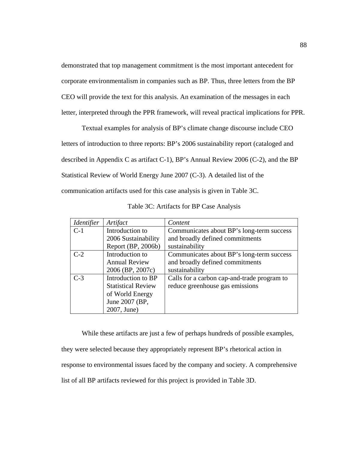demonstrated that top management commitment is the most important antecedent for corporate environmentalism in companies such as BP. Thus, three letters from the BP CEO will provide the text for this analysis. An examination of the messages in each letter, interpreted through the PPR framework, will reveal practical implications for PPR.

 Textual examples for analysis of BP's climate change discourse include CEO letters of introduction to three reports: BP's 2006 sustainability report (cataloged and described in Appendix C as artifact C-1), BP's Annual Review 2006 (C-2), and the BP Statistical Review of World Energy June 2007 (C-3). A detailed list of the communication artifacts used for this case analysis is given in Table 3C.

| <i>Identifier</i> | Artifact                  | Content                                     |
|-------------------|---------------------------|---------------------------------------------|
| $C-1$             | Introduction to           | Communicates about BP's long-term success   |
|                   | 2006 Sustainability       | and broadly defined commitments             |
|                   | Report (BP, 2006b)        | sustainability                              |
| $C-2$             | Introduction to           | Communicates about BP's long-term success   |
|                   | <b>Annual Review</b>      | and broadly defined commitments             |
|                   | 2006 (BP, 2007c)          | sustainability                              |
| $C-3$             | Introduction to BP        | Calls for a carbon cap-and-trade program to |
|                   | <b>Statistical Review</b> | reduce greenhouse gas emissions             |
|                   | of World Energy           |                                             |
|                   | June 2007 (BP,            |                                             |
|                   | 2007, June)               |                                             |

Table 3C: Artifacts for BP Case Analysis

 While these artifacts are just a few of perhaps hundreds of possible examples, they were selected because they appropriately represent BP's rhetorical action in response to environmental issues faced by the company and society. A comprehensive list of all BP artifacts reviewed for this project is provided in Table 3D.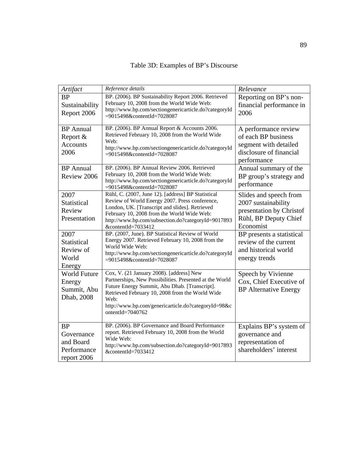| Artifact                                                           | Reference details                                                                                                                                                                                                                                                                          | Relevance                                                                                                       |
|--------------------------------------------------------------------|--------------------------------------------------------------------------------------------------------------------------------------------------------------------------------------------------------------------------------------------------------------------------------------------|-----------------------------------------------------------------------------------------------------------------|
| <b>BP</b><br>Sustainability<br>Report 2006                         | BP. (2006). BP Sustainability Report 2006. Retrieved<br>February 10, 2008 from the World Wide Web:<br>http://www.bp.com/sectiongenericarticle.do?categoryId<br>=9015498&contentId=7028087                                                                                                  | Reporting on BP's non-<br>financial performance in<br>2006                                                      |
| <b>BP</b> Annual<br>Report &<br><b>Accounts</b><br>2006            | BP. (2006). BP Annual Report & Accounts 2006.<br>Retrieved February 10, 2008 from the World Wide<br>Web:<br>http://www.bp.com/sectiongenericarticle.do?categoryId<br>=9015498&contentId=7028087                                                                                            | A performance review<br>of each BP business<br>segment with detailed<br>disclosure of financial<br>performance  |
| <b>BP</b> Annual<br>Review 2006                                    | BP. (2006). BP Annual Review 2006. Retrieved<br>February 10, 2008 from the World Wide Web:<br>http://www.bp.com/sectiongenericarticle.do?categoryId<br>=9015498&contentId=7028087                                                                                                          | Annual summary of the<br>BP group's strategy and<br>performance                                                 |
| 2007<br>Statistical<br>Review<br>Presentation                      | Rühl, C. (2007, June 12). [address] BP Statistical<br>Review of World Energy 2007. Press conference,<br>London, UK. [Transcript and slides]. Retrieved<br>February 10, 2008 from the World Wide Web:<br>http://www.bp.com/subsection.do?categoryId=9017893<br>&contentId=7033412           | Slides and speech from<br>2007 sustainability<br>presentation by Christof<br>Rühl, BP Deputy Chief<br>Economist |
| 2007<br>Statistical<br>Review of<br>World<br>Energy                | BP. (2007, June). BP Statistical Review of World<br>Energy 2007. Retrieved February 10, 2008 from the<br>World Wide Web:<br>http://www.bp.com/sectiongenericarticle.do?categoryId<br>=9015498&contentId=7028087                                                                            | BP presents a statistical<br>review of the current<br>and historical world<br>energy trends                     |
| World Future<br>Energy<br>Summit, Abu<br>Dhab, 2008                | Cox, V. (21 January 2008). [address] New<br>Partnerships, New Possibilities. Presented at the World<br>Future Energy Summit, Abu Dhab. [Transcript].<br>Retrieved February 10, 2008 from the World Wide<br>Web:<br>http://www.bp.com/genericarticle.do?categoryId=98&c<br>ontentId=7040762 | Speech by Vivienne<br>Cox, Chief Executive of<br><b>BP</b> Alternative Energy                                   |
| <b>BP</b><br>Governance<br>and Board<br>Performance<br>report 2006 | BP. (2006). BP Governance and Board Performance<br>report. Retrieved February 10, 2008 from the World<br>Wide Web:<br>http://www.bp.com/subsection.do?categoryId=9017893<br>&contentId=7033412                                                                                             | Explains BP's system of<br>governance and<br>representation of<br>shareholders' interest                        |

| Table 3D: Examples of BP's Discourse |  |  |  |
|--------------------------------------|--|--|--|
|--------------------------------------|--|--|--|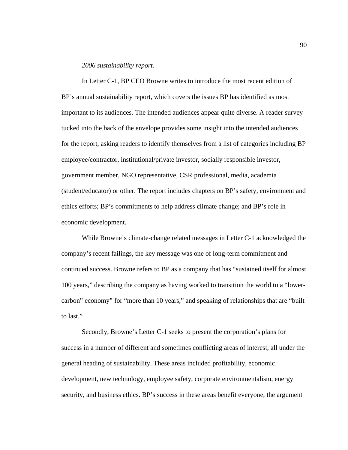### *2006 sustainability report.*

 In Letter C-1, BP CEO Browne writes to introduce the most recent edition of BP's annual sustainability report, which covers the issues BP has identified as most important to its audiences. The intended audiences appear quite diverse. A reader survey tucked into the back of the envelope provides some insight into the intended audiences for the report, asking readers to identify themselves from a list of categories including BP employee/contractor, institutional/private investor, socially responsible investor, government member, NGO representative, CSR professional, media, academia (student/educator) or other. The report includes chapters on BP's safety, environment and ethics efforts; BP's commitments to help address climate change; and BP's role in economic development.

 While Browne's climate-change related messages in Letter C-1 acknowledged the company's recent failings, the key message was one of long-term commitment and continued success. Browne refers to BP as a company that has "sustained itself for almost 100 years," describing the company as having worked to transition the world to a "lowercarbon" economy" for "more than 10 years," and speaking of relationships that are "built to last."

 Secondly, Browne's Letter C-1 seeks to present the corporation's plans for success in a number of different and sometimes conflicting areas of interest, all under the general heading of sustainability. These areas included profitability, economic development, new technology, employee safety, corporate environmentalism, energy security, and business ethics. BP's success in these areas benefit everyone, the argument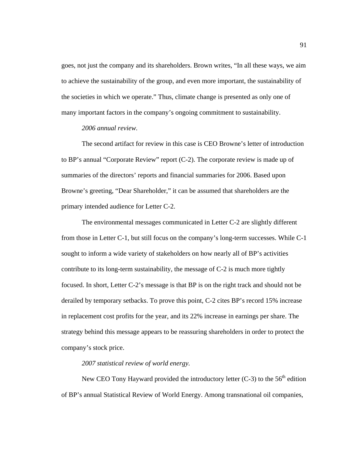goes, not just the company and its shareholders. Brown writes, "In all these ways, we aim to achieve the sustainability of the group, and even more important, the sustainability of the societies in which we operate." Thus, climate change is presented as only one of many important factors in the company's ongoing commitment to sustainability.

## *2006 annual review.*

 The second artifact for review in this case is CEO Browne's letter of introduction to BP's annual "Corporate Review" report (C-2). The corporate review is made up of summaries of the directors' reports and financial summaries for 2006. Based upon Browne's greeting, "Dear Shareholder," it can be assumed that shareholders are the primary intended audience for Letter C-2.

 The environmental messages communicated in Letter C-2 are slightly different from those in Letter C-1, but still focus on the company's long-term successes. While C-1 sought to inform a wide variety of stakeholders on how nearly all of BP's activities contribute to its long-term sustainability, the message of C-2 is much more tightly focused. In short, Letter C-2's message is that BP is on the right track and should not be derailed by temporary setbacks. To prove this point, C-2 cites BP's record 15% increase in replacement cost profits for the year, and its 22% increase in earnings per share. The strategy behind this message appears to be reassuring shareholders in order to protect the company's stock price.

### *2007 statistical review of world energy.*

New CEO Tony Hayward provided the introductory letter  $(C-3)$  to the 56<sup>th</sup> edition of BP's annual Statistical Review of World Energy. Among transnational oil companies,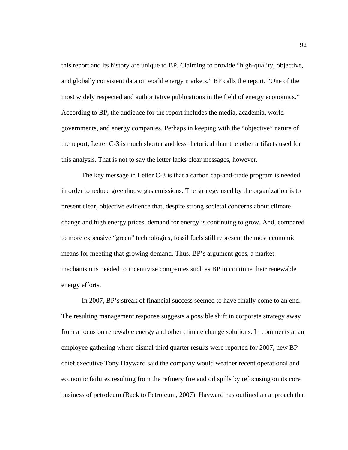this report and its history are unique to BP. Claiming to provide "high-quality, objective, and globally consistent data on world energy markets," BP calls the report, "One of the most widely respected and authoritative publications in the field of energy economics." According to BP, the audience for the report includes the media, academia, world governments, and energy companies. Perhaps in keeping with the "objective" nature of the report, Letter C-3 is much shorter and less rhetorical than the other artifacts used for this analysis. That is not to say the letter lacks clear messages, however.

 The key message in Letter C-3 is that a carbon cap-and-trade program is needed in order to reduce greenhouse gas emissions. The strategy used by the organization is to present clear, objective evidence that, despite strong societal concerns about climate change and high energy prices, demand for energy is continuing to grow. And, compared to more expensive "green" technologies, fossil fuels still represent the most economic means for meeting that growing demand. Thus, BP's argument goes, a market mechanism is needed to incentivise companies such as BP to continue their renewable energy efforts.

 In 2007, BP's streak of financial success seemed to have finally come to an end. The resulting management response suggests a possible shift in corporate strategy away from a focus on renewable energy and other climate change solutions. In comments at an employee gathering where dismal third quarter results were reported for 2007, new BP chief executive Tony Hayward said the company would weather recent operational and economic failures resulting from the refinery fire and oil spills by refocusing on its core business of petroleum (Back to Petroleum, 2007). Hayward has outlined an approach that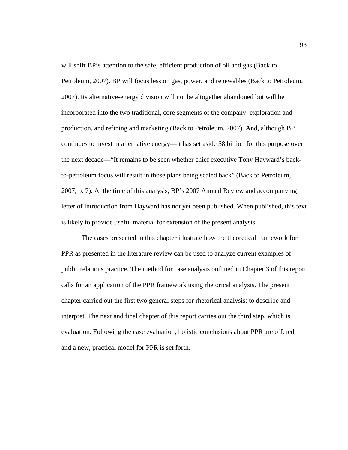will shift BP's attention to the safe, efficient production of oil and gas (Back to Petroleum, 2007). BP will focus less on gas, power, and renewables (Back to Petroleum, 2007). Its alternative-energy division will not be altogether abandoned but will be incorporated into the two traditional, core segments of the company: exploration and production, and refining and marketing (Back to Petroleum, 2007). And, although BP continues to invest in alternative energy—it has set aside \$8 billion for this purpose over the next decade—"It remains to be seen whether chief executive Tony Hayward's backto-petroleum focus will result in those plans being scaled back" (Back to Petroleum, 2007, p. 7). At the time of this analysis, BP's 2007 Annual Review and accompanying letter of introduction from Hayward has not yet been published. When published, this text is likely to provide useful material for extension of the present analysis.

 The cases presented in this chapter illustrate how the theoretical framework for PPR as presented in the literature review can be used to analyze current examples of public relations practice. The method for case analysis outlined in Chapter 3 of this report calls for an application of the PPR framework using rhetorical analysis. The present chapter carried out the first two general steps for rhetorical analysis: to describe and interpret. The next and final chapter of this report carries out the third step, which is evaluation. Following the case evaluation, holistic conclusions about PPR are offered, and a new, practical model for PPR is set forth.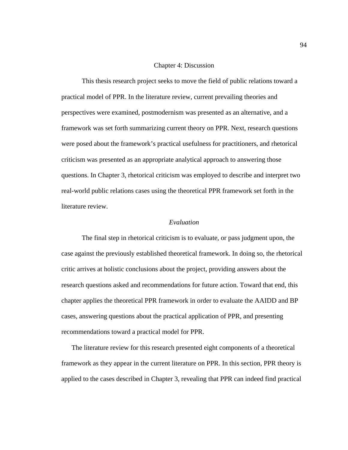#### Chapter 4: Discussion

 This thesis research project seeks to move the field of public relations toward a practical model of PPR. In the literature review, current prevailing theories and perspectives were examined, postmodernism was presented as an alternative, and a framework was set forth summarizing current theory on PPR. Next, research questions were posed about the framework's practical usefulness for practitioners, and rhetorical criticism was presented as an appropriate analytical approach to answering those questions. In Chapter 3, rhetorical criticism was employed to describe and interpret two real-world public relations cases using the theoretical PPR framework set forth in the literature review.

# *Evaluation*

 The final step in rhetorical criticism is to evaluate, or pass judgment upon, the case against the previously established theoretical framework. In doing so, the rhetorical critic arrives at holistic conclusions about the project, providing answers about the research questions asked and recommendations for future action. Toward that end, this chapter applies the theoretical PPR framework in order to evaluate the AAIDD and BP cases, answering questions about the practical application of PPR, and presenting recommendations toward a practical model for PPR.

 The literature review for this research presented eight components of a theoretical framework as they appear in the current literature on PPR. In this section, PPR theory is applied to the cases described in Chapter 3, revealing that PPR can indeed find practical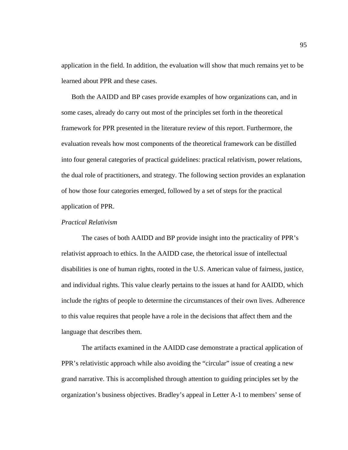application in the field. In addition, the evaluation will show that much remains yet to be learned about PPR and these cases.

 Both the AAIDD and BP cases provide examples of how organizations can, and in some cases, already do carry out most of the principles set forth in the theoretical framework for PPR presented in the literature review of this report. Furthermore, the evaluation reveals how most components of the theoretical framework can be distilled into four general categories of practical guidelines: practical relativism, power relations, the dual role of practitioners, and strategy. The following section provides an explanation of how those four categories emerged, followed by a set of steps for the practical application of PPR.

# *Practical Relativism*

The cases of both AAIDD and BP provide insight into the practicality of PPR's relativist approach to ethics. In the AAIDD case, the rhetorical issue of intellectual disabilities is one of human rights, rooted in the U.S. American value of fairness, justice, and individual rights. This value clearly pertains to the issues at hand for AAIDD, which include the rights of people to determine the circumstances of their own lives. Adherence to this value requires that people have a role in the decisions that affect them and the language that describes them.

 The artifacts examined in the AAIDD case demonstrate a practical application of PPR's relativistic approach while also avoiding the "circular" issue of creating a new grand narrative. This is accomplished through attention to guiding principles set by the organization's business objectives. Bradley's appeal in Letter A-1 to members' sense of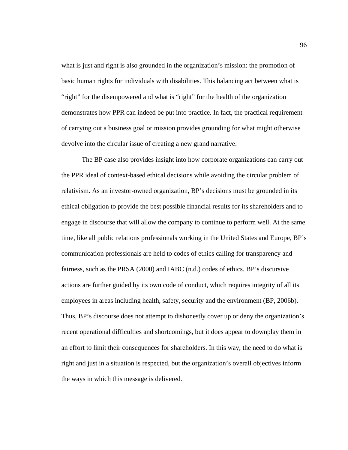what is just and right is also grounded in the organization's mission: the promotion of basic human rights for individuals with disabilities. This balancing act between what is "right" for the disempowered and what is "right" for the health of the organization demonstrates how PPR can indeed be put into practice. In fact, the practical requirement of carrying out a business goal or mission provides grounding for what might otherwise devolve into the circular issue of creating a new grand narrative.

 The BP case also provides insight into how corporate organizations can carry out the PPR ideal of context-based ethical decisions while avoiding the circular problem of relativism. As an investor-owned organization, BP's decisions must be grounded in its ethical obligation to provide the best possible financial results for its shareholders and to engage in discourse that will allow the company to continue to perform well. At the same time, like all public relations professionals working in the United States and Europe, BP's communication professionals are held to codes of ethics calling for transparency and fairness, such as the PRSA (2000) and IABC (n.d.) codes of ethics. BP's discursive actions are further guided by its own code of conduct, which requires integrity of all its employees in areas including health, safety, security and the environment (BP, 2006b). Thus, BP's discourse does not attempt to dishonestly cover up or deny the organization's recent operational difficulties and shortcomings, but it does appear to downplay them in an effort to limit their consequences for shareholders. In this way, the need to do what is right and just in a situation is respected, but the organization's overall objectives inform the ways in which this message is delivered.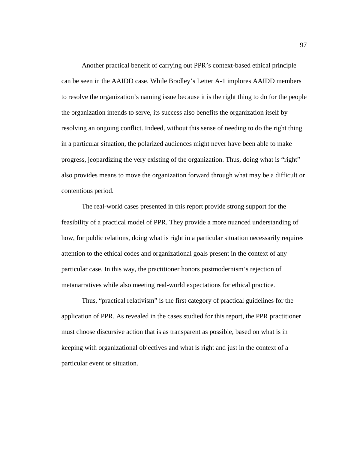Another practical benefit of carrying out PPR's context-based ethical principle can be seen in the AAIDD case. While Bradley's Letter A-1 implores AAIDD members to resolve the organization's naming issue because it is the right thing to do for the people the organization intends to serve, its success also benefits the organization itself by resolving an ongoing conflict. Indeed, without this sense of needing to do the right thing in a particular situation, the polarized audiences might never have been able to make progress, jeopardizing the very existing of the organization. Thus, doing what is "right" also provides means to move the organization forward through what may be a difficult or contentious period.

 The real-world cases presented in this report provide strong support for the feasibility of a practical model of PPR. They provide a more nuanced understanding of how, for public relations, doing what is right in a particular situation necessarily requires attention to the ethical codes and organizational goals present in the context of any particular case. In this way, the practitioner honors postmodernism's rejection of metanarratives while also meeting real-world expectations for ethical practice.

 Thus, "practical relativism" is the first category of practical guidelines for the application of PPR. As revealed in the cases studied for this report, the PPR practitioner must choose discursive action that is as transparent as possible, based on what is in keeping with organizational objectives and what is right and just in the context of a particular event or situation.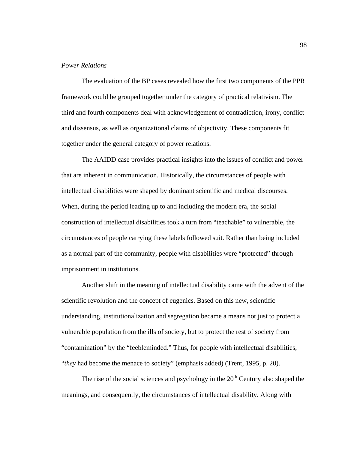# *Power Relations*

 The evaluation of the BP cases revealed how the first two components of the PPR framework could be grouped together under the category of practical relativism. The third and fourth components deal with acknowledgement of contradiction, irony, conflict and dissensus, as well as organizational claims of objectivity. These components fit together under the general category of power relations.

 The AAIDD case provides practical insights into the issues of conflict and power that are inherent in communication. Historically, the circumstances of people with intellectual disabilities were shaped by dominant scientific and medical discourses. When, during the period leading up to and including the modern era, the social construction of intellectual disabilities took a turn from "teachable" to vulnerable, the circumstances of people carrying these labels followed suit. Rather than being included as a normal part of the community, people with disabilities were "protected" through imprisonment in institutions.

Another shift in the meaning of intellectual disability came with the advent of the scientific revolution and the concept of eugenics. Based on this new, scientific understanding, institutionalization and segregation became a means not just to protect a vulnerable population from the ills of society, but to protect the rest of society from "contamination" by the "feebleminded." Thus, for people with intellectual disabilities, "*they* had become the menace to society" (emphasis added) (Trent, 1995, p. 20).

The rise of the social sciences and psychology in the  $20<sup>th</sup>$  Century also shaped the meanings, and consequently, the circumstances of intellectual disability. Along with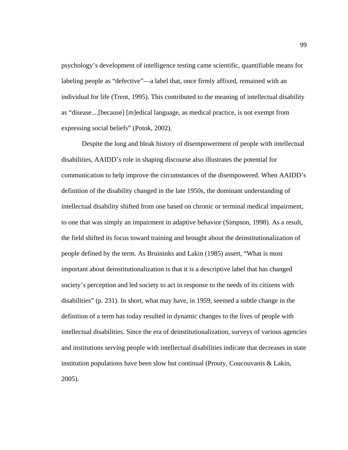psychology's development of intelligence testing came scientific, quantifiable means for labeling people as "defective"—a label that, once firmly affixed, remained with an individual for life (Trent, 1995). This contributed to the meaning of intellectual disability as "disease....[because] [m]edical language, as medical practice, is not exempt from expressing social beliefs" (Potok, 2002).

Despite the long and bleak history of disempowerment of people with intellectual disabilities, AAIDD's role in shaping discourse also illustrates the potential for communication to help improve the circumstances of the disempowered. When AAIDD's definition of the disability changed in the late 1950s, the dominant understanding of intellectual disability shifted from one based on chronic or terminal medical impairment, to one that was simply an impairment in adaptive behavior (Simpson, 1998). As a result, the field shifted its focus toward training and brought about the deinstitutionalization of people defined by the term. As Bruininks and Lakin (1985) assert, "What is most important about deinstitutionalization is that it is a descriptive label that has changed society's perception and led society to act in response to the needs of its citizens with disabilities" (p. 231). In short, what may have, in 1959, seemed a subtle change in the definition of a term has today resulted in dynamic changes to the lives of people with intellectual disabilities. Since the era of deinstitutionalization, surveys of various agencies and institutions serving people with intellectual disabilities indicate that decreases in state institution populations have been slow but continual (Prouty, Coucouvanis & Lakin, 2005).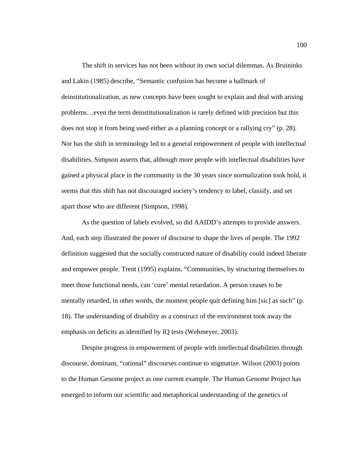The shift in services has not been without its own social dilemmas. As Bruininks and Lakin (1985) describe, "Semantic confusion has become a hallmark of deinstitutionalization, as new concepts have been sought to explain and deal with arising problems…even the term deinstitutionalization is rarely defined with precision but this does not stop it from being used either as a planning concept or a rallying cry" (p. 28). Nor has the shift in terminology led to a general empowerment of people with intellectual disabilities. Simpson asserts that, although more people with intellectual disabilities have gained a physical place in the community in the 30 years since normalization took hold, it seems that this shift has not discouraged society's tendency to label, classify, and set apart those who are different (Simpson, 1998).

As the question of labels evolved, so did AAIDD's attempts to provide answers. And, each step illustrated the power of discourse to shape the lives of people. The 1992 definition suggested that the socially constructed nature of disability could indeed liberate and empower people. Trent (1995) explains, "Communities, by structuring themselves to meet those functional needs, can 'cure' mental retardation. A person ceases to be mentally retarded, in other words, the moment people quit defining him [sic] as such" (p. 18). The understanding of disability as a construct of the environment took away the emphasis on deficits as identified by IQ tests (Wehmeyer, 2003).

Despite progress in empowerment of people with intellectual disabilities through discourse, dominant, "rational" discourses continue to stigmatize. Wilson (2003) points to the Human Genome project as one current example. The Human Genome Project has emerged to inform our scientific and metaphorical understanding of the genetics of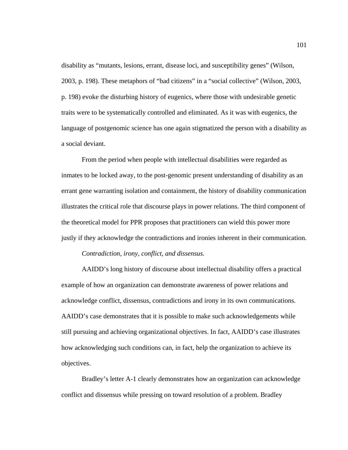disability as "mutants, lesions, errant, disease loci, and susceptibility genes" (Wilson, 2003, p. 198). These metaphors of "bad citizens" in a "social collective" (Wilson, 2003, p. 198) evoke the disturbing history of eugenics, where those with undesirable genetic traits were to be systematically controlled and eliminated. As it was with eugenics, the language of postgenomic science has one again stigmatized the person with a disability as a social deviant.

From the period when people with intellectual disabilities were regarded as inmates to be locked away, to the post-genomic present understanding of disability as an errant gene warranting isolation and containment, the history of disability communication illustrates the critical role that discourse plays in power relations. The third component of the theoretical model for PPR proposes that practitioners can wield this power more justly if they acknowledge the contradictions and ironies inherent in their communication.

#### *Contradiction, irony, conflict, and dissensus.*

 AAIDD's long history of discourse about intellectual disability offers a practical example of how an organization can demonstrate awareness of power relations and acknowledge conflict, dissensus, contradictions and irony in its own communications. AAIDD's case demonstrates that it is possible to make such acknowledgements while still pursuing and achieving organizational objectives. In fact, AAIDD's case illustrates how acknowledging such conditions can, in fact, help the organization to achieve its objectives.

 Bradley's letter A-1 clearly demonstrates how an organization can acknowledge conflict and dissensus while pressing on toward resolution of a problem. Bradley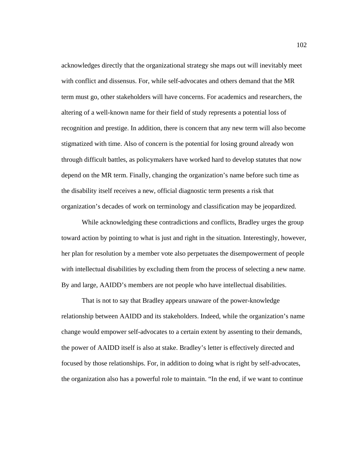acknowledges directly that the organizational strategy she maps out will inevitably meet with conflict and dissensus. For, while self-advocates and others demand that the MR term must go, other stakeholders will have concerns. For academics and researchers, the altering of a well-known name for their field of study represents a potential loss of recognition and prestige. In addition, there is concern that any new term will also become stigmatized with time. Also of concern is the potential for losing ground already won through difficult battles, as policymakers have worked hard to develop statutes that now depend on the MR term. Finally, changing the organization's name before such time as the disability itself receives a new, official diagnostic term presents a risk that organization's decades of work on terminology and classification may be jeopardized.

 While acknowledging these contradictions and conflicts, Bradley urges the group toward action by pointing to what is just and right in the situation. Interestingly, however, her plan for resolution by a member vote also perpetuates the disempowerment of people with intellectual disabilities by excluding them from the process of selecting a new name. By and large, AAIDD's members are not people who have intellectual disabilities.

 That is not to say that Bradley appears unaware of the power-knowledge relationship between AAIDD and its stakeholders. Indeed, while the organization's name change would empower self-advocates to a certain extent by assenting to their demands, the power of AAIDD itself is also at stake. Bradley's letter is effectively directed and focused by those relationships. For, in addition to doing what is right by self-advocates, the organization also has a powerful role to maintain. "In the end, if we want to continue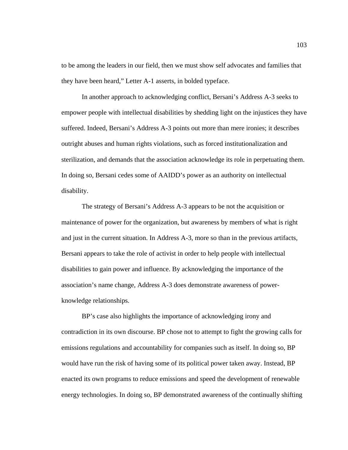to be among the leaders in our field, then we must show self advocates and families that they have been heard," Letter A-1 asserts, in bolded typeface.

 In another approach to acknowledging conflict, Bersani's Address A-3 seeks to empower people with intellectual disabilities by shedding light on the injustices they have suffered. Indeed, Bersani's Address A-3 points out more than mere ironies; it describes outright abuses and human rights violations, such as forced institutionalization and sterilization, and demands that the association acknowledge its role in perpetuating them. In doing so, Bersani cedes some of AAIDD's power as an authority on intellectual disability.

 The strategy of Bersani's Address A-3 appears to be not the acquisition or maintenance of power for the organization, but awareness by members of what is right and just in the current situation. In Address A-3, more so than in the previous artifacts, Bersani appears to take the role of activist in order to help people with intellectual disabilities to gain power and influence. By acknowledging the importance of the association's name change, Address A-3 does demonstrate awareness of powerknowledge relationships.

 BP's case also highlights the importance of acknowledging irony and contradiction in its own discourse. BP chose not to attempt to fight the growing calls for emissions regulations and accountability for companies such as itself. In doing so, BP would have run the risk of having some of its political power taken away. Instead, BP enacted its own programs to reduce emissions and speed the development of renewable energy technologies. In doing so, BP demonstrated awareness of the continually shifting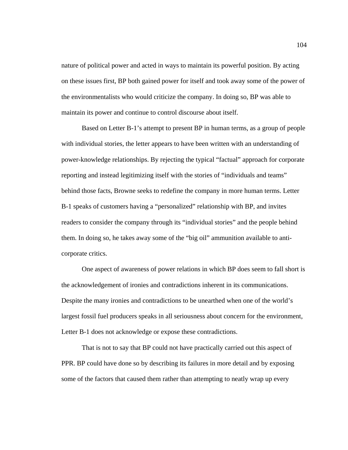nature of political power and acted in ways to maintain its powerful position. By acting on these issues first, BP both gained power for itself and took away some of the power of the environmentalists who would criticize the company. In doing so, BP was able to maintain its power and continue to control discourse about itself.

 Based on Letter B-1's attempt to present BP in human terms, as a group of people with individual stories, the letter appears to have been written with an understanding of power-knowledge relationships. By rejecting the typical "factual" approach for corporate reporting and instead legitimizing itself with the stories of "individuals and teams" behind those facts, Browne seeks to redefine the company in more human terms. Letter B-1 speaks of customers having a "personalized" relationship with BP, and invites readers to consider the company through its "individual stories" and the people behind them. In doing so, he takes away some of the "big oil" ammunition available to anticorporate critics.

 One aspect of awareness of power relations in which BP does seem to fall short is the acknowledgement of ironies and contradictions inherent in its communications. Despite the many ironies and contradictions to be unearthed when one of the world's largest fossil fuel producers speaks in all seriousness about concern for the environment, Letter B-1 does not acknowledge or expose these contradictions.

 That is not to say that BP could not have practically carried out this aspect of PPR. BP could have done so by describing its failures in more detail and by exposing some of the factors that caused them rather than attempting to neatly wrap up every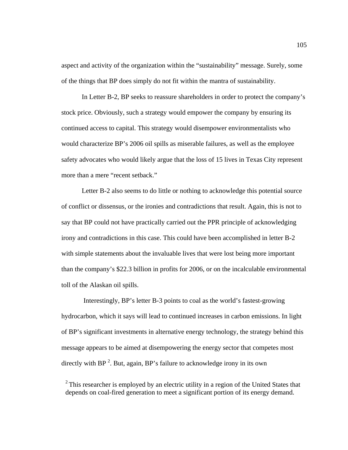aspect and activity of the organization within the "sustainability" message. Surely, some of the things that BP does simply do not fit within the mantra of sustainability.

 In Letter B-2, BP seeks to reassure shareholders in order to protect the company's stock price. Obviously, such a strategy would empower the company by ensuring its continued access to capital. This strategy would disempower environmentalists who would characterize BP's 2006 oil spills as miserable failures, as well as the employee safety advocates who would likely argue that the loss of 15 lives in Texas City represent more than a mere "recent setback."

 Letter B-2 also seems to do little or nothing to acknowledge this potential source of conflict or dissensus, or the ironies and contradictions that result. Again, this is not to say that BP could not have practically carried out the PPR principle of acknowledging irony and contradictions in this case. This could have been accomplished in letter B-2 with simple statements about the invaluable lives that were lost being more important than the company's \$22.3 billion in profits for 2006, or on the incalculable environmental toll of the Alaskan oil spills.

 Interestingly, BP's letter B-3 points to coal as the world's fastest-growing hydrocarbon, which it says will lead to continued increases in carbon emissions. In light of BP's significant investments in alternative energy technology, the strategy behind this message appears to be aimed at disempowering the energy sector that competes most directly with BP<sup>2</sup>. But, again, BP's failure to acknowledge irony in its own

 $2$ <sup>2</sup> This researcher is employed by an electric utility in a region of the United States that depends on coal-fired generation to meet a significant portion of its energy demand.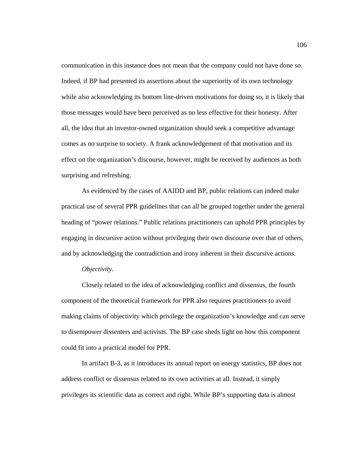communication in this instance does not mean that the company could not have done so. Indeed, if BP had presented its assertions about the superiority of its own technology while also acknowledging its bottom line-driven motivations for doing so, it is likely that those messages would have been perceived as no less effective for their honesty. After all, the idea that an investor-owned organization should seek a competitive advantage comes as no surprise to society. A frank acknowledgement of that motivation and its effect on the organization's discourse, however, might be received by audiences as both surprising and refreshing.

As evidenced by the cases of AAIDD and BP, public relations can indeed make practical use of several PPR guidelines that can all be grouped together under the general heading of "power relations." Public relations practitioners can uphold PPR principles by engaging in discursive action without privileging their own discourse over that of others, and by acknowledging the contradiction and irony inherent in their discursive actions.

#### *Objectivity*.

Closely related to the idea of acknowledging conflict and dissensus, the fourth component of the theoretical framework for PPR also requires practitioners to avoid making claims of objectivity which privilege the organization's knowledge and can serve to disempower dissenters and activists. The BP case sheds light on how this component could fit into a practical model for PPR.

In artifact B-3, as it introduces its annual report on energy statistics, BP does not address conflict or dissensus related to its own activities at all. Instead, it simply privileges its scientific data as correct and right. While BP's supporting data is almost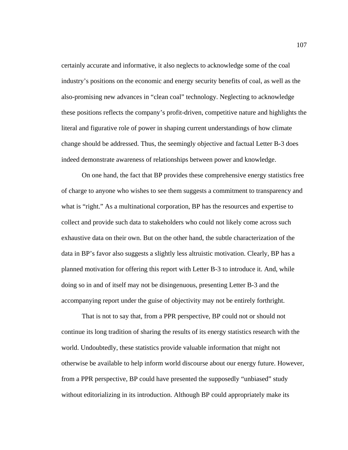certainly accurate and informative, it also neglects to acknowledge some of the coal industry's positions on the economic and energy security benefits of coal, as well as the also-promising new advances in "clean coal" technology. Neglecting to acknowledge these positions reflects the company's profit-driven, competitive nature and highlights the literal and figurative role of power in shaping current understandings of how climate change should be addressed. Thus, the seemingly objective and factual Letter B-3 does indeed demonstrate awareness of relationships between power and knowledge.

 On one hand, the fact that BP provides these comprehensive energy statistics free of charge to anyone who wishes to see them suggests a commitment to transparency and what is "right." As a multinational corporation, BP has the resources and expertise to collect and provide such data to stakeholders who could not likely come across such exhaustive data on their own. But on the other hand, the subtle characterization of the data in BP's favor also suggests a slightly less altruistic motivation. Clearly, BP has a planned motivation for offering this report with Letter B-3 to introduce it. And, while doing so in and of itself may not be disingenuous, presenting Letter B-3 and the accompanying report under the guise of objectivity may not be entirely forthright.

 That is not to say that, from a PPR perspective, BP could not or should not continue its long tradition of sharing the results of its energy statistics research with the world. Undoubtedly, these statistics provide valuable information that might not otherwise be available to help inform world discourse about our energy future. However, from a PPR perspective, BP could have presented the supposedly "unbiased" study without editorializing in its introduction. Although BP could appropriately make its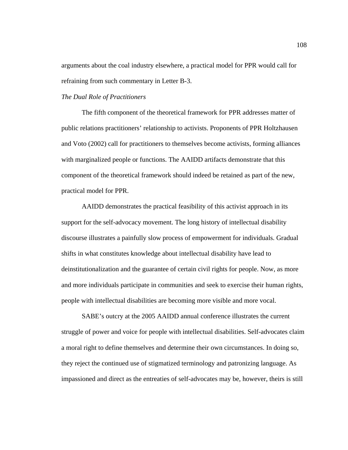arguments about the coal industry elsewhere, a practical model for PPR would call for refraining from such commentary in Letter B-3.

## *The Dual Role of Practitioners*

The fifth component of the theoretical framework for PPR addresses matter of public relations practitioners' relationship to activists. Proponents of PPR Holtzhausen and Voto (2002) call for practitioners to themselves become activists, forming alliances with marginalized people or functions. The AAIDD artifacts demonstrate that this component of the theoretical framework should indeed be retained as part of the new, practical model for PPR.

AAIDD demonstrates the practical feasibility of this activist approach in its support for the self-advocacy movement. The long history of intellectual disability discourse illustrates a painfully slow process of empowerment for individuals. Gradual shifts in what constitutes knowledge about intellectual disability have lead to deinstitutionalization and the guarantee of certain civil rights for people. Now, as more and more individuals participate in communities and seek to exercise their human rights, people with intellectual disabilities are becoming more visible and more vocal.

SABE's outcry at the 2005 AAIDD annual conference illustrates the current struggle of power and voice for people with intellectual disabilities. Self-advocates claim a moral right to define themselves and determine their own circumstances. In doing so, they reject the continued use of stigmatized terminology and patronizing language. As impassioned and direct as the entreaties of self-advocates may be, however, theirs is still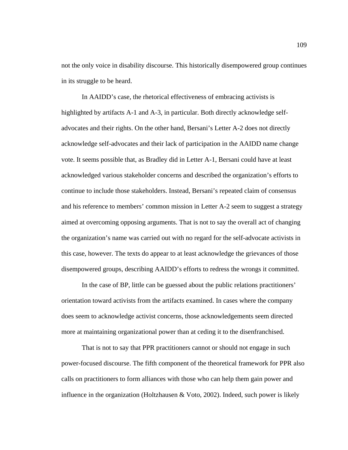not the only voice in disability discourse. This historically disempowered group continues in its struggle to be heard.

In AAIDD's case, the rhetorical effectiveness of embracing activists is highlighted by artifacts A-1 and A-3, in particular. Both directly acknowledge selfadvocates and their rights. On the other hand, Bersani's Letter A-2 does not directly acknowledge self-advocates and their lack of participation in the AAIDD name change vote. It seems possible that, as Bradley did in Letter A-1, Bersani could have at least acknowledged various stakeholder concerns and described the organization's efforts to continue to include those stakeholders. Instead, Bersani's repeated claim of consensus and his reference to members' common mission in Letter A-2 seem to suggest a strategy aimed at overcoming opposing arguments. That is not to say the overall act of changing the organization's name was carried out with no regard for the self-advocate activists in this case, however. The texts do appear to at least acknowledge the grievances of those disempowered groups, describing AAIDD's efforts to redress the wrongs it committed.

 In the case of BP, little can be guessed about the public relations practitioners' orientation toward activists from the artifacts examined. In cases where the company does seem to acknowledge activist concerns, those acknowledgements seem directed more at maintaining organizational power than at ceding it to the disenfranchised.

 That is not to say that PPR practitioners cannot or should not engage in such power-focused discourse. The fifth component of the theoretical framework for PPR also calls on practitioners to form alliances with those who can help them gain power and influence in the organization (Holtzhausen  $& \text{Voto}, 2002$ ). Indeed, such power is likely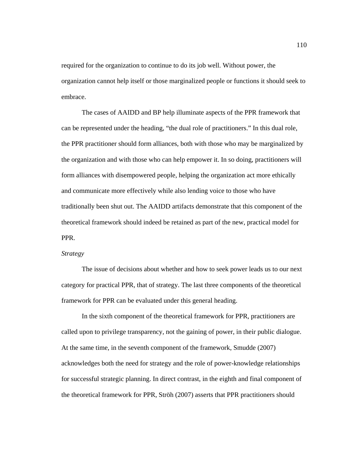required for the organization to continue to do its job well. Without power, the organization cannot help itself or those marginalized people or functions it should seek to embrace.

The cases of AAIDD and BP help illuminate aspects of the PPR framework that can be represented under the heading, "the dual role of practitioners." In this dual role, the PPR practitioner should form alliances, both with those who may be marginalized by the organization and with those who can help empower it. In so doing, practitioners will form alliances with disempowered people, helping the organization act more ethically and communicate more effectively while also lending voice to those who have traditionally been shut out. The AAIDD artifacts demonstrate that this component of the theoretical framework should indeed be retained as part of the new, practical model for PPR.

#### *Strategy*

The issue of decisions about whether and how to seek power leads us to our next category for practical PPR, that of strategy. The last three components of the theoretical framework for PPR can be evaluated under this general heading.

 In the sixth component of the theoretical framework for PPR, practitioners are called upon to privilege transparency, not the gaining of power, in their public dialogue. At the same time, in the seventh component of the framework, Smudde (2007) acknowledges both the need for strategy and the role of power-knowledge relationships for successful strategic planning. In direct contrast, in the eighth and final component of the theoretical framework for PPR, Ströh (2007) asserts that PPR practitioners should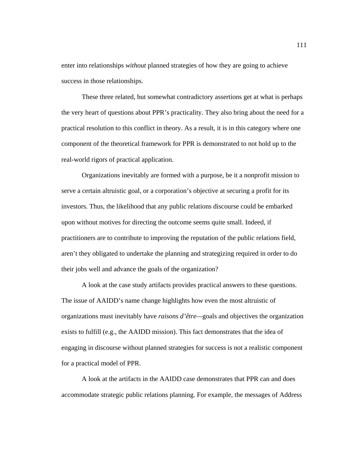enter into relationships *without* planned strategies of how they are going to achieve success in those relationships.

 These three related, but somewhat contradictory assertions get at what is perhaps the very heart of questions about PPR's practicality. They also bring about the need for a practical resolution to this conflict in theory. As a result, it is in this category where one component of the theoretical framework for PPR is demonstrated to not hold up to the real-world rigors of practical application.

 Organizations inevitably are formed with a purpose, be it a nonprofit mission to serve a certain altruistic goal, or a corporation's objective at securing a profit for its investors. Thus, the likelihood that any public relations discourse could be embarked upon without motives for directing the outcome seems quite small. Indeed, if practitioners are to contribute to improving the reputation of the public relations field, aren't they obligated to undertake the planning and strategizing required in order to do their jobs well and advance the goals of the organization?

A look at the case study artifacts provides practical answers to these questions. The issue of AAIDD's name change highlights how even the most altruistic of organizations must inevitably have *raisons d'être—*goals and objectives the organization exists to fulfill (e.g., the AAIDD mission). This fact demonstrates that the idea of engaging in discourse without planned strategies for success is not a realistic component for a practical model of PPR.

A look at the artifacts in the AAIDD case demonstrates that PPR can and does accommodate strategic public relations planning. For example, the messages of Address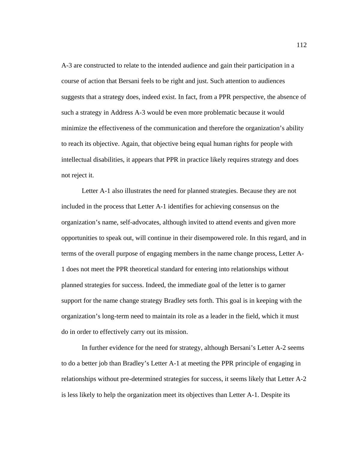A-3 are constructed to relate to the intended audience and gain their participation in a course of action that Bersani feels to be right and just. Such attention to audiences suggests that a strategy does, indeed exist. In fact, from a PPR perspective, the absence of such a strategy in Address A-3 would be even more problematic because it would minimize the effectiveness of the communication and therefore the organization's ability to reach its objective. Again, that objective being equal human rights for people with intellectual disabilities, it appears that PPR in practice likely requires strategy and does not reject it.

 Letter A-1 also illustrates the need for planned strategies. Because they are not included in the process that Letter A-1 identifies for achieving consensus on the organization's name, self-advocates, although invited to attend events and given more opportunities to speak out, will continue in their disempowered role. In this regard, and in terms of the overall purpose of engaging members in the name change process, Letter A-1 does not meet the PPR theoretical standard for entering into relationships without planned strategies for success. Indeed, the immediate goal of the letter is to garner support for the name change strategy Bradley sets forth. This goal is in keeping with the organization's long-term need to maintain its role as a leader in the field, which it must do in order to effectively carry out its mission.

 In further evidence for the need for strategy, although Bersani's Letter A-2 seems to do a better job than Bradley's Letter A-1 at meeting the PPR principle of engaging in relationships without pre-determined strategies for success, it seems likely that Letter A-2 is less likely to help the organization meet its objectives than Letter A-1. Despite its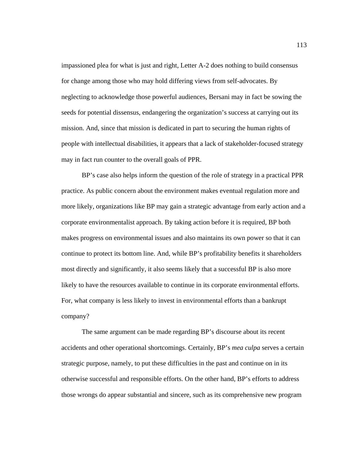impassioned plea for what is just and right, Letter A-2 does nothing to build consensus for change among those who may hold differing views from self-advocates. By neglecting to acknowledge those powerful audiences, Bersani may in fact be sowing the seeds for potential dissensus, endangering the organization's success at carrying out its mission. And, since that mission is dedicated in part to securing the human rights of people with intellectual disabilities, it appears that a lack of stakeholder-focused strategy may in fact run counter to the overall goals of PPR.

 BP's case also helps inform the question of the role of strategy in a practical PPR practice. As public concern about the environment makes eventual regulation more and more likely, organizations like BP may gain a strategic advantage from early action and a corporate environmentalist approach. By taking action before it is required, BP both makes progress on environmental issues and also maintains its own power so that it can continue to protect its bottom line. And, while BP's profitability benefits it shareholders most directly and significantly, it also seems likely that a successful BP is also more likely to have the resources available to continue in its corporate environmental efforts. For, what company is less likely to invest in environmental efforts than a bankrupt company?

 The same argument can be made regarding BP's discourse about its recent accidents and other operational shortcomings. Certainly, BP's *mea culpa* serves a certain strategic purpose, namely, to put these difficulties in the past and continue on in its otherwise successful and responsible efforts. On the other hand, BP's efforts to address those wrongs do appear substantial and sincere, such as its comprehensive new program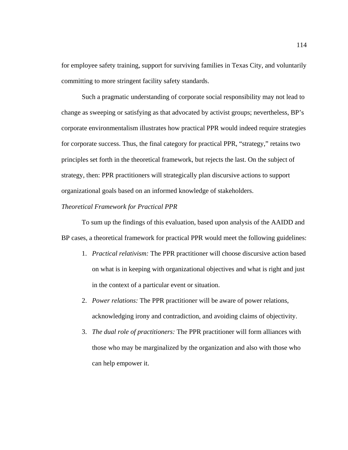for employee safety training, support for surviving families in Texas City, and voluntarily committing to more stringent facility safety standards.

 Such a pragmatic understanding of corporate social responsibility may not lead to change as sweeping or satisfying as that advocated by activist groups; nevertheless, BP's corporate environmentalism illustrates how practical PPR would indeed require strategies for corporate success. Thus, the final category for practical PPR, "strategy," retains two principles set forth in the theoretical framework, but rejects the last. On the subject of strategy, then: PPR practitioners will strategically plan discursive actions to support organizational goals based on an informed knowledge of stakeholders.

### *Theoretical Framework for Practical PPR*

To sum up the findings of this evaluation, based upon analysis of the AAIDD and BP cases, a theoretical framework for practical PPR would meet the following guidelines:

- 1. *Practical relativism:* The PPR practitioner will choose discursive action based on what is in keeping with organizational objectives and what is right and just in the context of a particular event or situation.
- 2. *Power relations:* The PPR practitioner will be aware of power relations, acknowledging irony and contradiction, and avoiding claims of objectivity.
- 3. *The dual role of practitioners:* The PPR practitioner will form alliances with those who may be marginalized by the organization and also with those who can help empower it.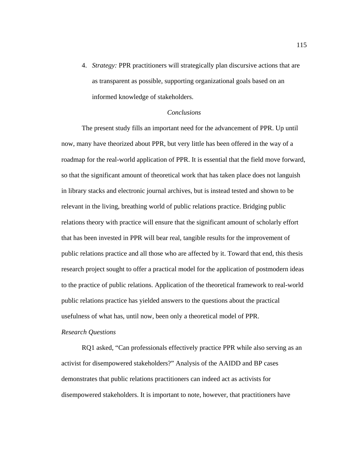4. *Strategy:* PPR practitioners will strategically plan discursive actions that are as transparent as possible, supporting organizational goals based on an informed knowledge of stakeholders.

### *Conclusions*

The present study fills an important need for the advancement of PPR. Up until now, many have theorized about PPR, but very little has been offered in the way of a roadmap for the real-world application of PPR. It is essential that the field move forward, so that the significant amount of theoretical work that has taken place does not languish in library stacks and electronic journal archives, but is instead tested and shown to be relevant in the living, breathing world of public relations practice. Bridging public relations theory with practice will ensure that the significant amount of scholarly effort that has been invested in PPR will bear real, tangible results for the improvement of public relations practice and all those who are affected by it. Toward that end, this thesis research project sought to offer a practical model for the application of postmodern ideas to the practice of public relations. Application of the theoretical framework to real-world public relations practice has yielded answers to the questions about the practical usefulness of what has, until now, been only a theoretical model of PPR.

#### *Research Questions*

RQ1 asked, "Can professionals effectively practice PPR while also serving as an activist for disempowered stakeholders?" Analysis of the AAIDD and BP cases demonstrates that public relations practitioners can indeed act as activists for disempowered stakeholders. It is important to note, however, that practitioners have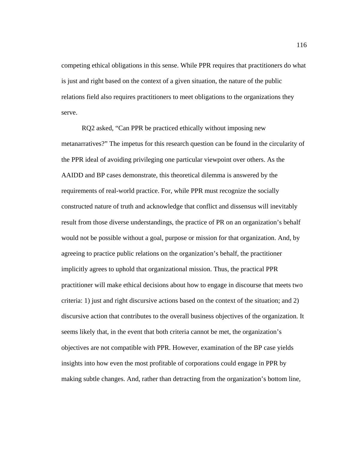competing ethical obligations in this sense. While PPR requires that practitioners do what is just and right based on the context of a given situation, the nature of the public relations field also requires practitioners to meet obligations to the organizations they serve.

RQ2 asked, "Can PPR be practiced ethically without imposing new metanarratives?" The impetus for this research question can be found in the circularity of the PPR ideal of avoiding privileging one particular viewpoint over others. As the AAIDD and BP cases demonstrate, this theoretical dilemma is answered by the requirements of real-world practice. For, while PPR must recognize the socially constructed nature of truth and acknowledge that conflict and dissensus will inevitably result from those diverse understandings, the practice of PR on an organization's behalf would not be possible without a goal, purpose or mission for that organization. And, by agreeing to practice public relations on the organization's behalf, the practitioner implicitly agrees to uphold that organizational mission. Thus, the practical PPR practitioner will make ethical decisions about how to engage in discourse that meets two criteria: 1) just and right discursive actions based on the context of the situation; and 2) discursive action that contributes to the overall business objectives of the organization. It seems likely that, in the event that both criteria cannot be met, the organization's objectives are not compatible with PPR. However, examination of the BP case yields insights into how even the most profitable of corporations could engage in PPR by making subtle changes. And, rather than detracting from the organization's bottom line,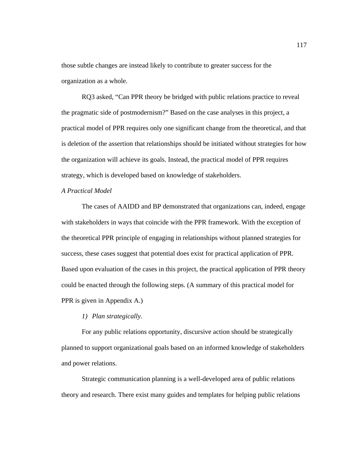those subtle changes are instead likely to contribute to greater success for the organization as a whole.

RQ3 asked, "Can PPR theory be bridged with public relations practice to reveal the pragmatic side of postmodernism?" Based on the case analyses in this project, a practical model of PPR requires only one significant change from the theoretical, and that is deletion of the assertion that relationships should be initiated without strategies for how the organization will achieve its goals. Instead, the practical model of PPR requires strategy, which is developed based on knowledge of stakeholders.

## *A Practical Model*

The cases of AAIDD and BP demonstrated that organizations can, indeed, engage with stakeholders in ways that coincide with the PPR framework. With the exception of the theoretical PPR principle of engaging in relationships without planned strategies for success, these cases suggest that potential does exist for practical application of PPR. Based upon evaluation of the cases in this project, the practical application of PPR theory could be enacted through the following steps. (A summary of this practical model for PPR is given in Appendix A.)

### *1) Plan strategically.*

For any public relations opportunity, discursive action should be strategically planned to support organizational goals based on an informed knowledge of stakeholders and power relations.

Strategic communication planning is a well-developed area of public relations theory and research. There exist many guides and templates for helping public relations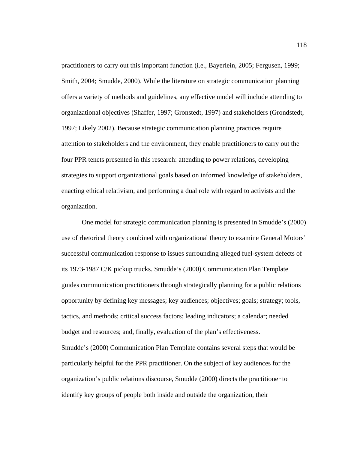practitioners to carry out this important function (i.e., Bayerlein, 2005; Fergusen, 1999; Smith, 2004; Smudde, 2000). While the literature on strategic communication planning offers a variety of methods and guidelines, any effective model will include attending to organizational objectives (Shaffer, 1997; Gronstedt, 1997) and stakeholders (Grondstedt, 1997; Likely 2002). Because strategic communication planning practices require attention to stakeholders and the environment, they enable practitioners to carry out the four PPR tenets presented in this research: attending to power relations, developing strategies to support organizational goals based on informed knowledge of stakeholders, enacting ethical relativism, and performing a dual role with regard to activists and the organization.

One model for strategic communication planning is presented in Smudde's (2000) use of rhetorical theory combined with organizational theory to examine General Motors' successful communication response to issues surrounding alleged fuel-system defects of its 1973-1987 C/K pickup trucks. Smudde's (2000) Communication Plan Template guides communication practitioners through strategically planning for a public relations opportunity by defining key messages; key audiences; objectives; goals; strategy; tools, tactics, and methods; critical success factors; leading indicators; a calendar; needed budget and resources; and, finally, evaluation of the plan's effectiveness. Smudde's (2000) Communication Plan Template contains several steps that would be particularly helpful for the PPR practitioner. On the subject of key audiences for the organization's public relations discourse, Smudde (2000) directs the practitioner to identify key groups of people both inside and outside the organization, their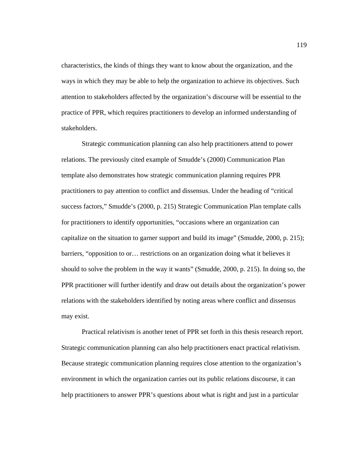characteristics, the kinds of things they want to know about the organization, and the ways in which they may be able to help the organization to achieve its objectives. Such attention to stakeholders affected by the organization's discourse will be essential to the practice of PPR, which requires practitioners to develop an informed understanding of stakeholders.

Strategic communication planning can also help practitioners attend to power relations. The previously cited example of Smudde's (2000) Communication Plan template also demonstrates how strategic communication planning requires PPR practitioners to pay attention to conflict and dissensus. Under the heading of "critical success factors," Smudde's (2000, p. 215) Strategic Communication Plan template calls for practitioners to identify opportunities, "occasions where an organization can capitalize on the situation to garner support and build its image" (Smudde, 2000, p. 215); barriers, "opposition to or… restrictions on an organization doing what it believes it should to solve the problem in the way it wants" (Smudde, 2000, p. 215). In doing so, the PPR practitioner will further identify and draw out details about the organization's power relations with the stakeholders identified by noting areas where conflict and dissensus may exist.

Practical relativism is another tenet of PPR set forth in this thesis research report. Strategic communication planning can also help practitioners enact practical relativism. Because strategic communication planning requires close attention to the organization's environment in which the organization carries out its public relations discourse, it can help practitioners to answer PPR's questions about what is right and just in a particular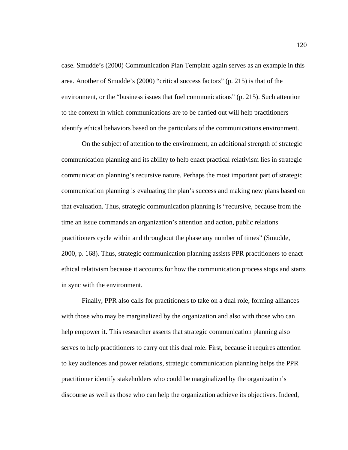case. Smudde's (2000) Communication Plan Template again serves as an example in this area. Another of Smudde's (2000) "critical success factors" (p. 215) is that of the environment, or the "business issues that fuel communications" (p. 215). Such attention to the context in which communications are to be carried out will help practitioners identify ethical behaviors based on the particulars of the communications environment.

On the subject of attention to the environment, an additional strength of strategic communication planning and its ability to help enact practical relativism lies in strategic communication planning's recursive nature. Perhaps the most important part of strategic communication planning is evaluating the plan's success and making new plans based on that evaluation. Thus, strategic communication planning is "recursive, because from the time an issue commands an organization's attention and action, public relations practitioners cycle within and throughout the phase any number of times" (Smudde, 2000, p. 168). Thus, strategic communication planning assists PPR practitioners to enact ethical relativism because it accounts for how the communication process stops and starts in sync with the environment.

Finally, PPR also calls for practitioners to take on a dual role, forming alliances with those who may be marginalized by the organization and also with those who can help empower it. This researcher asserts that strategic communication planning also serves to help practitioners to carry out this dual role. First, because it requires attention to key audiences and power relations, strategic communication planning helps the PPR practitioner identify stakeholders who could be marginalized by the organization's discourse as well as those who can help the organization achieve its objectives. Indeed,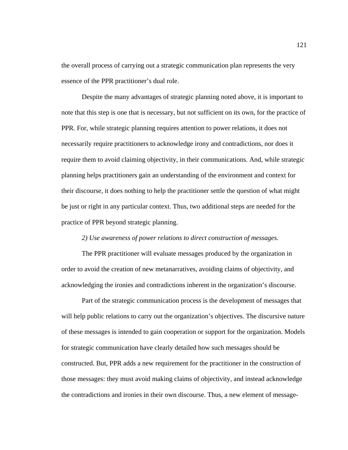the overall process of carrying out a strategic communication plan represents the very essence of the PPR practitioner's dual role.

Despite the many advantages of strategic planning noted above, it is important to note that this step is one that is necessary, but not sufficient on its own, for the practice of PPR. For, while strategic planning requires attention to power relations, it does not necessarily require practitioners to acknowledge irony and contradictions, nor does it require them to avoid claiming objectivity, in their communications. And, while strategic planning helps practitioners gain an understanding of the environment and context for their discourse, it does nothing to help the practitioner settle the question of what might be just or right in any particular context. Thus, two additional steps are needed for the practice of PPR beyond strategic planning.

### *2) Use awareness of power relations to direct construction of messages.*

The PPR practitioner will evaluate messages produced by the organization in order to avoid the creation of new metanarratives, avoiding claims of objectivity, and acknowledging the ironies and contradictions inherent in the organization's discourse.

Part of the strategic communication process is the development of messages that will help public relations to carry out the organization's objectives. The discursive nature of these messages is intended to gain cooperation or support for the organization. Models for strategic communication have clearly detailed how such messages should be constructed. But, PPR adds a new requirement for the practitioner in the construction of those messages: they must avoid making claims of objectivity, and instead acknowledge the contradictions and ironies in their own discourse. Thus, a new element of message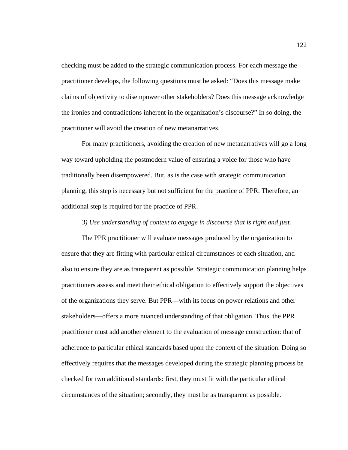checking must be added to the strategic communication process. For each message the practitioner develops, the following questions must be asked: "Does this message make claims of objectivity to disempower other stakeholders? Does this message acknowledge the ironies and contradictions inherent in the organization's discourse?" In so doing, the practitioner will avoid the creation of new metanarratives.

For many practitioners, avoiding the creation of new metanarratives will go a long way toward upholding the postmodern value of ensuring a voice for those who have traditionally been disempowered. But, as is the case with strategic communication planning, this step is necessary but not sufficient for the practice of PPR. Therefore, an additional step is required for the practice of PPR.

## *3) Use understanding of context to engage in discourse that is right and just.*

The PPR practitioner will evaluate messages produced by the organization to ensure that they are fitting with particular ethical circumstances of each situation, and also to ensure they are as transparent as possible. Strategic communication planning helps practitioners assess and meet their ethical obligation to effectively support the objectives of the organizations they serve. But PPR—with its focus on power relations and other stakeholders—offers a more nuanced understanding of that obligation. Thus, the PPR practitioner must add another element to the evaluation of message construction: that of adherence to particular ethical standards based upon the context of the situation. Doing so effectively requires that the messages developed during the strategic planning process be checked for two additional standards: first, they must fit with the particular ethical circumstances of the situation; secondly, they must be as transparent as possible.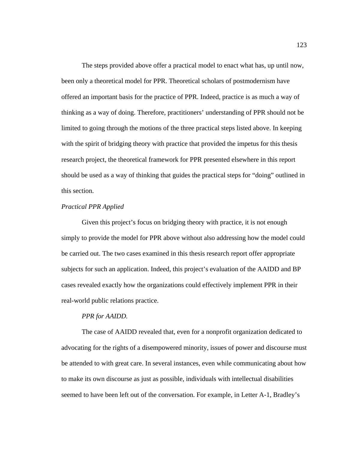The steps provided above offer a practical model to enact what has, up until now, been only a theoretical model for PPR. Theoretical scholars of postmodernism have offered an important basis for the practice of PPR. Indeed, practice is as much a way of thinking as a way of doing. Therefore, practitioners' understanding of PPR should not be limited to going through the motions of the three practical steps listed above. In keeping with the spirit of bridging theory with practice that provided the impetus for this thesis research project, the theoretical framework for PPR presented elsewhere in this report should be used as a way of thinking that guides the practical steps for "doing" outlined in this section.

## *Practical PPR Applied*

Given this project's focus on bridging theory with practice, it is not enough simply to provide the model for PPR above without also addressing how the model could be carried out. The two cases examined in this thesis research report offer appropriate subjects for such an application. Indeed, this project's evaluation of the AAIDD and BP cases revealed exactly how the organizations could effectively implement PPR in their real-world public relations practice.

### *PPR for AAIDD.*

 The case of AAIDD revealed that, even for a nonprofit organization dedicated to advocating for the rights of a disempowered minority, issues of power and discourse must be attended to with great care. In several instances, even while communicating about how to make its own discourse as just as possible, individuals with intellectual disabilities seemed to have been left out of the conversation. For example, in Letter A-1, Bradley's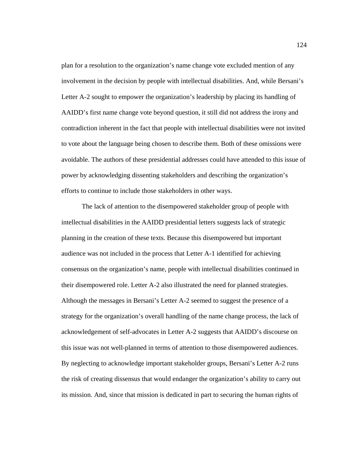plan for a resolution to the organization's name change vote excluded mention of any involvement in the decision by people with intellectual disabilities. And, while Bersani's Letter A-2 sought to empower the organization's leadership by placing its handling of AAIDD's first name change vote beyond question, it still did not address the irony and contradiction inherent in the fact that people with intellectual disabilities were not invited to vote about the language being chosen to describe them. Both of these omissions were avoidable. The authors of these presidential addresses could have attended to this issue of power by acknowledging dissenting stakeholders and describing the organization's efforts to continue to include those stakeholders in other ways.

 The lack of attention to the disempowered stakeholder group of people with intellectual disabilities in the AAIDD presidential letters suggests lack of strategic planning in the creation of these texts. Because this disempowered but important audience was not included in the process that Letter A-1 identified for achieving consensus on the organization's name, people with intellectual disabilities continued in their disempowered role. Letter A-2 also illustrated the need for planned strategies. Although the messages in Bersani's Letter A-2 seemed to suggest the presence of a strategy for the organization's overall handling of the name change process, the lack of acknowledgement of self-advocates in Letter A-2 suggests that AAIDD's discourse on this issue was not well-planned in terms of attention to those disempowered audiences. By neglecting to acknowledge important stakeholder groups, Bersani's Letter A-2 runs the risk of creating dissensus that would endanger the organization's ability to carry out its mission. And, since that mission is dedicated in part to securing the human rights of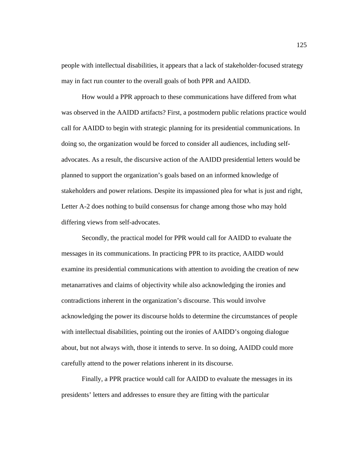people with intellectual disabilities, it appears that a lack of stakeholder-focused strategy may in fact run counter to the overall goals of both PPR and AAIDD.

 How would a PPR approach to these communications have differed from what was observed in the AAIDD artifacts? First, a postmodern public relations practice would call for AAIDD to begin with strategic planning for its presidential communications. In doing so, the organization would be forced to consider all audiences, including selfadvocates. As a result, the discursive action of the AAIDD presidential letters would be planned to support the organization's goals based on an informed knowledge of stakeholders and power relations. Despite its impassioned plea for what is just and right, Letter A-2 does nothing to build consensus for change among those who may hold differing views from self-advocates.

 Secondly, the practical model for PPR would call for AAIDD to evaluate the messages in its communications. In practicing PPR to its practice, AAIDD would examine its presidential communications with attention to avoiding the creation of new metanarratives and claims of objectivity while also acknowledging the ironies and contradictions inherent in the organization's discourse. This would involve acknowledging the power its discourse holds to determine the circumstances of people with intellectual disabilities, pointing out the ironies of AAIDD's ongoing dialogue about, but not always with, those it intends to serve. In so doing, AAIDD could more carefully attend to the power relations inherent in its discourse.

 Finally, a PPR practice would call for AAIDD to evaluate the messages in its presidents' letters and addresses to ensure they are fitting with the particular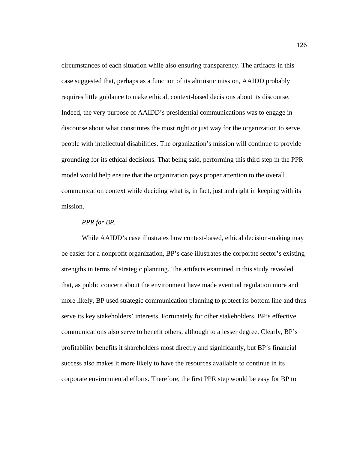circumstances of each situation while also ensuring transparency. The artifacts in this case suggested that, perhaps as a function of its altruistic mission, AAIDD probably requires little guidance to make ethical, context-based decisions about its discourse. Indeed, the very purpose of AAIDD's presidential communications was to engage in discourse about what constitutes the most right or just way for the organization to serve people with intellectual disabilities. The organization's mission will continue to provide grounding for its ethical decisions. That being said, performing this third step in the PPR model would help ensure that the organization pays proper attention to the overall communication context while deciding what is, in fact, just and right in keeping with its mission.

#### *PPR for BP.*

While AAIDD's case illustrates how context-based, ethical decision-making may be easier for a nonprofit organization, BP's case illustrates the corporate sector's existing strengths in terms of strategic planning. The artifacts examined in this study revealed that, as public concern about the environment have made eventual regulation more and more likely, BP used strategic communication planning to protect its bottom line and thus serve its key stakeholders' interests. Fortunately for other stakeholders, BP's effective communications also serve to benefit others, although to a lesser degree. Clearly, BP's profitability benefits it shareholders most directly and significantly, but BP's financial success also makes it more likely to have the resources available to continue in its corporate environmental efforts. Therefore, the first PPR step would be easy for BP to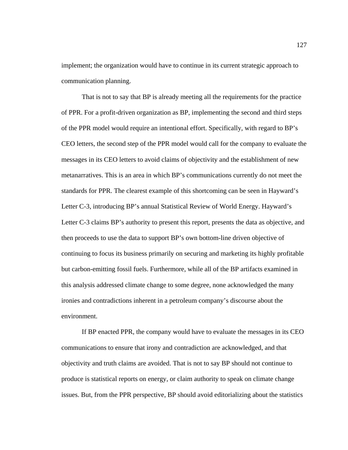implement; the organization would have to continue in its current strategic approach to communication planning.

 That is not to say that BP is already meeting all the requirements for the practice of PPR. For a profit-driven organization as BP, implementing the second and third steps of the PPR model would require an intentional effort. Specifically, with regard to BP's CEO letters, the second step of the PPR model would call for the company to evaluate the messages in its CEO letters to avoid claims of objectivity and the establishment of new metanarratives. This is an area in which BP's communications currently do not meet the standards for PPR. The clearest example of this shortcoming can be seen in Hayward's Letter C-3, introducing BP's annual Statistical Review of World Energy. Hayward's Letter C-3 claims BP's authority to present this report, presents the data as objective, and then proceeds to use the data to support BP's own bottom-line driven objective of continuing to focus its business primarily on securing and marketing its highly profitable but carbon-emitting fossil fuels. Furthermore, while all of the BP artifacts examined in this analysis addressed climate change to some degree, none acknowledged the many ironies and contradictions inherent in a petroleum company's discourse about the environment.

 If BP enacted PPR, the company would have to evaluate the messages in its CEO communications to ensure that irony and contradiction are acknowledged, and that objectivity and truth claims are avoided. That is not to say BP should not continue to produce is statistical reports on energy, or claim authority to speak on climate change issues. But, from the PPR perspective, BP should avoid editorializing about the statistics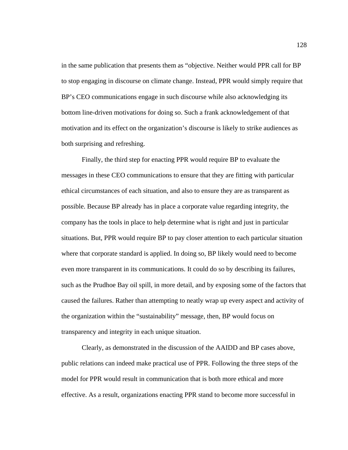in the same publication that presents them as "objective. Neither would PPR call for BP to stop engaging in discourse on climate change. Instead, PPR would simply require that BP's CEO communications engage in such discourse while also acknowledging its bottom line-driven motivations for doing so. Such a frank acknowledgement of that motivation and its effect on the organization's discourse is likely to strike audiences as both surprising and refreshing.

 Finally, the third step for enacting PPR would require BP to evaluate the messages in these CEO communications to ensure that they are fitting with particular ethical circumstances of each situation, and also to ensure they are as transparent as possible. Because BP already has in place a corporate value regarding integrity, the company has the tools in place to help determine what is right and just in particular situations. But, PPR would require BP to pay closer attention to each particular situation where that corporate standard is applied. In doing so, BP likely would need to become even more transparent in its communications. It could do so by describing its failures, such as the Prudhoe Bay oil spill, in more detail, and by exposing some of the factors that caused the failures. Rather than attempting to neatly wrap up every aspect and activity of the organization within the "sustainability" message, then, BP would focus on transparency and integrity in each unique situation.

Clearly, as demonstrated in the discussion of the AAIDD and BP cases above, public relations can indeed make practical use of PPR. Following the three steps of the model for PPR would result in communication that is both more ethical and more effective. As a result, organizations enacting PPR stand to become more successful in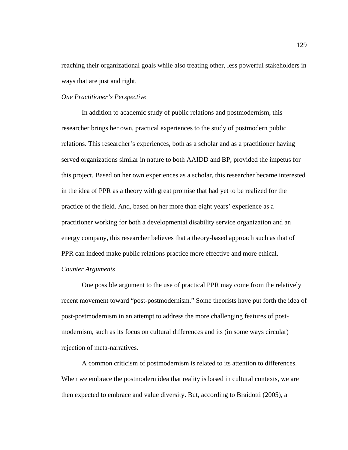reaching their organizational goals while also treating other, less powerful stakeholders in ways that are just and right.

## *One Practitioner's Perspective*

 In addition to academic study of public relations and postmodernism, this researcher brings her own, practical experiences to the study of postmodern public relations. This researcher's experiences, both as a scholar and as a practitioner having served organizations similar in nature to both AAIDD and BP, provided the impetus for this project. Based on her own experiences as a scholar, this researcher became interested in the idea of PPR as a theory with great promise that had yet to be realized for the practice of the field. And, based on her more than eight years' experience as a practitioner working for both a developmental disability service organization and an energy company, this researcher believes that a theory-based approach such as that of PPR can indeed make public relations practice more effective and more ethical. *Counter Arguments* 

One possible argument to the use of practical PPR may come from the relatively recent movement toward "post-postmodernism." Some theorists have put forth the idea of post-postmodernism in an attempt to address the more challenging features of postmodernism, such as its focus on cultural differences and its (in some ways circular) rejection of meta-narratives.

A common criticism of postmodernism is related to its attention to differences. When we embrace the postmodern idea that reality is based in cultural contexts, we are then expected to embrace and value diversity. But, according to Braidotti (2005), a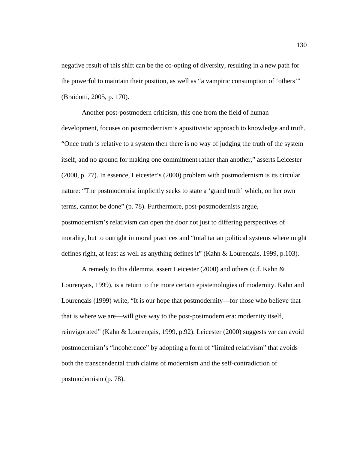negative result of this shift can be the co-opting of diversity, resulting in a new path for the powerful to maintain their position, as well as "a vampiric consumption of 'others'" (Braidotti, 2005, p. 170).

Another post-postmodern criticism, this one from the field of human development, focuses on postmodernism's apositivistic approach to knowledge and truth. "Once truth is relative to a system then there is no way of judging the truth of the system itself, and no ground for making one commitment rather than another," asserts Leicester (2000, p. 77). In essence, Leicester's (2000) problem with postmodernism is its circular nature: "The postmodernist implicitly seeks to state a 'grand truth' which, on her own terms, cannot be done" (p. 78). Furthermore, post-postmodernists argue, postmodernism's relativism can open the door not just to differing perspectives of morality, but to outright immoral practices and "totalitarian political systems where might defines right, at least as well as anything defines it" (Kahn & Lourençais, 1999, p.103).

A remedy to this dilemma, assert Leicester (2000) and others (c.f. Kahn & Lourençais, 1999), is a return to the more certain epistemologies of modernity. Kahn and Lourençais (1999) write, "It is our hope that postmodernity—for those who believe that that is where we are—will give way to the post-postmodern era: modernity itself, reinvigorated" (Kahn & Lourençais, 1999, p.92). Leicester (2000) suggests we can avoid postmodernism's "incoherence" by adopting a form of "limited relativism" that avoids both the transcendental truth claims of modernism and the self-contradiction of postmodernism (p. 78).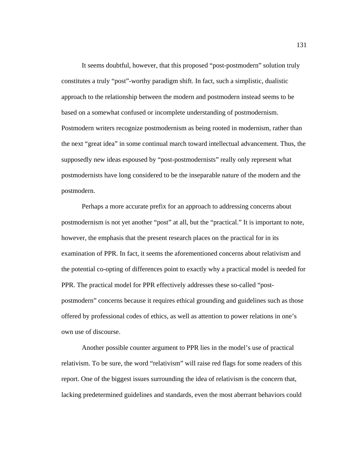It seems doubtful, however, that this proposed "post-postmodern" solution truly constitutes a truly "post"-worthy paradigm shift. In fact, such a simplistic, dualistic approach to the relationship between the modern and postmodern instead seems to be based on a somewhat confused or incomplete understanding of postmodernism. Postmodern writers recognize postmodernism as being rooted in modernism, rather than the next "great idea" in some continual march toward intellectual advancement. Thus, the supposedly new ideas espoused by "post-postmodernists" really only represent what postmodernists have long considered to be the inseparable nature of the modern and the postmodern.

Perhaps a more accurate prefix for an approach to addressing concerns about postmodernism is not yet another "post" at all, but the "practical." It is important to note, however, the emphasis that the present research places on the practical for in its examination of PPR. In fact, it seems the aforementioned concerns about relativism and the potential co-opting of differences point to exactly why a practical model is needed for PPR. The practical model for PPR effectively addresses these so-called "postpostmodern" concerns because it requires ethical grounding and guidelines such as those offered by professional codes of ethics, as well as attention to power relations in one's own use of discourse.

Another possible counter argument to PPR lies in the model's use of practical relativism. To be sure, the word "relativism" will raise red flags for some readers of this report. One of the biggest issues surrounding the idea of relativism is the concern that, lacking predetermined guidelines and standards, even the most aberrant behaviors could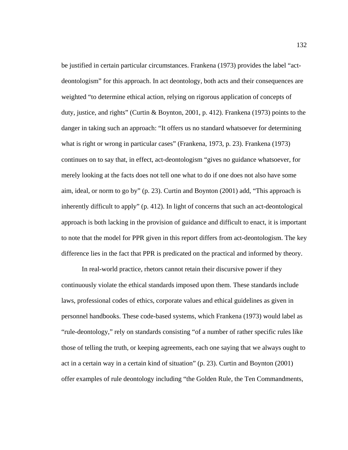be justified in certain particular circumstances. Frankena (1973) provides the label "actdeontologism" for this approach. In act deontology, both acts and their consequences are weighted "to determine ethical action, relying on rigorous application of concepts of duty, justice, and rights" (Curtin & Boynton, 2001, p. 412). Frankena (1973) points to the danger in taking such an approach: "It offers us no standard whatsoever for determining what is right or wrong in particular cases" (Frankena, 1973, p. 23). Frankena (1973) continues on to say that, in effect, act-deontologism "gives no guidance whatsoever, for merely looking at the facts does not tell one what to do if one does not also have some aim, ideal, or norm to go by" (p. 23). Curtin and Boynton (2001) add, "This approach is inherently difficult to apply" (p. 412). In light of concerns that such an act-deontological approach is both lacking in the provision of guidance and difficult to enact, it is important to note that the model for PPR given in this report differs from act-deontologism. The key difference lies in the fact that PPR is predicated on the practical and informed by theory.

In real-world practice, rhetors cannot retain their discursive power if they continuously violate the ethical standards imposed upon them. These standards include laws, professional codes of ethics, corporate values and ethical guidelines as given in personnel handbooks. These code-based systems, which Frankena (1973) would label as "rule-deontology," rely on standards consisting "of a number of rather specific rules like those of telling the truth, or keeping agreements, each one saying that we always ought to act in a certain way in a certain kind of situation" (p. 23). Curtin and Boynton (2001) offer examples of rule deontology including "the Golden Rule, the Ten Commandments,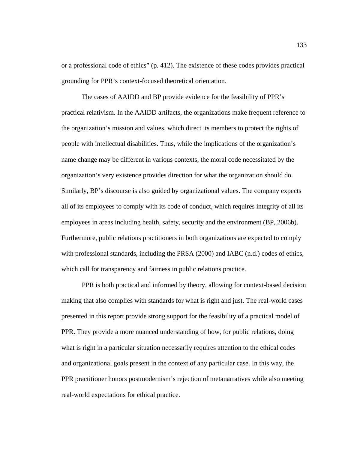or a professional code of ethics" (p. 412). The existence of these codes provides practical grounding for PPR's context-focused theoretical orientation.

 The cases of AAIDD and BP provide evidence for the feasibility of PPR's practical relativism. In the AAIDD artifacts, the organizations make frequent reference to the organization's mission and values, which direct its members to protect the rights of people with intellectual disabilities. Thus, while the implications of the organization's name change may be different in various contexts, the moral code necessitated by the organization's very existence provides direction for what the organization should do. Similarly, BP's discourse is also guided by organizational values. The company expects all of its employees to comply with its code of conduct, which requires integrity of all its employees in areas including health, safety, security and the environment (BP, 2006b). Furthermore, public relations practitioners in both organizations are expected to comply with professional standards, including the PRSA (2000) and IABC (n.d.) codes of ethics, which call for transparency and fairness in public relations practice.

PPR is both practical and informed by theory, allowing for context-based decision making that also complies with standards for what is right and just. The real-world cases presented in this report provide strong support for the feasibility of a practical model of PPR. They provide a more nuanced understanding of how, for public relations, doing what is right in a particular situation necessarily requires attention to the ethical codes and organizational goals present in the context of any particular case. In this way, the PPR practitioner honors postmodernism's rejection of metanarratives while also meeting real-world expectations for ethical practice.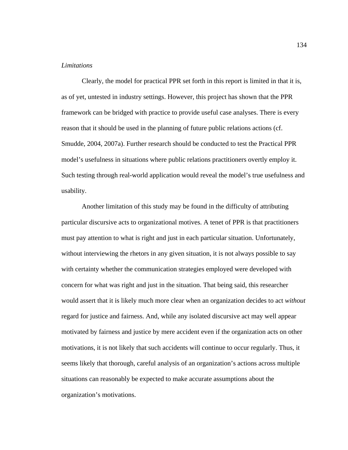# *Limitations*

Clearly, the model for practical PPR set forth in this report is limited in that it is, as of yet, untested in industry settings. However, this project has shown that the PPR framework can be bridged with practice to provide useful case analyses. There is every reason that it should be used in the planning of future public relations actions (cf. Smudde, 2004, 2007a). Further research should be conducted to test the Practical PPR model's usefulness in situations where public relations practitioners overtly employ it. Such testing through real-world application would reveal the model's true usefulness and usability.

Another limitation of this study may be found in the difficulty of attributing particular discursive acts to organizational motives. A tenet of PPR is that practitioners must pay attention to what is right and just in each particular situation. Unfortunately, without interviewing the rhetors in any given situation, it is not always possible to say with certainty whether the communication strategies employed were developed with concern for what was right and just in the situation. That being said, this researcher would assert that it is likely much more clear when an organization decides to act *without*  regard for justice and fairness. And, while any isolated discursive act may well appear motivated by fairness and justice by mere accident even if the organization acts on other motivations, it is not likely that such accidents will continue to occur regularly. Thus, it seems likely that thorough, careful analysis of an organization's actions across multiple situations can reasonably be expected to make accurate assumptions about the organization's motivations.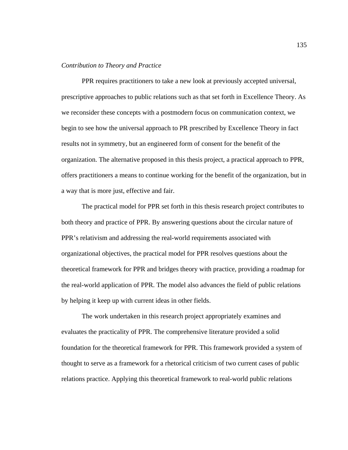### *Contribution to Theory and Practice*

PPR requires practitioners to take a new look at previously accepted universal, prescriptive approaches to public relations such as that set forth in Excellence Theory. As we reconsider these concepts with a postmodern focus on communication context, we begin to see how the universal approach to PR prescribed by Excellence Theory in fact results not in symmetry, but an engineered form of consent for the benefit of the organization. The alternative proposed in this thesis project, a practical approach to PPR, offers practitioners a means to continue working for the benefit of the organization, but in a way that is more just, effective and fair.

The practical model for PPR set forth in this thesis research project contributes to both theory and practice of PPR. By answering questions about the circular nature of PPR's relativism and addressing the real-world requirements associated with organizational objectives, the practical model for PPR resolves questions about the theoretical framework for PPR and bridges theory with practice, providing a roadmap for the real-world application of PPR. The model also advances the field of public relations by helping it keep up with current ideas in other fields.

The work undertaken in this research project appropriately examines and evaluates the practicality of PPR. The comprehensive literature provided a solid foundation for the theoretical framework for PPR. This framework provided a system of thought to serve as a framework for a rhetorical criticism of two current cases of public relations practice. Applying this theoretical framework to real-world public relations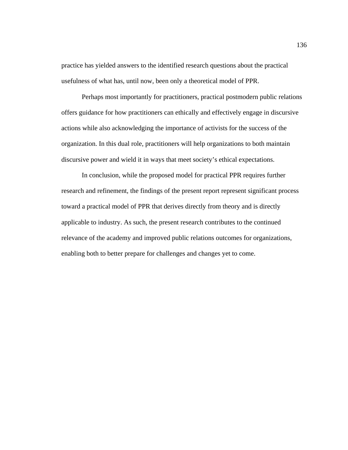practice has yielded answers to the identified research questions about the practical usefulness of what has, until now, been only a theoretical model of PPR.

Perhaps most importantly for practitioners, practical postmodern public relations offers guidance for how practitioners can ethically and effectively engage in discursive actions while also acknowledging the importance of activists for the success of the organization. In this dual role, practitioners will help organizations to both maintain discursive power and wield it in ways that meet society's ethical expectations.

In conclusion, while the proposed model for practical PPR requires further research and refinement, the findings of the present report represent significant process toward a practical model of PPR that derives directly from theory and is directly applicable to industry. As such, the present research contributes to the continued relevance of the academy and improved public relations outcomes for organizations, enabling both to better prepare for challenges and changes yet to come.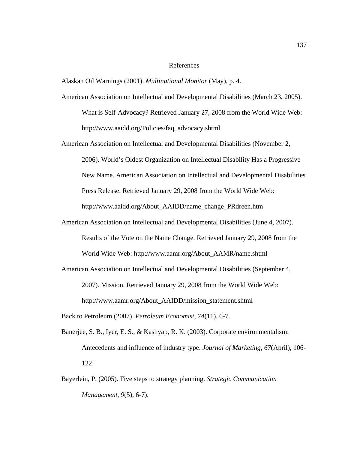## References

Alaskan Oil Warnings (2001). *Multinational Monitor* (May), p. 4.

- American Association on Intellectual and Developmental Disabilities (March 23, 2005). What is Self-Advocacy? Retrieved January 27, 2008 from the World Wide Web: http://www.aaidd.org/Policies/faq\_advocacy.shtml
- American Association on Intellectual and Developmental Disabilities (November 2, 2006). World's Oldest Organization on Intellectual Disability Has a Progressive New Name. American Association on Intellectual and Developmental Disabilities Press Release. Retrieved January 29, 2008 from the World Wide Web: http://www.aaidd.org/About\_AAIDD/name\_change\_PRdreen.htm
- American Association on Intellectual and Developmental Disabilities (June 4, 2007). Results of the Vote on the Name Change. Retrieved January 29, 2008 from the World Wide Web: http://www.aamr.org/About\_AAMR/name.shtml
- American Association on Intellectual and Developmental Disabilities (September 4, 2007). Mission. Retrieved January 29, 2008 from the World Wide Web: http://www.aamr.org/About\_AAIDD/mission\_statement.shtml

Back to Petroleum (2007). *Petroleum Economist, 74*(11), 6-7.

- Banerjee, S. B., Iyer, E. S., & Kashyap, R. K. (2003). Corporate environmentalism: Antecedents and influence of industry type. *Journal of Marketing, 67*(April), 106- 122.
- Bayerlein, P. (2005). Five steps to strategy planning. *Strategic Communication Management, 9*(5), 6-7).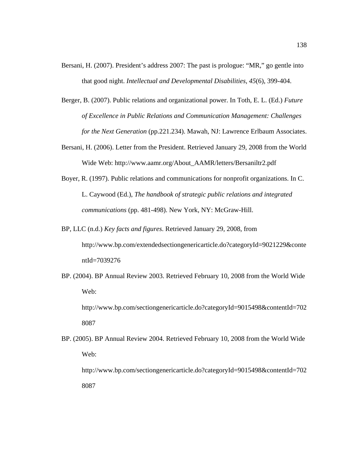- Bersani, H. (2007). President's address 2007: The past is prologue: "MR," go gentle into that good night. *Intellectual and Developmental Disabilities, 45*(6), 399-404.
- Berger, B. (2007). Public relations and organizational power. In Toth, E. L. (Ed.) *Future of Excellence in Public Relations and Communication Management: Challenges for the Next Generation* (pp.221.234). Mawah, NJ: Lawrence Erlbaum Associates.
- Bersani, H. (2006). Letter from the President. Retrieved January 29, 2008 from the World Wide Web: http://www.aamr.org/About\_AAMR/letters/Bersaniltr2.pdf
- Boyer, R. (1997). Public relations and communications for nonprofit organizations. In C. L. Caywood (Ed.), *The handbook of strategic public relations and integrated communications* (pp. 481-498). New York, NY: McGraw-Hill.
- BP, LLC (n.d.) *Key facts and figures*. Retrieved January 29, 2008, from http://www.bp.com/extendedsectiongenericarticle.do?categoryId=9021229&conte ntId=7039276
- BP. (2004). BP Annual Review 2003. Retrieved February 10, 2008 from the World Wide Web:

http://www.bp.com/sectiongenericarticle.do?categoryId=9015498&contentId=702 8087

BP. (2005). BP Annual Review 2004. Retrieved February 10, 2008 from the World Wide Web: http://www.bp.com/sectiongenericarticle.do?categoryId=9015498&contentId=702 8087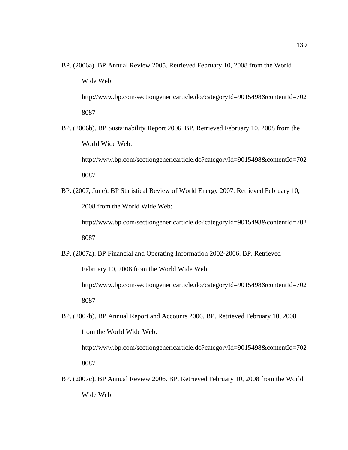- BP. (2006a). BP Annual Review 2005. Retrieved February 10, 2008 from the World Wide Web: http://www.bp.com/sectiongenericarticle.do?categoryId=9015498&contentId=702 8087
- BP. (2006b). BP Sustainability Report 2006. BP. Retrieved February 10, 2008 from the World Wide Web:

http://www.bp.com/sectiongenericarticle.do?categoryId=9015498&contentId=702 8087

BP. (2007, June). BP Statistical Review of World Energy 2007. Retrieved February 10, 2008 from the World Wide Web:

http://www.bp.com/sectiongenericarticle.do?categoryId=9015498&contentId=702 8087

BP. (2007a). BP Financial and Operating Information 2002-2006. BP. Retrieved February 10, 2008 from the World Wide Web:

http://www.bp.com/sectiongenericarticle.do?categoryId=9015498&contentId=702 8087

BP. (2007b). BP Annual Report and Accounts 2006. BP. Retrieved February 10, 2008 from the World Wide Web:

http://www.bp.com/sectiongenericarticle.do?categoryId=9015498&contentId=702 8087

BP. (2007c). BP Annual Review 2006. BP. Retrieved February 10, 2008 from the World Wide Web: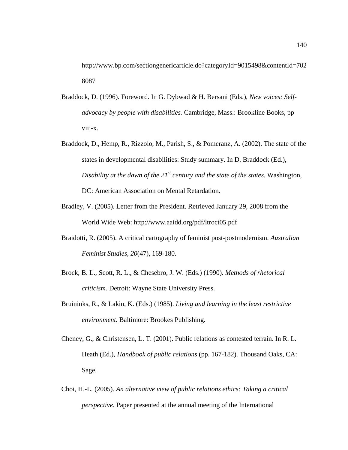http://www.bp.com/sectiongenericarticle.do?categoryId=9015498&contentId=702 8087

- Braddock, D. (1996). Foreword. In G. Dybwad & H. Bersani (Eds.), *New voices: Selfadvocacy by people with disabilities.* Cambridge, Mass.: Brookline Books, pp viii-x.
- Braddock, D., Hemp, R., Rizzolo, M., Parish, S., & Pomeranz, A. (2002). The state of the states in developmental disabilities: Study summary. In D. Braddock (Ed.), *Disability at the dawn of the 21<sup>st</sup> century and the state of the states.* Washington, DC: American Association on Mental Retardation.
- Bradley, V. (2005). Letter from the President. Retrieved January 29, 2008 from the World Wide Web: http://www.aaidd.org/pdf/ltroct05.pdf
- Braidotti, R. (2005). A critical cartography of feminist post-postmodernism. *Australian Feminist Studies, 20*(47), 169-180.
- Brock, B. L., Scott, R. L., & Chesebro, J. W. (Eds.) (1990). *Methods of rhetorical criticism.* Detroit: Wayne State University Press.
- Bruininks, R., & Lakin, K. (Eds.) (1985). *Living and learning in the least restrictive environment.* Baltimore: Brookes Publishing.
- Cheney, G., & Christensen, L. T. (2001). Public relations as contested terrain. In R. L. Heath (Ed.), *Handbook of public relations* (pp. 167-182). Thousand Oaks, CA: Sage.
- Choi, H.-L. (2005). *An alternative view of public relations ethics: Taking a critical perspective.* Paper presented at the annual meeting of the International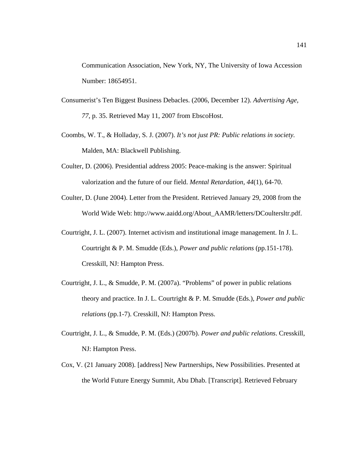Communication Association, New York, NY, The University of Iowa Accession Number: 18654951.

- Consumerist's Ten Biggest Business Debacles. (2006, December 12). *Advertising Age, 77,* p. 35. Retrieved May 11, 2007 from EbscoHost.
- Coombs, W. T., & Holladay, S. J. (2007). *It's not just PR: Public relations in society.*  Malden, MA: Blackwell Publishing.
- Coulter, D. (2006). Presidential address 2005: Peace-making is the answer: Spiritual valorization and the future of our field. *Mental Retardation, 44*(1), 64-70.
- Coulter, D. (June 2004). Letter from the President. Retrieved January 29, 2008 from the World Wide Web: http://www.aaidd.org/About\_AAMR/letters/DCoultersltr.pdf.
- Courtright, J. L. (2007). Internet activism and institutional image management. In J. L. Courtright & P. M. Smudde (Eds.), *Power and public relations* (pp.151-178). Cresskill, NJ: Hampton Press.
- Courtright, J. L., & Smudde, P. M. (2007a). "Problems" of power in public relations theory and practice. In J. L. Courtright & P. M. Smudde (Eds.), *Power and public relations* (pp.1-7). Cresskill, NJ: Hampton Press.
- Courtright, J. L., & Smudde, P. M. (Eds.) (2007b). *Power and public relations*. Cresskill, NJ: Hampton Press.
- Cox, V. (21 January 2008). [address] New Partnerships, New Possibilities. Presented at the World Future Energy Summit, Abu Dhab. [Transcript]. Retrieved February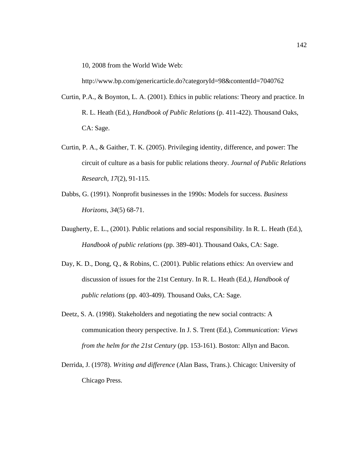10, 2008 from the World Wide Web:

http://www.bp.com/genericarticle.do?categoryId=98&contentId=7040762

- Curtin, P.A., & Boynton, L. A. (2001). Ethics in public relations: Theory and practice. In R. L. Heath (Ed.), *Handbook of Public Relations* (p. 411-422). Thousand Oaks, CA: Sage.
- Curtin, P. A., & Gaither, T. K. (2005). Privileging identity, difference, and power: The circuit of culture as a basis for public relations theory. *Journal of Public Relations Research, 17*(2), 91-115.
- Dabbs, G. (1991). Nonprofit businesses in the 1990s: Models for success. *Business Horizons, 34*(5) 68-71.
- Daugherty, E. L., (2001). Public relations and social responsibility. In R. L. Heath (Ed.), *Handbook of public relations* (pp. 389-401). Thousand Oaks, CA: Sage.
- Day, K. D., Dong, Q., & Robins, C. (2001). Public relations ethics: An overview and discussion of issues for the 21st Century. In R. L. Heath (Ed*.), Handbook of public relations* (pp. 403-409). Thousand Oaks, CA: Sage.
- Deetz, S. A. (1998). Stakeholders and negotiating the new social contracts: A communication theory perspective. In J. S. Trent (Ed.), *Communication: Views from the helm for the 21st Century* (pp. 153-161). Boston: Allyn and Bacon.
- Derrida, J. (1978). *Writing and difference* (Alan Bass, Trans.). Chicago: University of Chicago Press.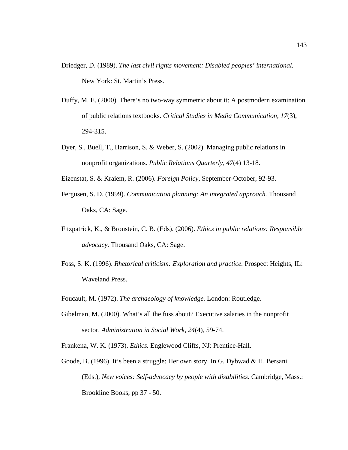- Driedger, D. (1989). *The last civil rights movement: Disabled peoples' international.*  New York: St. Martin's Press.
- Duffy, M. E. (2000). There's no two-way symmetric about it: A postmodern examination of public relations textbooks. *Critical Studies in Media Communication, 17*(3), 294-315.
- Dyer, S., Buell, T., Harrison, S. & Weber, S. (2002). Managing public relations in nonprofit organizations. *Public Relations Quarterly, 47*(4) 13-18.
- Eizenstat, S. & Kraiem, R. (2006). *Foreign Policy,* September-October, 92-93.
- Fergusen, S. D. (1999). *Communication planning: An integrated approach.* Thousand Oaks, CA: Sage.
- Fitzpatrick, K., & Bronstein, C. B. (Eds). (2006). *Ethics in public relations: Responsible advocacy.* Thousand Oaks, CA: Sage.
- Foss, S. K. (1996). *Rhetorical criticism: Exploration and practice.* Prospect Heights, IL: Waveland Press.
- Foucault, M. (1972). *The archaeology of knowledge.* London: Routledge.
- Gibelman, M. (2000). What's all the fuss about? Executive salaries in the nonprofit sector. *Administration in Social Work, 24*(4), 59-74.
- Frankena, W. K. (1973). *Ethics.* Englewood Cliffs, NJ: Prentice-Hall.
- Goode, B. (1996). It's been a struggle: Her own story. In G. Dybwad & H. Bersani (Eds.), *New voices: Self-advocacy by people with disabilities.* Cambridge, Mass.: Brookline Books, pp 37 - 50.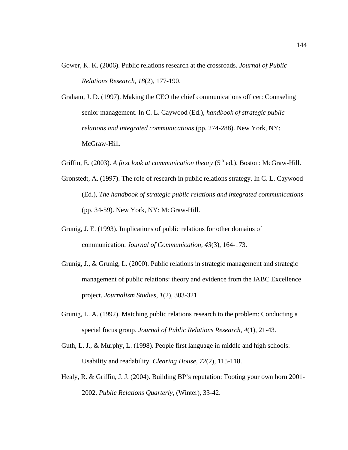- Gower, K. K. (2006). Public relations research at the crossroads. *Journal of Public Relations Research, 18*(2), 177-190.
- Graham, J. D. (1997). Making the CEO the chief communications officer: Counseling senior management. In C. L. Caywood (Ed.), *handbook of strategic public relations and integrated communications* (pp. 274-288). New York, NY: McGraw-Hill.
- Griffin, E. (2003). *A first look at communication theory* (5<sup>th</sup> ed.). Boston: McGraw-Hill.
- Gronstedt, A. (1997). The role of research in public relations strategy. In C. L. Caywood (Ed.), *The handbook of strategic public relations and integrated communications*  (pp. 34-59). New York, NY: McGraw-Hill.
- Grunig, J. E. (1993). Implications of public relations for other domains of communication. *Journal of Communication, 43*(3), 164-173.
- Grunig, J., & Grunig, L. (2000). Public relations in strategic management and strategic management of public relations: theory and evidence from the IABC Excellence project. *Journalism Studies, 1*(2), 303-321.
- Grunig, L. A. (1992). Matching public relations research to the problem: Conducting a special focus group. *Journal of Public Relations Research, 4*(1), 21-43.
- Guth, L. J., & Murphy, L. (1998). People first language in middle and high schools: Usability and readability. *Clearing House, 72*(2), 115-118.
- Healy, R. & Griffin, J. J. (2004). Building BP's reputation: Tooting your own horn 2001- 2002. *Public Relations Quarterly,* (Winter), 33-42.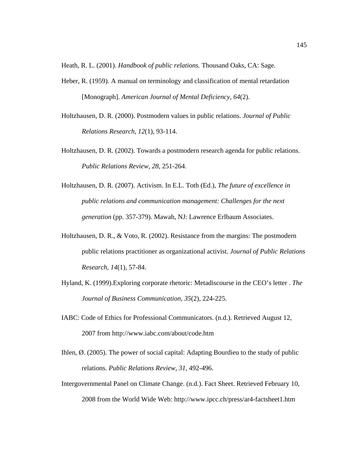Heath, R. L. (2001). *Handbook of public relations.* Thousand Oaks, CA: Sage.

- Heber, R. (1959). A manual on terminology and classification of mental retardation [Monograph]. *American Journal of Mental Deficiency, 64*(2).
- Holtzhausen, D. R. (2000). Postmodern values in public relations. *Journal of Public Relations Research, 12*(1), 93-114.
- Holtzhausen, D. R. (2002). Towards a postmodern research agenda for public relations. *Public Relations Review, 28,* 251-264.
- Holtzhausen, D. R. (2007). Activism. In E.L. Toth (Ed.), *The future of excellence in public relations and communication management: Challenges for the next generation* (pp. 357-379). Mawah, NJ: Lawrence Erlbaum Associates.
- Holtzhausen, D. R., & Voto, R. (2002). Resistance from the margins: The postmodern public relations practitioner as organizational activist. *Journal of Public Relations Research, 14*(1), 57-84.
- Hyland, K. (1999).Exploring corporate rhetoric: Metadiscourse in the CEO's letter . *The Journal of Business Communication, 35*(2), 224-225.
- IABC: Code of Ethics for Professional Communicators. (n.d.). Retrieved August 12, 2007 from http://www.iabc.com/about/code.htm
- Ihlen, Ø. (2005). The power of social capital: Adapting Bourdieu to the study of public relations. *Public Relations Review, 31,* 492-496.
- Intergovernmental Panel on Climate Change. (n.d.). Fact Sheet. Retrieved February 10, 2008 from the World Wide Web: http://www.ipcc.ch/press/ar4-factsheet1.htm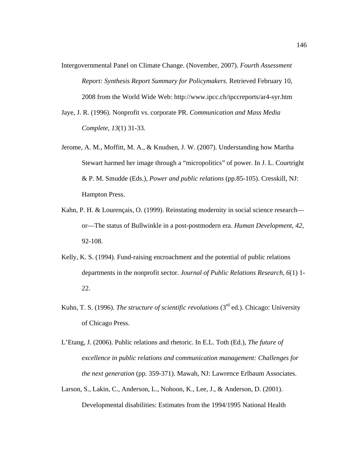- Intergovernmental Panel on Climate Change. (November, 2007). *Fourth Assessment Report: Synthesis Report Summary for Policymakers.* Retrieved February 10, 2008 from the World Wide Web: http://www.ipcc.ch/ipccreports/ar4-syr.htm
- Jaye, J. R. (1996). Nonprofit vs. corporate PR. *Communication and Mass Media Complete, 13*(1) 31-33.
- Jerome, A. M., Moffitt, M. A., & Knudsen, J. W. (2007). Understanding how Martha Stewart harmed her image through a "micropolitics" of power. In J. L. Courtright & P. M. Smudde (Eds.), *Power and public relations* (pp.85-105). Cresskill, NJ: Hampton Press.
- Kahn, P. H. & Lourençais, O. (1999). Reinstating modernity in social science research or—The status of Bullwinkle in a post-postmodern era. *Human Development, 42,*  92-108.
- Kelly, K. S. (1994). Fund-raising encroachment and the potential of public relations departments in the nonprofit sector. *Journal of Public Relations Research, 6*(1) 1- 22.
- Kuhn, T. S. (1996). *The structure of scientific revolutions* (3<sup>rd</sup> ed.). Chicago: University of Chicago Press.
- L'Etang, J. (2006). Public relations and rhetoric. In E.L. Toth (Ed.), *The future of excellence in public relations and communication management: Challenges for the next generation* (pp. 359-371). Mawah, NJ: Lawrence Erlbaum Associates.
- Larson, S., Lakin, C., Anderson, L., Nohoon, K., Lee, J., & Anderson, D. (2001). Developmental disabilities: Estimates from the 1994/1995 National Health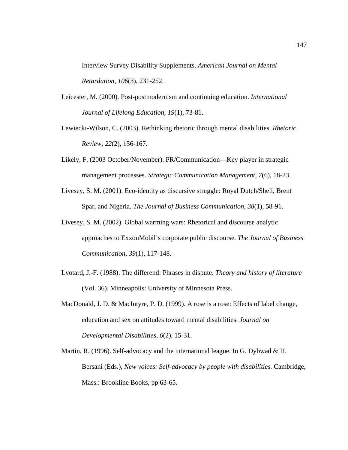Interview Survey Disability Supplements. *American Journal on Mental Retardation, 106*(3), 231-252.

- Leicester, M. (2000). Post-postmodernism and continuing education. *International Journal of Lifelong Education, 19*(1), 73-81.
- Lewiecki-Wilson, C. (2003). Rethinking rhetoric through mental disabilities. *Rhetoric Review, 22*(2), 156-167.
- Likely, F. (2003 October/November). PR/Communication—Key player in strategic management processes. *Strategic Communication Management, 7*(6), 18-23.
- Livesey, S. M. (2001). Eco-identity as discursive struggle: Royal Dutch/Shell, Brent Spar, and Nigeria. *The Journal of Business Communication, 38*(1), 58-91.
- Livesey, S. M. (2002). Global warming wars: Rhetorical and discourse analytic approaches to ExxonMobil's corporate public discourse. *The Journal of Business Communication, 39*(1), 117-148.
- Lyotard, J.-F. (1988). The differend: Phrases in dispute. *Theory and history of literature*  (Vol. 36). Minneapolis: University of Minnesota Press.
- MacDonald, J. D. & MacIntyre, P. D. (1999). A rose is a rose: Effects of label change, education and sex on attitudes toward mental disabilities. *Journal on Developmental Disabilities, 6*(2), 15-31.
- Martin, R. (1996). Self-advocacy and the international league. In G. Dybwad & H. Bersani (Eds.), *New voices: Self-advocacy by people with disabilities.* Cambridge, Mass.: Brookline Books, pp 63-65.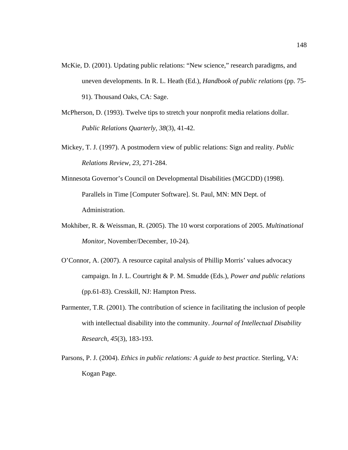- McKie, D. (2001). Updating public relations: "New science," research paradigms, and uneven developments. In R. L. Heath (Ed.), *Handbook of public relations* (pp. 75- 91). Thousand Oaks, CA: Sage.
- McPherson, D. (1993). Twelve tips to stretch your nonprofit media relations dollar. *Public Relations Quarterly, 38*(3), 41-42.
- Mickey, T. J. (1997). A postmodern view of public relations: Sign and reality. *Public Relations Review, 23,* 271-284.
- Minnesota Governor's Council on Developmental Disabilities (MGCDD) (1998). Parallels in Time [Computer Software]. St. Paul, MN: MN Dept. of Administration.
- Mokhiber, R. & Weissman, R. (2005). The 10 worst corporations of 2005. *Multinational Monitor,* November/December, 10-24).
- O'Connor, A. (2007). A resource capital analysis of Phillip Morris' values advocacy campaign. In J. L. Courtright & P. M. Smudde (Eds.), *Power and public relations*  (pp.61-83). Cresskill, NJ: Hampton Press.
- Parmenter, T.R. (2001). The contribution of science in facilitating the inclusion of people with intellectual disability into the community. *Journal of Intellectual Disability Research, 45*(3), 183-193.
- Parsons, P. J. (2004). *Ethics in public relations: A guide to best practice.* Sterling, VA: Kogan Page.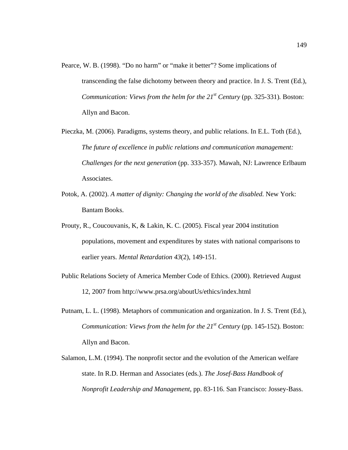- Pearce, W. B. (1998). "Do no harm" or "make it better"? Some implications of transcending the false dichotomy between theory and practice. In J. S. Trent (Ed.), *Communication: Views from the helm for the 21<sup>st</sup> Century (pp. 325-331). Boston:* Allyn and Bacon.
- Pieczka, M. (2006). Paradigms, systems theory, and public relations. In E.L. Toth (Ed.), *The future of excellence in public relations and communication management: Challenges for the next generation* (pp. 333-357). Mawah, NJ: Lawrence Erlbaum Associates.
- Potok, A. (2002). *A matter of dignity: Changing the world of the disabled.* New York: Bantam Books.
- Prouty, R., Coucouvanis, K, & Lakin, K. C. (2005). Fiscal year 2004 institution populations, movement and expenditures by states with national comparisons to earlier years. *Mental Retardation 43*(2), 149-151.
- Public Relations Society of America Member Code of Ethics. (2000). Retrieved August 12, 2007 from http://www.prsa.org/aboutUs/ethics/index.html
- Putnam, L. L. (1998). Metaphors of communication and organization. In J. S. Trent (Ed.), *Communication: Views from the helm for the 21<sup>st</sup> Century (pp. 145-152). Boston:* Allyn and Bacon.
- Salamon, L.M. (1994). The nonprofit sector and the evolution of the American welfare state. In R.D. Herman and Associates (eds.). *The Josef-Bass Handbook of Nonprofit Leadership and Management*, pp. 83-116. San Francisco: Jossey-Bass.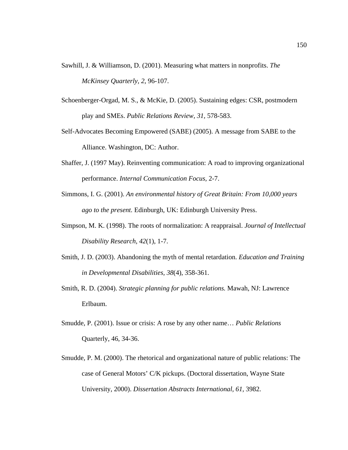- Sawhill, J. & Williamson, D. (2001). Measuring what matters in nonprofits. *The McKinsey Quarterly, 2*, 96-107.
- Schoenberger-Orgad, M. S., & McKie, D. (2005). Sustaining edges: CSR, postmodern play and SMEs. *Public Relations Review, 31,* 578-583.
- Self-Advocates Becoming Empowered (SABE) (2005). A message from SABE to the Alliance. Washington, DC: Author.
- Shaffer, J. (1997 May). Reinventing communication: A road to improving organizational performance. *Internal Communication Focus,* 2-7.
- Simmons, I. G. (2001). *An environmental history of Great Britain: From 10,000 years ago to the present.* Edinburgh, UK: Edinburgh University Press.
- Simpson, M. K. (1998). The roots of normalization: A reappraisal. *Journal of Intellectual Disability Research, 42*(1), 1-7.
- Smith, J. D. (2003). Abandoning the myth of mental retardation. *Education and Training in Developmental Disabilities, 38*(4), 358-361.
- Smith, R. D. (2004). *Strategic planning for public relations.* Mawah, NJ: Lawrence Erlbaum.
- Smudde, P. (2001). Issue or crisis: A rose by any other name… *Public Relations*  Quarterly, 46, 34-36.
- Smudde, P. M. (2000). The rhetorical and organizational nature of public relations: The case of General Motors' C/K pickups. (Doctoral dissertation, Wayne State University, 2000). *Dissertation Abstracts International, 61,* 3982.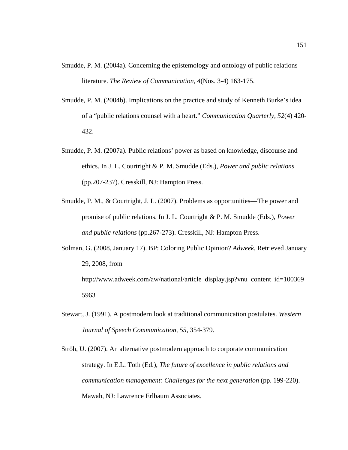- Smudde, P. M. (2004a). Concerning the epistemology and ontology of public relations literature. *The Review of Communication, 4*(Nos. 3-4) 163-175.
- Smudde, P. M. (2004b). Implications on the practice and study of Kenneth Burke's idea of a "public relations counsel with a heart." *Communication Quarterly, 52*(4) 420- 432.
- Smudde, P. M. (2007a). Public relations' power as based on knowledge, discourse and ethics. In J. L. Courtright & P. M. Smudde (Eds.), *Power and public relations*  (pp.207-237). Cresskill, NJ: Hampton Press.
- Smudde, P. M., & Courtright, J. L. (2007). Problems as opportunities—The power and promise of public relations. In J. L. Courtright & P. M. Smudde (Eds.), *Power and public relations* (pp.267-273). Cresskill, NJ: Hampton Press.
- Solman, G. (2008, January 17). BP: Coloring Public Opinion? *Adweek*, Retrieved January 29, 2008, from http://www.adweek.com/aw/national/article\_display.jsp?vnu\_content\_id=100369 5963
- Stewart, J. (1991). A postmodern look at traditional communication postulates. *Western Journal of Speech Communication, 55,* 354-379.
- Ströh, U. (2007). An alternative postmodern approach to corporate communication strategy. In E.L. Toth (Ed.), *The future of excellence in public relations and communication management: Challenges for the next generation (pp. 199-220).* Mawah, NJ: Lawrence Erlbaum Associates.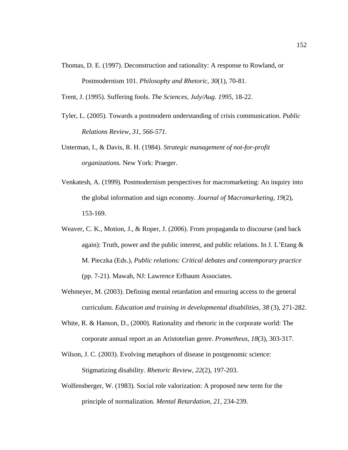Thomas, D. E. (1997). Deconstruction and rationality: A response to Rowland, or Postmodernism 101. *Philosophy and Rhetoric, 30*(1), 70-81.

Trent, J. (1995). Suffering fools. *The Sciences, July/Aug. 1995,* 18-22.

- Tyler, L. (2005). Towards a postmodern understanding of crisis communication. *Public Relations Review, 31, 566-571.*
- Unterman, I., & Davis, R. H. (1984). *Strategic management of not-for-profit organizations.* New York: Praeger.
- Venkatesh, A. (1999). Postmodernism perspectives for macromarketing: An inquiry into the global information and sign economy. *Journal of Macromarketing, 19*(2), 153-169.
- Weaver, C. K., Motion, J., & Roper, J. (2006). From propaganda to discourse (and back again): Truth, power and the public interest, and public relations. In J. L'Etang  $\&$ M. Pieczka (Eds.), *Public relations: Critical debates and contemporary practice* (pp. 7-21). Mawah, NJ: Lawrence Erlbaum Associates.
- Wehmeyer, M. (2003). Defining mental retardation and ensuring access to the general curriculum. *Education and training in developmental disabilities, 38* (3), 271-282.
- White, R. & Hanson, D., (2000). Rationality and rhetoric in the corporate world: The corporate annual report as an Aristotelian genre. *Prometheus, 18*(3), 303-317.
- Wilson, J. C. (2003). Evolving metaphors of disease in postgenomic science: Stigmatizing disability. *Rhetoric Review, 22*(2), 197-203.
- Wolfensberger, W. (1983). Social role valorization: A proposed new term for the principle of normalization. *Mental Retardation, 21*, 234-239.